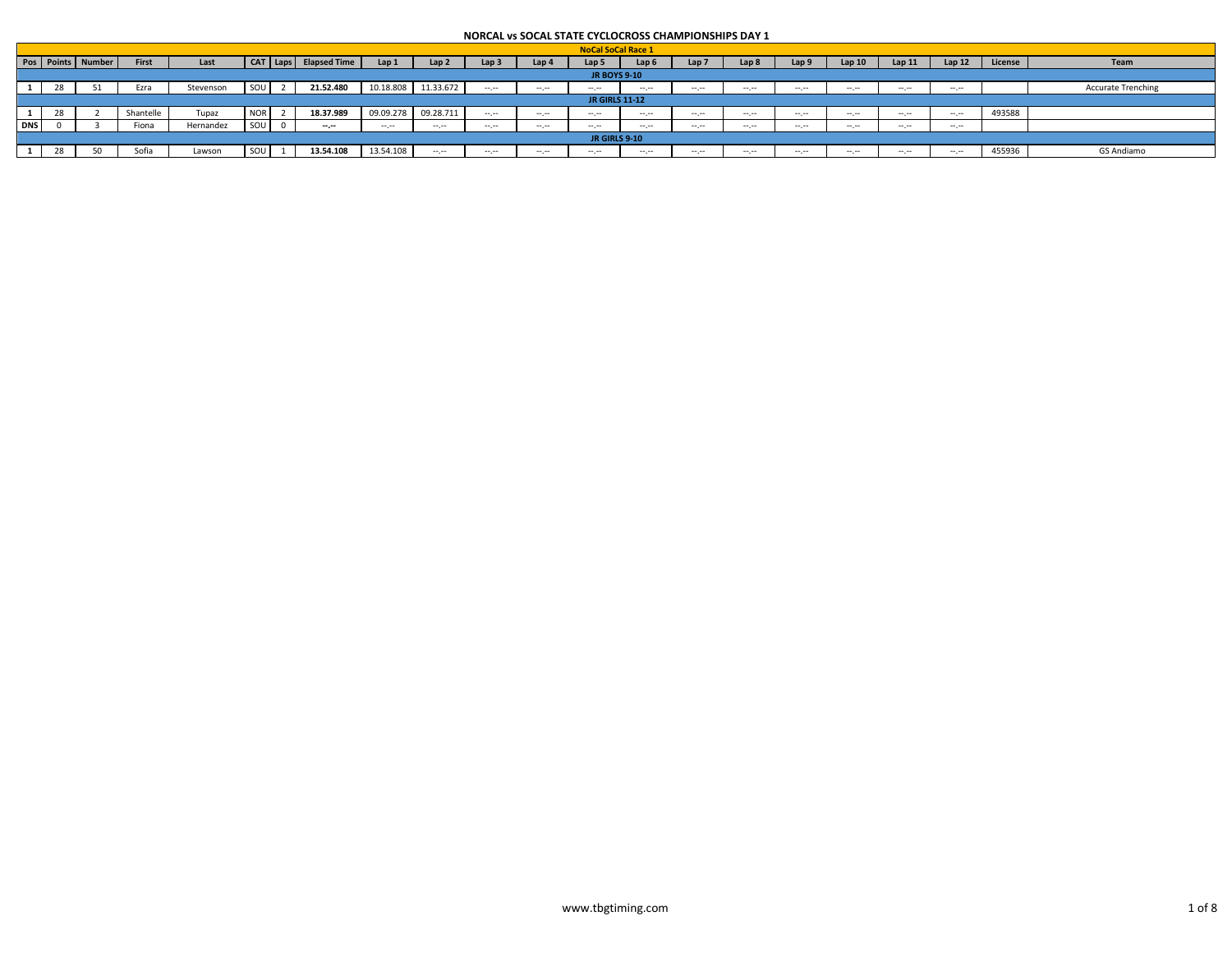|              |    |                   |           |           |            |                           |              |                  |                  |           | <b>NoCal SoCal Race 1</b> |          |                  |                  |          |       |       |          |         |                           |
|--------------|----|-------------------|-----------|-----------|------------|---------------------------|--------------|------------------|------------------|-----------|---------------------------|----------|------------------|------------------|----------|-------|-------|----------|---------|---------------------------|
|              |    | Pos Points Number | First     | Last      |            | CAT   Laps   Elapsed Time | Lap 1        | Lap <sub>2</sub> | Lap <sub>3</sub> | Lap 4     | Lap 5                     | Lap (    | Lap <sub>7</sub> | Lap 8            | an 9     | Lap10 | Lap11 | Lap12    | License | Team                      |
|              |    |                   |           |           |            |                           |              |                  |                  |           | <b>JR BOYS 9-10</b>       |          |                  |                  |          |       |       |          |         |                           |
|              | 28 |                   | Ezra      | Stevenson |            | 21.52.480                 | 10.18.808    | 11.33.672        | $\cdots$         | $ -$      |                           | $ -$     | $-1.1 - 1.0$     | $-- - -$         | $\cdots$ |       | -- -- |          |         | <b>Accurate Trenching</b> |
|              |    |                   |           |           |            |                           |              |                  |                  |           | <b>JR GIRLS 11-12</b>     |          |                  |                  |          |       |       |          |         |                           |
| $\mathbf{1}$ | 28 |                   | Shantelle | Tupaz     | <b>NOR</b> | 18.37.989                 | 09.09.278    | 09.28.711        | $-1.1$           |           |                           | $-1.1$   | $-1$             | $-1 - 1 - 1 = 0$ |          | $-1$  |       | $-1$     | 493588  |                           |
| <b>DNS</b>   |    |                   | Fiona     | Hernandez |            | $-1.1$                    | <b>COLOR</b> |                  | $\cdots$         | $- - - -$ |                           | $-1.1$   | $-1.1 - 1.0$     | $-1 - 1 - 1 = 0$ | ---      |       | ---   |          |         |                           |
|              |    |                   |           |           |            |                           |              |                  |                  |           | <b>JR GIRLS 9-10</b>      |          |                  |                  |          |       |       |          |         |                           |
|              | 28 |                   | Sofia     | Lawson    |            | 13.54.108                 | 13.54.108    | $\cdots$         | ---              | ---       |                           | $\cdots$ | $-1.1 - 1.0$     | ---              | ---      |       | ---   | $\cdots$ | 455936  | GS Andiamo                |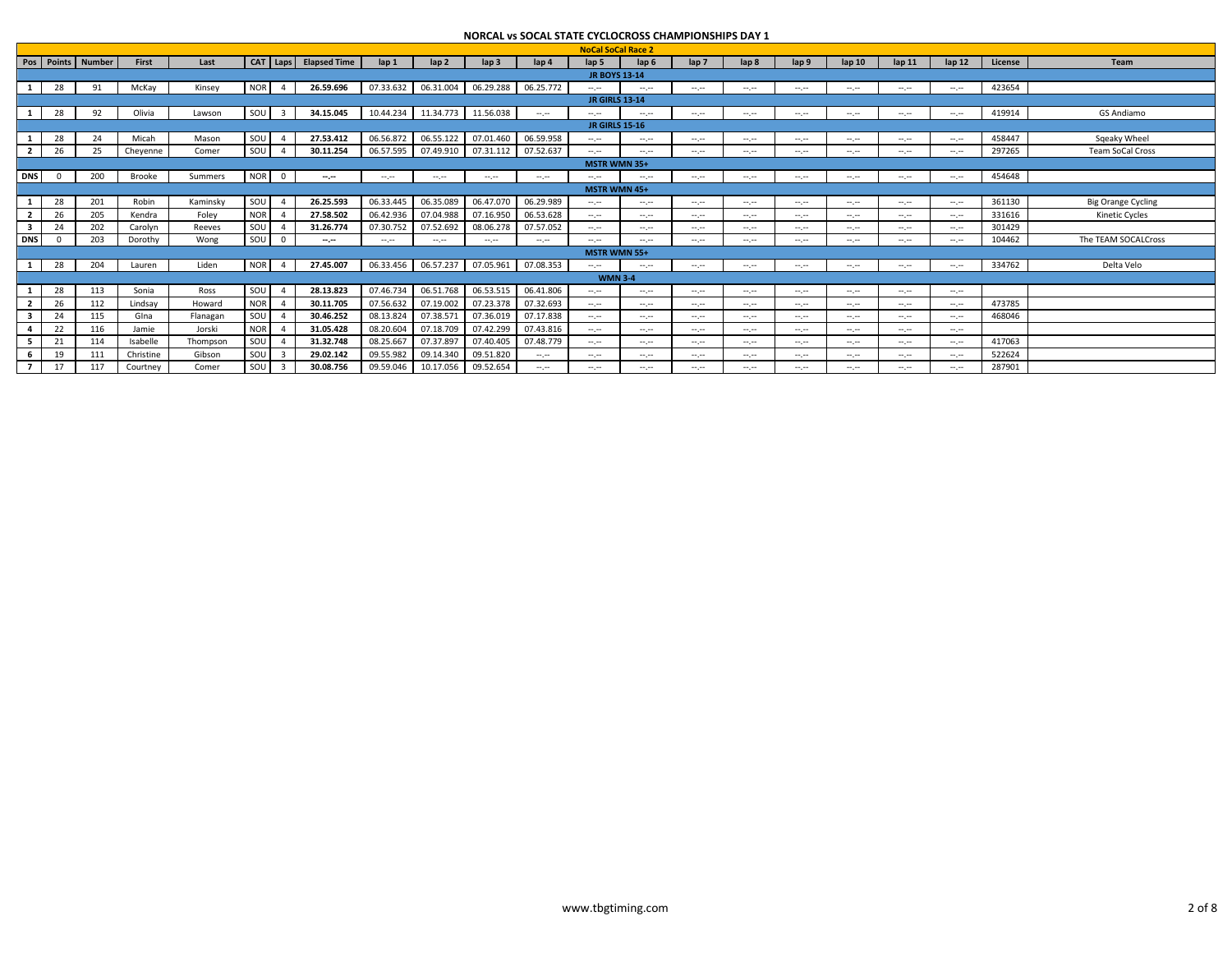|                          |                |                   |           |          |                  |                         |                           |                             |                     |                                                                                                                                                                                                                                                                                                                                                                                                                                      | NURCAL VS SUCAL STATE CYCLUCRUSS CHAINPIUNSHIPS DAY 1 |                           |                             |                                                                                                                           |                                                                                                                           |                             |                                                                                                                                                                                                                                                                                                                                                                                                                                                                            |                 |                                                                                                |         |                           |
|--------------------------|----------------|-------------------|-----------|----------|------------------|-------------------------|---------------------------|-----------------------------|---------------------|--------------------------------------------------------------------------------------------------------------------------------------------------------------------------------------------------------------------------------------------------------------------------------------------------------------------------------------------------------------------------------------------------------------------------------------|-------------------------------------------------------|---------------------------|-----------------------------|---------------------------------------------------------------------------------------------------------------------------|---------------------------------------------------------------------------------------------------------------------------|-----------------------------|----------------------------------------------------------------------------------------------------------------------------------------------------------------------------------------------------------------------------------------------------------------------------------------------------------------------------------------------------------------------------------------------------------------------------------------------------------------------------|-----------------|------------------------------------------------------------------------------------------------|---------|---------------------------|
|                          |                |                   |           |          |                  |                         |                           |                             |                     |                                                                                                                                                                                                                                                                                                                                                                                                                                      |                                                       | <b>NoCal SoCal Race 2</b> |                             |                                                                                                                           |                                                                                                                           |                             |                                                                                                                                                                                                                                                                                                                                                                                                                                                                            |                 |                                                                                                |         |                           |
|                          |                | Pos Points Number | First     | Last     |                  |                         | CAT   Laps   Elapsed Time | $\ln 1$                     | $\ln 2$             | $\mathsf{lap} 3$                                                                                                                                                                                                                                                                                                                                                                                                                     | $\ln 4$                                               | lap <sub>5</sub>          | lap <sub>6</sub>            | $\mathsf{lab}\mathsf{7}$                                                                                                  | lap <sub>8</sub>                                                                                                          | lap 9                       | $\ln 10$                                                                                                                                                                                                                                                                                                                                                                                                                                                                   | $\ln 11$        | $\ln 12$                                                                                       | License | Team                      |
|                          |                |                   |           |          |                  |                         |                           |                             |                     |                                                                                                                                                                                                                                                                                                                                                                                                                                      |                                                       | <b>JR BOYS 13-14</b>      |                             |                                                                                                                           |                                                                                                                           |                             |                                                                                                                                                                                                                                                                                                                                                                                                                                                                            |                 |                                                                                                |         |                           |
|                          | 28             | 91                | McKay     | Kinsey   | NOR              | $\overline{4}$          | 26.59.696                 | 07.33.632                   | 06.31.004           | 06.29.288   06.25.772                                                                                                                                                                                                                                                                                                                                                                                                                |                                                       | Angeles C                 | Angeles I                   | $-1$                                                                                                                      | $\mathcal{L}^{\mathcal{L}}$                                                                                               | $\mathcal{L}^{\mathcal{L}}$ | $\mathcal{L}^{\mathcal{L}}$                                                                                                                                                                                                                                                                                                                                                                                                                                                | $-1$            | $-1$                                                                                           | 423654  |                           |
|                          |                |                   |           |          |                  |                         |                           |                             |                     |                                                                                                                                                                                                                                                                                                                                                                                                                                      |                                                       | <b>JR GIRLS 13-14</b>     |                             |                                                                                                                           |                                                                                                                           |                             |                                                                                                                                                                                                                                                                                                                                                                                                                                                                            |                 |                                                                                                |         |                           |
|                          | 28             | 92                | Olivia    | Lawson   | SOU <sub>3</sub> |                         | 34.15.045                 |                             |                     | 10.44.234 11.34.773 11.56.038                                                                                                                                                                                                                                                                                                                                                                                                        | $-1$                                                  | and provided              | and provided                | $\sim$ , $\sim$                                                                                                           | ---                                                                                                                       | $\sim$ , $\sim$             | $\frac{1}{2} \left( \frac{1}{2} \right) \left( \frac{1}{2} \right) \left( \frac{1}{2} \right) \left( \frac{1}{2} \right) \left( \frac{1}{2} \right) \left( \frac{1}{2} \right) \left( \frac{1}{2} \right) \left( \frac{1}{2} \right) \left( \frac{1}{2} \right) \left( \frac{1}{2} \right) \left( \frac{1}{2} \right) \left( \frac{1}{2} \right) \left( \frac{1}{2} \right) \left( \frac{1}{2} \right) \left( \frac{1}{2} \right) \left( \frac{1}{2} \right) \left( \frac$ | $-1$            | $\sim$ , $\sim$                                                                                | 419914  | GS Andiamo                |
|                          |                |                   |           |          |                  |                         |                           |                             |                     |                                                                                                                                                                                                                                                                                                                                                                                                                                      |                                                       | <b>JR GIRLS 15-16</b>     |                             |                                                                                                                           |                                                                                                                           |                             |                                                                                                                                                                                                                                                                                                                                                                                                                                                                            |                 |                                                                                                |         |                           |
|                          | 28             | 24                | Micah     | Mason    | SOU              | $\overline{4}$          | 27.53.412                 | 06.56.872                   | 06.55.122           | 07.01.460                                                                                                                                                                                                                                                                                                                                                                                                                            | 06.59.958                                             | $\sim$ , $\sim$           | $\sim$ , $\sim$             | $\sim$                                                                                                                    | $\mathcal{L}^{\mathcal{L}}$                                                                                               | $\sim$ , $\sim$             | $\mathcal{L}^{\mathcal{L}}$                                                                                                                                                                                                                                                                                                                                                                                                                                                | $-1$            | $\sim$ , $\sim$                                                                                | 458447  | Sqeaky Wheel              |
| $\mathbf{2}$             | 26             | 25                | Cheyenne  | Comer    | SOU              |                         | 30.11.254                 |                             | 06.57.595 07.49.910 | 07.31.112 07.52.637                                                                                                                                                                                                                                                                                                                                                                                                                  |                                                       | $-1$                      | $-1$                        | $\sim$ , $\sim$                                                                                                           | $\mathcal{L}^{\mathcal{L}}$                                                                                               | $\sim$ , $\sim$             | $\mathcal{L}^{\mathcal{L}}$                                                                                                                                                                                                                                                                                                                                                                                                                                                | $-1$            | $\sim$ , $\sim$                                                                                | 297265  | <b>Team SoCal Cross</b>   |
|                          |                |                   |           |          |                  |                         |                           |                             |                     |                                                                                                                                                                                                                                                                                                                                                                                                                                      |                                                       | <b>MSTR WMN 35+</b>       |                             |                                                                                                                           |                                                                                                                           |                             |                                                                                                                                                                                                                                                                                                                                                                                                                                                                            |                 |                                                                                                |         |                           |
| <b>DNS</b>               | $\overline{0}$ | 200               | Brooke    | Summers  | <b>NOR</b>       | $\overline{\mathbf{0}}$ | $-1$                      | $\mathcal{L}^{\mathcal{L}}$ | and provided        | $\label{eq:2.1} \begin{array}{ll} \mathbf{1} & \mathbf{1} & \mathbf{1} & \mathbf{1} \\ \mathbf{1} & \mathbf{1} & \mathbf{1} & \mathbf{1} \\ \mathbf{1} & \mathbf{1} & \mathbf{1} & \mathbf{1} \\ \mathbf{1} & \mathbf{1} & \mathbf{1} & \mathbf{1} \\ \mathbf{1} & \mathbf{1} & \mathbf{1} & \mathbf{1} \\ \mathbf{1} & \mathbf{1} & \mathbf{1} & \mathbf{1} \\ \mathbf{1} & \mathbf{1} & \mathbf{1} & \mathbf{1} \\ \mathbf{1} & \$ | <b>Service</b>                                        | and provided              | $\mathcal{L}^{\mathcal{L}}$ | $\sim$ , $\sim$                                                                                                           | ---                                                                                                                       | $\cdots \cdots$             | $\frac{1}{2} \left( \frac{1}{2} \right) \left( \frac{1}{2} \right) \left( \frac{1}{2} \right) \left( \frac{1}{2} \right) \left( \frac{1}{2} \right) \left( \frac{1}{2} \right) \left( \frac{1}{2} \right) \left( \frac{1}{2} \right) \left( \frac{1}{2} \right) \left( \frac{1}{2} \right) \left( \frac{1}{2} \right) \left( \frac{1}{2} \right) \left( \frac{1}{2} \right) \left( \frac{1}{2} \right) \left( \frac{1}{2} \right) \left( \frac{1}{2} \right) \left( \frac$ | $-1$            | $\sim$ , $\sim$                                                                                | 454648  |                           |
|                          |                |                   |           |          |                  |                         |                           |                             |                     |                                                                                                                                                                                                                                                                                                                                                                                                                                      |                                                       | <b>MSTR WMN 45+</b>       |                             |                                                                                                                           |                                                                                                                           |                             |                                                                                                                                                                                                                                                                                                                                                                                                                                                                            |                 |                                                                                                |         |                           |
|                          | 28             | 201               | Robin     | Kaminsky | SOU              | - 4                     | 26.25.593                 | 06.33.445                   | 06.35.089           | 06.47.070                                                                                                                                                                                                                                                                                                                                                                                                                            | 06.29.989                                             | and provided              | $-1$                        | $\sim$ , $\sim$                                                                                                           | an pro                                                                                                                    | $\mathcal{L}^{\mathcal{L}}$ | $\mathcal{L}^{\mathcal{L}}$                                                                                                                                                                                                                                                                                                                                                                                                                                                | $-1$            | $\sim$ , $\sim$                                                                                | 361130  | <b>Big Orange Cycling</b> |
| $\overline{2}$           | 26             | 205               | Kendra    | Foley    | <b>NOR</b>       |                         | 27.58.502                 | 06.42.936                   | 07.04.988           | 07.16.950                                                                                                                                                                                                                                                                                                                                                                                                                            | 06.53.628                                             | and provided              | $-1$                        | $\sim$                                                                                                                    | an pro                                                                                                                    | $\sim$ , $\sim$             | $\mathcal{L}^{\mathcal{L}}$                                                                                                                                                                                                                                                                                                                                                                                                                                                | $-1$            | $\sim$                                                                                         | 331616  | <b>Kinetic Cycles</b>     |
| 3                        | 24             | 202               | Carolyn   | Reeves   | SOU              |                         | 31.26.774                 | 07.30.752                   | 07.52.692           | 08.06.278                                                                                                                                                                                                                                                                                                                                                                                                                            | 07.57.052                                             | $-1$                      | $-1$                        | $-1$                                                                                                                      | $-1$                                                                                                                      | $-1$                        | $-1$                                                                                                                                                                                                                                                                                                                                                                                                                                                                       | $-1$            | $\sim$                                                                                         | 301429  |                           |
| <b>DNS</b>               |                | 203               | Dorothy   | Wong     | SOU              | $\Omega$                | $-1$                      | $\cdots \cdots$             | $-1$                | $\label{eq:2.1} \begin{array}{ll} \mathbf{1} & \mathbf{1} & \mathbf{1} & \mathbf{1} \\ \mathbf{1} & \mathbf{1} & \mathbf{1} & \mathbf{1} \\ \mathbf{1} & \mathbf{1} & \mathbf{1} & \mathbf{1} \\ \mathbf{1} & \mathbf{1} & \mathbf{1} & \mathbf{1} \\ \mathbf{1} & \mathbf{1} & \mathbf{1} & \mathbf{1} \\ \mathbf{1} & \mathbf{1} & \mathbf{1} & \mathbf{1} \\ \mathbf{1} & \mathbf{1} & \mathbf{1} & \mathbf{1} \\ \mathbf{1} & \$ | <b>Service</b>                                        | $\cdots \cdots$           | ---                         | $\sim$                                                                                                                    | ---                                                                                                                       | $\sim$ , $\sim$             | $\sim$ , $\sim$                                                                                                                                                                                                                                                                                                                                                                                                                                                            | $-1$            | $\sim$ , $\sim$                                                                                | 104462  | The TEAM SOCALCross       |
|                          |                |                   |           |          |                  |                         |                           |                             |                     |                                                                                                                                                                                                                                                                                                                                                                                                                                      |                                                       | MSTR WMN 55+              |                             |                                                                                                                           |                                                                                                                           |                             |                                                                                                                                                                                                                                                                                                                                                                                                                                                                            |                 |                                                                                                |         |                           |
|                          | 28             | 204               | Lauren    | Liden    | <b>NOR</b>       | $\overline{4}$          | 27.45.007                 |                             |                     | 06.33.456  06.57.237  07.05.961  07.08.353                                                                                                                                                                                                                                                                                                                                                                                           |                                                       | Angeles I                 | $\sim$ , $\sim$             | $\sim$ , $\sim$                                                                                                           | ---                                                                                                                       | $\sim$ , $\sim$             | $\frac{1}{2} \left( \frac{1}{2} \right) \left( \frac{1}{2} \right) \left( \frac{1}{2} \right) \left( \frac{1}{2} \right) \left( \frac{1}{2} \right) \left( \frac{1}{2} \right) \left( \frac{1}{2} \right) \left( \frac{1}{2} \right) \left( \frac{1}{2} \right) \left( \frac{1}{2} \right) \left( \frac{1}{2} \right) \left( \frac{1}{2} \right) \left( \frac{1}{2} \right) \left( \frac{1}{2} \right) \left( \frac{1}{2} \right) \left( \frac{1}{2} \right) \left( \frac$ | $-1$            | $\sim$ , $\sim$                                                                                | 334762  | Delta Velo                |
|                          |                |                   |           |          |                  |                         |                           |                             |                     |                                                                                                                                                                                                                                                                                                                                                                                                                                      |                                                       | <b>WMN 3-4</b>            |                             |                                                                                                                           |                                                                                                                           |                             |                                                                                                                                                                                                                                                                                                                                                                                                                                                                            |                 |                                                                                                |         |                           |
|                          | 28             | 113               | Sonia     | Ross     | SOU              |                         | 28.13.823                 | 07.46.734                   | 06.51.768           | 06.53.515                                                                                                                                                                                                                                                                                                                                                                                                                            | 06.41.806                                             | and provided              | $\sim$ , $\sim$             | $\frac{1}{2} \left( \frac{1}{2} \right) \left( \frac{1}{2} \right) \left( \frac{1}{2} \right) \left( \frac{1}{2} \right)$ | $\sim$                                                                                                                    | $\sim$                      | $\mathcal{L}^{\mathcal{L}}$                                                                                                                                                                                                                                                                                                                                                                                                                                                | $\sim$ , $\sim$ | $\sim$ , $\sim$                                                                                |         |                           |
|                          | 26             | 112               | Lindsay   | Howard   | <b>NOR</b>       |                         | 30.11.705                 | 07.56.632                   | 07.19.002           | 07.23.378                                                                                                                                                                                                                                                                                                                                                                                                                            | 07.32.693                                             | $\sim$ , $\sim$           | $\sim$ , $\sim$             | $\frac{1}{2} \left( \frac{1}{2} \right) \left( \frac{1}{2} \right) \left( \frac{1}{2} \right) \left( \frac{1}{2} \right)$ | $\frac{1}{2} \left( \frac{1}{2} \right) \left( \frac{1}{2} \right) \left( \frac{1}{2} \right) \left( \frac{1}{2} \right)$ | $\sim$                      | $\sim$                                                                                                                                                                                                                                                                                                                                                                                                                                                                     | $-1$            | $\sim$ , $\sim$                                                                                | 473785  |                           |
| 3                        | 24             | 115               | Glna      | Flanagan | SOU              |                         | 30.46.252                 | 08.13.824                   | 07.38.571           | 07.36.019                                                                                                                                                                                                                                                                                                                                                                                                                            | 07.17.838                                             | $\sim$                    | $\sim$ , $\sim$             | $\sim$                                                                                                                    | an pro                                                                                                                    | $\sim$ , $\sim$             | $\mathcal{L}^{\mathcal{L}}$                                                                                                                                                                                                                                                                                                                                                                                                                                                | $-1$            | $\sim$                                                                                         | 468046  |                           |
|                          | 22             | 116               | Jamie     | Jorski   | <b>NOR</b>       |                         | 31.05.428                 | 08.20.604                   | 07.18.709           | 07.42.299                                                                                                                                                                                                                                                                                                                                                                                                                            | 07.43.816                                             | $\cdots \cdots$           | $-1$                        | $-1$                                                                                                                      | $-1$                                                                                                                      | $-1$                        | $\frac{1}{2} \left( \frac{1}{2} \right) \left( \frac{1}{2} \right) \left( \frac{1}{2} \right) \left( \frac{1}{2} \right) \left( \frac{1}{2} \right) \left( \frac{1}{2} \right) \left( \frac{1}{2} \right) \left( \frac{1}{2} \right) \left( \frac{1}{2} \right) \left( \frac{1}{2} \right) \left( \frac{1}{2} \right) \left( \frac{1}{2} \right) \left( \frac{1}{2} \right) \left( \frac{1}{2} \right) \left( \frac{1}{2} \right) \left( \frac{1}{2} \right) \left( \frac$ | $-1$            | and provided                                                                                   |         |                           |
| 5.                       | 21             | 114               | Isabelle  | Thompson | SOU              |                         | 31.32.748                 | 08.25.667                   | 07.37.897           | 07.40.405                                                                                                                                                                                                                                                                                                                                                                                                                            | 07.48.779                                             | $\sim$ , $\sim$           | $\sim$ , $\sim$             | $\sim$                                                                                                                    | $\mathcal{L}^{\mathcal{L}}$                                                                                               | $\sim$ , $\sim$             | $\sim$                                                                                                                                                                                                                                                                                                                                                                                                                                                                     | $-1$            | $\sim$                                                                                         | 417063  |                           |
| 6                        | 19             | 111               | Christine | Gibson   | SOU              |                         | 29.02.142                 | 09.55.982                   | 09.14.340           | 09.51.820                                                                                                                                                                                                                                                                                                                                                                                                                            | $\sim$ , $\sim$                                       | $-1$                      | $-1$                        | $-1$                                                                                                                      | $-1$                                                                                                                      | $\sim$ . $\sim$             | $-1$                                                                                                                                                                                                                                                                                                                                                                                                                                                                       | $-1$            | $\frac{1}{2} \left( \frac{1}{2} \right) \left( \frac{1}{2} \right) \left( \frac{1}{2} \right)$ | 522624  |                           |
| $\overline{\phantom{a}}$ | 17             | 117               | Courtney  | Comer    | SOU              |                         | 30.08.756                 | 09.59.046                   | 10.17.056           | 09.52.654                                                                                                                                                                                                                                                                                                                                                                                                                            | Angeles I                                             | and the con-              | $\sim$ , $\sim$             | $\sim$                                                                                                                    | an pro                                                                                                                    | $\sim$ , $\sim$             | $\mathcal{L}^{\mathcal{L}}$                                                                                                                                                                                                                                                                                                                                                                                                                                                | $-1$            | $\sim$                                                                                         | 287901  |                           |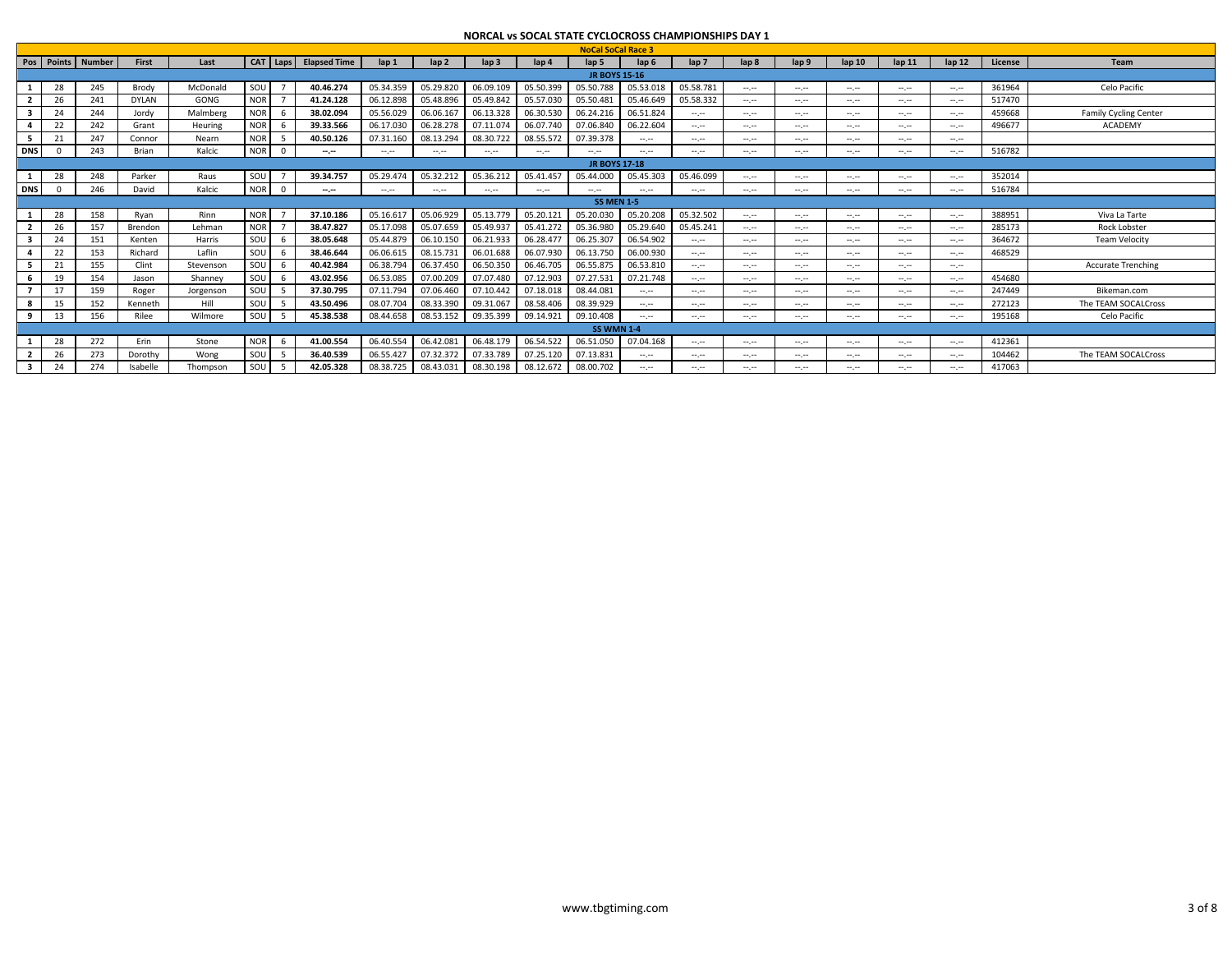|            |    |                   |              |           |            |              |                           |              |                 |                  |                |                           |                             | NURCAL VS SUCAL STATE CYCLUCRUSS CHAINPIUNSHIPS DAY 1                                                                     |                                                                                                                           |                             |                                                                                                                                                                                                                                                                                                                                                                                                                                                                            |          |                                                                                                                           |         |                              |
|------------|----|-------------------|--------------|-----------|------------|--------------|---------------------------|--------------|-----------------|------------------|----------------|---------------------------|-----------------------------|---------------------------------------------------------------------------------------------------------------------------|---------------------------------------------------------------------------------------------------------------------------|-----------------------------|----------------------------------------------------------------------------------------------------------------------------------------------------------------------------------------------------------------------------------------------------------------------------------------------------------------------------------------------------------------------------------------------------------------------------------------------------------------------------|----------|---------------------------------------------------------------------------------------------------------------------------|---------|------------------------------|
|            |    |                   |              |           |            |              |                           |              |                 |                  |                | <b>NoCal SoCal Race 3</b> |                             |                                                                                                                           |                                                                                                                           |                             |                                                                                                                                                                                                                                                                                                                                                                                                                                                                            |          |                                                                                                                           |         |                              |
|            |    | Pos Points Number | First        | Last      |            |              | CAT   Laps   Elapsed Time | $\ln 1$      | $\ln 2$         | $\mathsf{lap}$ 3 | lap 4          | lap <sub>5</sub>          | lap <sub>6</sub>            | $\mathsf{lab}\mathsf{7}$                                                                                                  | lap <sub>8</sub>                                                                                                          | lap 9                       | lap <sub>10</sub>                                                                                                                                                                                                                                                                                                                                                                                                                                                          | $\ln 11$ | $\ln 12$                                                                                                                  | License | Team                         |
|            |    |                   |              |           |            |              |                           |              |                 |                  |                | <b>JR BOYS 15-16</b>      |                             |                                                                                                                           |                                                                                                                           |                             |                                                                                                                                                                                                                                                                                                                                                                                                                                                                            |          |                                                                                                                           |         |                              |
|            | 28 | 245               | Brody        | McDonald  | SOU        |              | 40.46.274                 | 05.34.359    | 05.29.820       | 06.09.109        | 05.50.399      | 05.50.788                 | 05.53.018                   | 05.58.781                                                                                                                 | $\frac{1}{2} \left( \frac{1}{2} \right) \left( \frac{1}{2} \right) \left( \frac{1}{2} \right) \left( \frac{1}{2} \right)$ | $\sim$ , $\sim$             | $\mathcal{L}^{\mathcal{L}}$                                                                                                                                                                                                                                                                                                                                                                                                                                                | $-1$     | $\sim$ , $\sim$                                                                                                           | 361964  | Celo Pacific                 |
|            | 26 | 241               | <b>DYLAN</b> | GONG      | <b>NOR</b> |              | 41.24.128                 | 06.12.898    | 05.48.896       | 05.49.842        | 05.57.030      | 05.50.481                 | 05.46.649                   | 05.58.332                                                                                                                 | $-1$                                                                                                                      | $-1$                        | $-1$                                                                                                                                                                                                                                                                                                                                                                                                                                                                       | $-1$     | $-1$                                                                                                                      | 517470  |                              |
| 3          | 24 | 244               | Jordy        | Malmberg  | <b>NOR</b> |              | 38.02.094                 | 05.56.029    | 06.06.167       | 06.13.328        | 06.30.530      | 06.24.216                 | 06.51.824                   | $\sim$                                                                                                                    | $-1$                                                                                                                      | $\sim$ , $\sim$             | $-1$                                                                                                                                                                                                                                                                                                                                                                                                                                                                       | $-1$     | $\sim$                                                                                                                    | 459668  | <b>Family Cycling Center</b> |
| 4          | 22 | 242               | Grant        | Heuring   | <b>NOR</b> |              | 39.33.566                 | 06.17.030    | 06.28.278       | 07.11.074        | 06.07.740      | 07.06.840                 | 06.22.604                   | $\sim$ , $\sim$                                                                                                           | $-1$                                                                                                                      | $-1$                        | $\mathcal{L}^{\mathcal{L}}$                                                                                                                                                                                                                                                                                                                                                                                                                                                | $-1$     | $\sim$                                                                                                                    | 496677  | <b>ACADEMY</b>               |
| 5.         | 21 | 247               | Connor       | Nearn     | <b>NOR</b> | -5           | 40.50.126                 | 07.31.160    | 08.13.294       | 08.30.722        | 08.55.572      | 07.39.378                 | $\sim$ , $\sim$             | $\sim$                                                                                                                    | an pro                                                                                                                    | $-1$                        | $\mathcal{L}^{\mathcal{L}}$                                                                                                                                                                                                                                                                                                                                                                                                                                                | $-1$     | $\sim$                                                                                                                    |         |                              |
| <b>DNS</b> |    | 243               | Brian        | Kalcic    | <b>NOR</b> | $\Omega$     | $-1$                      | $-1$         | $-1.1$          | $\sim$ , $\sim$  | <b>Service</b> | Angeles I                 | $-1$                        | $\sim$ , $\sim$                                                                                                           | $\mathcal{L}^{\mathcal{L}}$                                                                                               | $\sim$ , $\sim$             | $\mathcal{L}^{\mathcal{L}}$                                                                                                                                                                                                                                                                                                                                                                                                                                                | $-1$     | $\sim$ , $\sim$                                                                                                           | 516782  |                              |
|            |    |                   |              |           |            |              |                           |              |                 |                  |                | <b>JR BOYS 17-18</b>      |                             |                                                                                                                           |                                                                                                                           |                             |                                                                                                                                                                                                                                                                                                                                                                                                                                                                            |          |                                                                                                                           |         |                              |
|            | 28 | 248               | Parker       | Raus      | SOU        |              | 39.34.757                 | 05.29.474    | 05.32.212       | 05.36.212        | 05.41.457      | 05.44.000                 | 05.45.303                   | 05.46.099                                                                                                                 | an pro                                                                                                                    | $\sim$ , $\sim$             | $\mathcal{L}^{\mathcal{L}}$                                                                                                                                                                                                                                                                                                                                                                                                                                                | $-1$     | $\sim$ , $\sim$                                                                                                           | 352014  |                              |
| <b>DNS</b> |    | 246               | David        | Kalcic    | <b>NOR</b> | $\mathbf{0}$ | $-1$                      | and provided | $\sim$ , $\sim$ | $\sim$ , $\sim$  | <b>Service</b> | and provided              | $\mathcal{L}^{\mathcal{L}}$ | <b>Service</b>                                                                                                            | $\mathcal{L}^{\mathcal{L}}$                                                                                               | $\mathcal{L}^{\mathcal{L}}$ | $\mathcal{L}^{\mathcal{L}}$                                                                                                                                                                                                                                                                                                                                                                                                                                                | $-1$     | $\sim$ , $\sim$                                                                                                           | 516784  |                              |
|            |    |                   |              |           |            |              |                           |              |                 |                  |                | <b>SS MEN 1-5</b>         |                             |                                                                                                                           |                                                                                                                           |                             |                                                                                                                                                                                                                                                                                                                                                                                                                                                                            |          |                                                                                                                           |         |                              |
|            | 28 | 158               | Rvan         | Rinn      | <b>NOR</b> |              | 37.10.186                 | 05.16.617    | 05.06.929       | 05.13.779        | 05.20.121      | 05.20.030                 | 05.20.208                   | 05.32.502                                                                                                                 | $\sim$ , $\sim$                                                                                                           | $\mathcal{L}^{\mathcal{L}}$ | $-1$                                                                                                                                                                                                                                                                                                                                                                                                                                                                       | $-1$     | $-1$                                                                                                                      | 388951  | Viva La Tarte                |
|            | 26 | 157               | Brendon      | Lehman    | <b>NOR</b> |              | 38.47.827                 | 05.17.098    | 05.07.659       | 05.49.937        | 05.41.272      | 05.36.980                 | 05.29.640                   | 05.45.241                                                                                                                 | $-1$                                                                                                                      | $-1$                        | $-1$                                                                                                                                                                                                                                                                                                                                                                                                                                                                       | $-1$     | $-1$                                                                                                                      | 285173  | <b>Rock Lobster</b>          |
| 3          | 24 | 151               | Kenten       | Harris    | SOU        |              | 38.05.648                 | 05.44.879    | 06.10.150       | 06.21.933        | 06.28.477      | 06.25.307                 | 06.54.902                   | $\sim$ , $\sim$                                                                                                           | $-1.1 - 1.0$                                                                                                              | $-1$                        | $-1$                                                                                                                                                                                                                                                                                                                                                                                                                                                                       | $-1$     | $\sim$                                                                                                                    | 364672  | <b>Team Velocity</b>         |
|            | 22 | 153               | Richard      | Laflin    | SOU        |              | 38.46.644                 | 06.06.615    | 08.15.731       | 06.01.688        | 06.07.930      | 06.13.750                 | 06.00.930                   | $\sim$                                                                                                                    | $-1.1$                                                                                                                    | $\mathcal{L}^{\mathcal{L}}$ | $\sim$ , $\sim$                                                                                                                                                                                                                                                                                                                                                                                                                                                            | $-1$     | $\sim$                                                                                                                    | 468529  |                              |
| 5          | 21 | 155               | Clint        | Stevenson | SOU        | - 6          | 40.42.984                 | 06.38.794    | 06.37.450       | 06.50.350        | 06.46.705      | 06.55.875                 | 06.53.810                   | $\sim$ , $\sim$                                                                                                           | an pro                                                                                                                    | $\mathcal{L}^{\mathcal{L}}$ | $\frac{1}{2} \left( \frac{1}{2} \right) \left( \frac{1}{2} \right) \left( \frac{1}{2} \right) \left( \frac{1}{2} \right) \left( \frac{1}{2} \right) \left( \frac{1}{2} \right) \left( \frac{1}{2} \right) \left( \frac{1}{2} \right) \left( \frac{1}{2} \right) \left( \frac{1}{2} \right) \left( \frac{1}{2} \right) \left( \frac{1}{2} \right) \left( \frac{1}{2} \right) \left( \frac{1}{2} \right) \left( \frac{1}{2} \right) \left( \frac{1}{2} \right) \left( \frac$ | $-1$     | $\sim$ , $\sim$                                                                                                           |         | <b>Accurate Trenching</b>    |
| 6          | 19 | 154               | Jason        | Shanney   | SOU        |              | 43.02.956                 | 06.53.085    | 07.00.209       | 07.07.480        | 07.12.903      | 07.27.531                 | 07.21.748                   | $\frac{1}{2} \left( \frac{1}{2} \right) \left( \frac{1}{2} \right) \left( \frac{1}{2} \right) \left( \frac{1}{2} \right)$ | $\sim$                                                                                                                    | $\cdots \cdots$             | $\sim$                                                                                                                                                                                                                                                                                                                                                                                                                                                                     | $-1$     | $\frac{1}{2} \left( \frac{1}{2} \right) \left( \frac{1}{2} \right) \left( \frac{1}{2} \right)$                            | 454680  |                              |
|            | 17 | 159               | Roger        | Jorgenson | SOU        |              | 37.30.795                 | 07.11.794    | 07.06.460       | 07.10.442        | 07.18.018      | 08.44.081                 | $\sim$ , $\sim$             | $\sim$                                                                                                                    | $-1$                                                                                                                      | $\sim$                      | $\mathcal{L}^{\mathcal{L}}$                                                                                                                                                                                                                                                                                                                                                                                                                                                | $-1$     | $\frac{1}{2} \left( \frac{1}{2} \right) \left( \frac{1}{2} \right) \left( \frac{1}{2} \right)$                            | 247449  | Bikeman.com                  |
| 8          | 15 | 152               | Kenneth      | Hill      | SOU        |              | 43.50.496                 | 08.07.704    | 08.33.390       | 09.31.067        | 08.58.406      | 08.39.929                 | $-1$                        | $\frac{1}{2} \left( \frac{1}{2} \right) \left( \frac{1}{2} \right) \left( \frac{1}{2} \right) \left( \frac{1}{2} \right)$ | $\frac{1}{2} \left( \frac{1}{2} \right) \left( \frac{1}{2} \right) \left( \frac{1}{2} \right) \left( \frac{1}{2} \right)$ | $\sim$                      | $\sim$                                                                                                                                                                                                                                                                                                                                                                                                                                                                     | $\sim$   | $\frac{1}{2} \left( \frac{1}{2} \right) \left( \frac{1}{2} \right) \left( \frac{1}{2} \right)$                            | 272123  | The TEAM SOCALCross          |
| 9          | 13 | 156               | Rilee        | Wilmore   | SOU        |              | 45.38.538                 | 08.44.658    | 08.53.152       | 09.35.399        | 09.14.921      | 09.10.408                 | $-1.1$                      | $\sim$                                                                                                                    | $\mathcal{L}^{\mathcal{L}}$                                                                                               | $\sim$ , $\sim$             | $\sim$ , $\sim$                                                                                                                                                                                                                                                                                                                                                                                                                                                            | $-1$     | $\sim$                                                                                                                    | 195168  | Celo Pacific                 |
|            |    |                   |              |           |            |              |                           |              |                 |                  |                | <b>SS WMN 1-4</b>         |                             |                                                                                                                           |                                                                                                                           |                             |                                                                                                                                                                                                                                                                                                                                                                                                                                                                            |          |                                                                                                                           |         |                              |
|            | 28 | 272               | Erin         | Stone     | <b>NOR</b> | - 6          | 41.00.554                 | 06.40.554    | 06.42.081       | 06.48.179        | 06.54.522      | 06.51.050                 | 07.04.168                   | $\sim$ , $\sim$                                                                                                           | $\mathcal{L}^{\mathcal{L}}$                                                                                               | $\sim$ , $\sim$             | $\sim$                                                                                                                                                                                                                                                                                                                                                                                                                                                                     | $-1$     | $\mathcal{L}^{\mathcal{L}}$                                                                                               | 412361  |                              |
|            | 26 | 273               | Dorothy      | Wong      | SOU        |              | 36.40.539                 | 06.55.427    | 07.32.372       | 07.33.789        | 07.25.120      | 07.13.831                 | $\sim$ , $\sim$             | $-1$                                                                                                                      | $-1$                                                                                                                      | $-1$                        | $-1$                                                                                                                                                                                                                                                                                                                                                                                                                                                                       | $-1$     | $\frac{1}{2} \left( \frac{1}{2} \right) \left( \frac{1}{2} \right) \left( \frac{1}{2} \right)$                            | 104462  | The TEAM SOCALCross          |
| 3          | 24 | 274               | Isabelle     | Thompson  | SOU        |              | 42.05.328                 | 08.38.725    | 08.43.031       | 08.30.198        | 08.12.672      | 08.00.702                 | ---                         | $\sim$                                                                                                                    | an pro                                                                                                                    | $\sim$ , $\sim$             | $\mathcal{L}^{\mathcal{L}}$                                                                                                                                                                                                                                                                                                                                                                                                                                                | $-1$     | $\frac{1}{2} \left( \frac{1}{2} \right) \left( \frac{1}{2} \right) \left( \frac{1}{2} \right) \left( \frac{1}{2} \right)$ | 417063  |                              |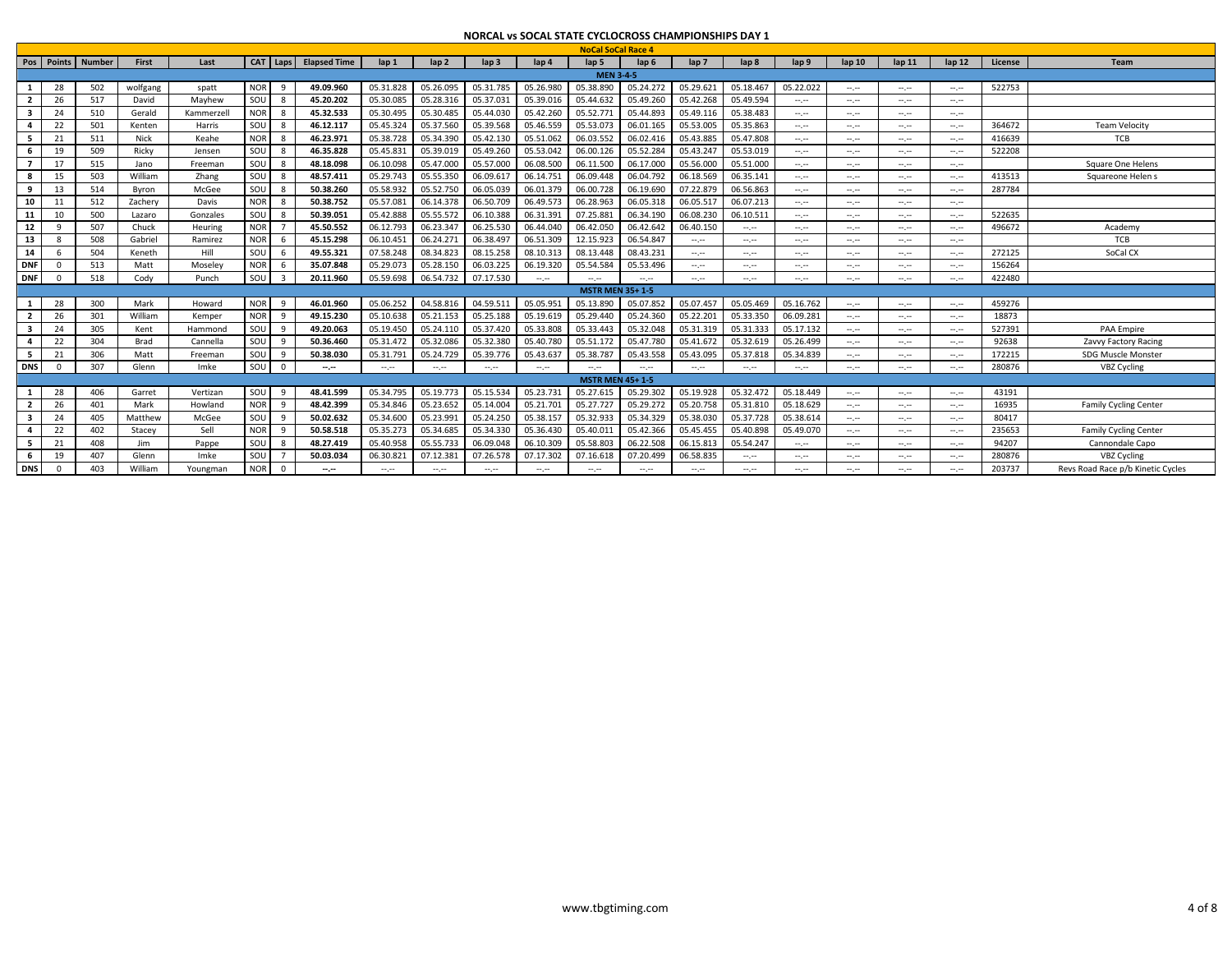|                         |          |                       |          |            |            |                         |                     |                  |                                                                                                                           |                  |           | <b>NoCal SoCal Race 4</b> |                  |                  |                                                                                                                           |                                                                                                                                                                                                                                                                                                                                                                                                                                                                            |                             |                 |                                                                                                                                                                                                                                                                                                                                                                                                                                                                            |         |                                   |
|-------------------------|----------|-----------------------|----------|------------|------------|-------------------------|---------------------|------------------|---------------------------------------------------------------------------------------------------------------------------|------------------|-----------|---------------------------|------------------|------------------|---------------------------------------------------------------------------------------------------------------------------|----------------------------------------------------------------------------------------------------------------------------------------------------------------------------------------------------------------------------------------------------------------------------------------------------------------------------------------------------------------------------------------------------------------------------------------------------------------------------|-----------------------------|-----------------|----------------------------------------------------------------------------------------------------------------------------------------------------------------------------------------------------------------------------------------------------------------------------------------------------------------------------------------------------------------------------------------------------------------------------------------------------------------------------|---------|-----------------------------------|
|                         |          | Pos   Points   Number | First    | Last       |            | CAT Laps                | <b>Elapsed Time</b> | lap <sub>1</sub> | $\ln 2$                                                                                                                   | $\mathsf{lap} 3$ | lap 4     | $\mathsf{lab}\,5$         | lap <sub>6</sub> | lap <sub>7</sub> | lap <sub>8</sub>                                                                                                          | lap <sub>9</sub>                                                                                                                                                                                                                                                                                                                                                                                                                                                           | lap <sub>10</sub>           | $\ln 11$        | $\ln 12$                                                                                                                                                                                                                                                                                                                                                                                                                                                                   | License | <b>Team</b>                       |
|                         |          |                       |          |            |            |                         |                     |                  |                                                                                                                           |                  |           | <b>MEN 3-4-5</b>          |                  |                  |                                                                                                                           |                                                                                                                                                                                                                                                                                                                                                                                                                                                                            |                             |                 |                                                                                                                                                                                                                                                                                                                                                                                                                                                                            |         |                                   |
| 1                       | 28       | 502                   | wolfgang | spatt      | <b>NOR</b> | - 9                     | 49.09.960           | 05.31.828        | 05.26.095                                                                                                                 | 05.31.785        | 05.26.980 | 05.38.890                 | 05.24.272        | 05.29.621        | 05.18.467                                                                                                                 | 05.22.022                                                                                                                                                                                                                                                                                                                                                                                                                                                                  | $\mathcal{L}^{\mathcal{L}}$ | $\cdots \cdots$ | $\sim$                                                                                                                                                                                                                                                                                                                                                                                                                                                                     | 522753  |                                   |
| $\overline{2}$          | 26       | 517                   | David    | Mayhew     | SOU        | - 8                     | 45.20.202           | 05.30.085        | 05.28.316                                                                                                                 | 05.37.031        | 05.39.016 | 05.44.632                 | 05.49.260        | 05.42.268        | 05.49.594                                                                                                                 | $\frac{1}{2} \left( \frac{1}{2} \right) \left( \frac{1}{2} \right) \left( \frac{1}{2} \right) \left( \frac{1}{2} \right)$                                                                                                                                                                                                                                                                                                                                                  | $\mathcal{L}^{\mathcal{L}}$ | $\sim$          | $\sim$ , $\sim$                                                                                                                                                                                                                                                                                                                                                                                                                                                            |         |                                   |
| $\overline{\mathbf{3}}$ | 24       | 510                   | Gerald   | Kammerzell | <b>NOR</b> | -8                      | 45.32.533           | 05.30.495        | 05.30.485                                                                                                                 | 05.44.030        | 05.42.260 | 05.52.77                  | 05.44.893        | 05.49.116        | 05.38.483                                                                                                                 | $-1$                                                                                                                                                                                                                                                                                                                                                                                                                                                                       | $-1.1$                      | $-1.1$          | $\sim$ , $\sim$                                                                                                                                                                                                                                                                                                                                                                                                                                                            |         |                                   |
| 4                       | 22       | 501                   | Kenten   | Harris     | SOU        | -8                      | 46.12.117           | 05.45.324        | 05.37.560                                                                                                                 | 05.39.568        | 05.46.559 | 05.53.073                 | 06.01.165        | 05.53.005        | 05.35.863                                                                                                                 | $\frac{1}{2} \left( \frac{1}{2} \right) \left( \frac{1}{2} \right) \left( \frac{1}{2} \right) \left( \frac{1}{2} \right) \left( \frac{1}{2} \right) \left( \frac{1}{2} \right) \left( \frac{1}{2} \right) \left( \frac{1}{2} \right) \left( \frac{1}{2} \right) \left( \frac{1}{2} \right) \left( \frac{1}{2} \right) \left( \frac{1}{2} \right) \left( \frac{1}{2} \right) \left( \frac{1}{2} \right) \left( \frac{1}{2} \right) \left( \frac{1}{2} \right) \left( \frac$ | $-1.1$                      | $\cdots \cdots$ | $\frac{1}{2} \left( \frac{1}{2} \right) \left( \frac{1}{2} \right) \left( \frac{1}{2} \right) \left( \frac{1}{2} \right) \left( \frac{1}{2} \right) \left( \frac{1}{2} \right) \left( \frac{1}{2} \right) \left( \frac{1}{2} \right) \left( \frac{1}{2} \right) \left( \frac{1}{2} \right) \left( \frac{1}{2} \right) \left( \frac{1}{2} \right) \left( \frac{1}{2} \right) \left( \frac{1}{2} \right) \left( \frac{1}{2} \right) \left( \frac{1}{2} \right) \left( \frac$ | 364672  | <b>Team Velocity</b>              |
| - 5                     | 21       | 511                   | Nick     | Keahe      | <b>NOR</b> | -8                      | 46.23.971           | 05.38.728        | 05.34.390                                                                                                                 | 05.42.130        | 05.51.062 | 06.03.55                  | 06.02.416        | 05.43.885        | 05.47.808                                                                                                                 | $-1$                                                                                                                                                                                                                                                                                                                                                                                                                                                                       | $\sim$                      | $\cdots \cdots$ | $\sim$ , $\sim$                                                                                                                                                                                                                                                                                                                                                                                                                                                            | 416639  | TCB                               |
| - 6                     | 19       | 509                   | Ricky    | Jensen     | SOU        | - 8                     | 46.35.828           | 05.45.831        | 05.39.019                                                                                                                 | 05.49.260        | 05.53.042 | 06.00.126                 | 05.52.284        | 05.43.247        | 05.53.019                                                                                                                 | $-1$                                                                                                                                                                                                                                                                                                                                                                                                                                                                       | $\mathcal{L}^{\mathcal{L}}$ | $\sim$          | $\sim$                                                                                                                                                                                                                                                                                                                                                                                                                                                                     | 522208  |                                   |
| $\overline{7}$          | 17       | 515                   | Jano     | Freemar    | sou        | 8                       | 48.18.098           | 06.10.098        | 05.47.000                                                                                                                 | 05.57.000        | 06.08.500 | 06.11.500                 | 06.17.000        | 05.56.000        | 05.51.000                                                                                                                 | $\sim$ , $\sim$                                                                                                                                                                                                                                                                                                                                                                                                                                                            | $\sim$                      | $\cdots \cdots$ | $-1$                                                                                                                                                                                                                                                                                                                                                                                                                                                                       |         | Square One Helens                 |
| 8                       | 15       | 503                   | William  | Zhang      | SOU        | -8                      | 48.57.411           | 05.29.743        | 05.55.350                                                                                                                 | 06.09.617        | 06.14.751 | 06.09.448                 | 06.04.792        | 06.18.569        | 06.35.141                                                                                                                 | $\frac{1}{2} \left( \frac{1}{2} \right) \left( \frac{1}{2} \right) \left( \frac{1}{2} \right) \left( \frac{1}{2} \right)$                                                                                                                                                                                                                                                                                                                                                  | $\sim$                      | $-1.1$          | $\sim$ , $\sim$                                                                                                                                                                                                                                                                                                                                                                                                                                                            | 413513  | Squareone Helen s                 |
| 9                       | 13       | 514                   | Byron    | McGee      | SOU        | - 8                     | 50.38.260           | 05.58.932        | 05.52.750                                                                                                                 | 06.05.039        | 06.01.379 | 06.00.728                 | 06.19.690        | 07.22.879        | 06.56.863                                                                                                                 | $\sim$                                                                                                                                                                                                                                                                                                                                                                                                                                                                     | $\sim$                      | $\cdots \cdots$ | $\sim$                                                                                                                                                                                                                                                                                                                                                                                                                                                                     | 287784  |                                   |
| 10                      |          | 512                   | Zachery  | Davis      | <b>NOR</b> | -8                      | 50.38.752           | 05.57.08         | 06.14.378                                                                                                                 | 06.50.709        | 06.49.573 | 06.28.963                 | 06.05.318        | 06.05.517        | 06.07.213                                                                                                                 | $\sim$ , $\sim$                                                                                                                                                                                                                                                                                                                                                                                                                                                            | $-1$                        | $\sim$          | $\sim$ , $\sim$                                                                                                                                                                                                                                                                                                                                                                                                                                                            |         |                                   |
| 11                      | 10       | 500                   | Lazaro   | Gonzales   | SOU        | - 8                     | 50.39.051           | 05.42.888        | 05.55.572                                                                                                                 | 06.10.388        | 06.31.391 | 07.25.88                  | 06.34.190        | 06.08.230        | 06.10.511                                                                                                                 | $-1$                                                                                                                                                                                                                                                                                                                                                                                                                                                                       | $-1$                        | $\sim$          | $-1.1 - 1.0$                                                                                                                                                                                                                                                                                                                                                                                                                                                               | 522635  |                                   |
| 12                      | q        | 507                   | Chuck    | Heuring    | <b>NOR</b> |                         | 45.50.552           | 06.12.793        | 06.23.347                                                                                                                 | 06.25.530        | 06.44.040 | 06.42.050                 | 06.42.642        | 06.40.150        | $\sim$ , $\sim$                                                                                                           | $\sim$ , $\sim$                                                                                                                                                                                                                                                                                                                                                                                                                                                            | $\mathcal{L}^{\mathcal{L}}$ | $\sim$          | $\sim$ , $\sim$                                                                                                                                                                                                                                                                                                                                                                                                                                                            | 496672  | Academy                           |
| 13                      |          | 508                   | Gabriel  | Ramirez    | <b>NOR</b> | 6                       | 45.15.298           | 06.10.451        | 06.24.271                                                                                                                 | 06.38.497        | 06.51.309 | 12.15.923                 | 06.54.847        | $\sim$           | $\mathcal{L}^{\mathcal{L}}$                                                                                               | $\frac{1}{2} \left( \frac{1}{2} \right) \left( \frac{1}{2} \right) \left( \frac{1}{2} \right)$                                                                                                                                                                                                                                                                                                                                                                             | $\mathcal{L}^{\mathcal{L}}$ | $-1.1$          | $\sim$                                                                                                                                                                                                                                                                                                                                                                                                                                                                     |         | <b>TCB</b>                        |
| 14                      |          | 504                   | Keneth   | Hill       | SOU        | -6                      | 49.55.321           | 07.58.248        | 08.34.823                                                                                                                 | 08.15.258        | 08.10.313 | 08.13.448                 | 08.43.231        | $\sim$           | $\sim$ , $\sim$                                                                                                           | $\sim$                                                                                                                                                                                                                                                                                                                                                                                                                                                                     | $\mathcal{L}^{\mathcal{L}}$ | $\cdots \cdots$ | $\sim$ , $\sim$                                                                                                                                                                                                                                                                                                                                                                                                                                                            | 272125  | SoCal CX                          |
| <b>DNF</b>              |          | 513                   | Matt     | Moseley    | <b>NOR</b> | - 6                     | 35.07.848           | 05.29.073        | 05.28.150                                                                                                                 | 06.03.225        | 06.19.320 | 05.54.584                 | 05.53.496        | $\sim$           | $\frac{1}{2} \left( \frac{1}{2} \right) \left( \frac{1}{2} \right) \left( \frac{1}{2} \right) \left( \frac{1}{2} \right)$ | $\frac{1}{2} \left( \frac{1}{2} \right) \left( \frac{1}{2} \right) \left( \frac{1}{2} \right)$                                                                                                                                                                                                                                                                                                                                                                             | $\sim$                      | $\cdots \cdots$ | $\sim$ , $\sim$                                                                                                                                                                                                                                                                                                                                                                                                                                                            | 156264  |                                   |
| <b>DNF</b>              |          | 518                   | Cody     | Punch      | SOU        | $\overline{\mathbf{3}}$ | 20.11.960           | 05.59.698        | 06.54.732                                                                                                                 | 07.17.530        | $-1$      | $-1.1$                    | $-1.1$           | $\sim$           | $\sim$ , $\sim$                                                                                                           | $\sim$                                                                                                                                                                                                                                                                                                                                                                                                                                                                     | $\sim$                      | $-1.1$          | $\sim$                                                                                                                                                                                                                                                                                                                                                                                                                                                                     | 422480  |                                   |
|                         |          |                       |          |            |            |                         |                     |                  |                                                                                                                           |                  |           | <b>MSTR MEN 35+1-5</b>    |                  |                  |                                                                                                                           |                                                                                                                                                                                                                                                                                                                                                                                                                                                                            |                             |                 |                                                                                                                                                                                                                                                                                                                                                                                                                                                                            |         |                                   |
| 1                       | 28       | 300                   | Mark     | Howard     | <b>NOR</b> | $\mathbf{q}$            | 46.01.960           | 05.06.252        | 04.58.816                                                                                                                 | 04.59.511        | 05.05.951 | 05.13.890                 | 05.07.852        | 05.07.457        | 05.05.469                                                                                                                 | 05.16.762                                                                                                                                                                                                                                                                                                                                                                                                                                                                  | $\sim$                      | $\cdots \cdots$ | $\sim$ , $\sim$                                                                                                                                                                                                                                                                                                                                                                                                                                                            | 459276  |                                   |
| $\overline{2}$          | 26       | 301                   | William  | Kemper     | NOR        | -9                      | 49.15.230           | 05.10.638        | 05.21.153                                                                                                                 | 05.25.188        | 05.19.619 | 05.29.440                 | 05.24.360        | 05.22.201        | 05.33.350                                                                                                                 | 06.09.281                                                                                                                                                                                                                                                                                                                                                                                                                                                                  | $-1.1$                      | $\cdots \cdots$ | $\frac{1}{2} \left( \frac{1}{2} \right) \left( \frac{1}{2} \right) \left( \frac{1}{2} \right) \left( \frac{1}{2} \right) \left( \frac{1}{2} \right) \left( \frac{1}{2} \right) \left( \frac{1}{2} \right) \left( \frac{1}{2} \right) \left( \frac{1}{2} \right) \left( \frac{1}{2} \right) \left( \frac{1}{2} \right) \left( \frac{1}{2} \right) \left( \frac{1}{2} \right) \left( \frac{1}{2} \right) \left( \frac{1}{2} \right) \left( \frac{1}{2} \right) \left( \frac$ | 18873   |                                   |
| $\overline{\mathbf{3}}$ | 24       | 305                   | Kent     | Hammono    | sou        | <sub>q</sub>            | 49.20.063           | 05.19.450        | 05.24.110                                                                                                                 | 05.37.420        | 05.33.808 | 05.33.443                 | 05.32.048        | 05.31.319        | 05.31.333                                                                                                                 | 05.17.132                                                                                                                                                                                                                                                                                                                                                                                                                                                                  | $-1$                        | $\cdots \cdots$ | $\frac{1}{2} \left( \frac{1}{2} \right) \left( \frac{1}{2} \right) \left( \frac{1}{2} \right) \left( \frac{1}{2} \right) \left( \frac{1}{2} \right) \left( \frac{1}{2} \right) \left( \frac{1}{2} \right) \left( \frac{1}{2} \right) \left( \frac{1}{2} \right) \left( \frac{1}{2} \right) \left( \frac{1}{2} \right) \left( \frac{1}{2} \right) \left( \frac{1}{2} \right) \left( \frac{1}{2} \right) \left( \frac{1}{2} \right) \left( \frac{1}{2} \right) \left( \frac$ | 527391  | <b>PAA Empire</b>                 |
| 4                       | 22       | 304                   | Brad     | Cannella   | sou        | $\mathbf{q}$            | 50.36.460           | 05.31.472        | 05.32.086                                                                                                                 | 05.32.380        | 05.40.780 | 05.51.17                  | 05.47.780        | 05.41.672        | 05.32.619                                                                                                                 | 05.26.499                                                                                                                                                                                                                                                                                                                                                                                                                                                                  | $-1$                        | $\sim$          | ---                                                                                                                                                                                                                                                                                                                                                                                                                                                                        | 92638   | Zavvy Factory Racing              |
| - 5                     | 21       | 306                   | Matt     | Freemar    | SOU        | - q                     | 50.38.030           | 05.31.791        | 05.24.729                                                                                                                 | 05.39.776        | 05.43.637 | 05.38.78                  | 05.43.558        | 05.43.095        | 05.37.818                                                                                                                 | 05.34.839                                                                                                                                                                                                                                                                                                                                                                                                                                                                  | $\mathcal{L}^{\mathcal{L}}$ | $\sim$          | $\sim$                                                                                                                                                                                                                                                                                                                                                                                                                                                                     | 172215  | SDG Muscle Monster                |
| <b>DNS</b>              |          | 307                   | Glenn    | Imke       | SOU        | $\Omega$                | $-1$                | $\sim$ , $\sim$  | $\frac{1}{2} \left( \frac{1}{2} \right) \left( \frac{1}{2} \right) \left( \frac{1}{2} \right) \left( \frac{1}{2} \right)$ | $\sim$ , $\sim$  | $-1.1$    | $-1$                      | $-1.1$           | $\sim$ , $\sim$  | $\sim$ , $\sim$                                                                                                           | $\frac{1}{2} \left( \frac{1}{2} \right) \left( \frac{1}{2} \right) \left( \frac{1}{2} \right) \left( \frac{1}{2} \right) \left( \frac{1}{2} \right) \left( \frac{1}{2} \right) \left( \frac{1}{2} \right) \left( \frac{1}{2} \right) \left( \frac{1}{2} \right) \left( \frac{1}{2} \right) \left( \frac{1}{2} \right) \left( \frac{1}{2} \right) \left( \frac{1}{2} \right) \left( \frac{1}{2} \right) \left( \frac{1}{2} \right) \left( \frac{1}{2} \right) \left( \frac$ | $-1$                        | $\sim$          | ---                                                                                                                                                                                                                                                                                                                                                                                                                                                                        | 280876  | <b>VBZ Cycling</b>                |
|                         |          |                       |          |            |            |                         |                     |                  |                                                                                                                           |                  |           | <b>MSTR MEN 45+1-5</b>    |                  |                  |                                                                                                                           |                                                                                                                                                                                                                                                                                                                                                                                                                                                                            |                             |                 |                                                                                                                                                                                                                                                                                                                                                                                                                                                                            |         |                                   |
| 1                       | 28       | 406                   | Garret   | Vertizar   | SOU        | <b>q</b>                | 48.41.599           | 05.34.795        | 05.19.773                                                                                                                 | 05.15.534        | 05.23.731 | 05.27.615                 | 05.29.302        | 05.19.928        | 05.32.472                                                                                                                 | 05.18.449                                                                                                                                                                                                                                                                                                                                                                                                                                                                  | $\sim$ , $\sim$             | $\cdots \cdots$ | $\sim$ , $\sim$                                                                                                                                                                                                                                                                                                                                                                                                                                                            | 43191   |                                   |
| $\overline{2}$          | 26       | 401                   | Mark     | Howland    | <b>NOR</b> | - 9                     | 48.42.399           | 05.34.846        | 05.23.652                                                                                                                 | 05.14.004        | 05.21.701 | 05.27.727                 | 05.29.272        | 05.20.758        | 05.31.810                                                                                                                 | 05.18.629                                                                                                                                                                                                                                                                                                                                                                                                                                                                  | $\sim$                      | $-1$            | $\sim$ , $\sim$                                                                                                                                                                                                                                                                                                                                                                                                                                                            | 16935   | <b>Family Cycling Center</b>      |
| -3                      | 24       | 405                   | Matthew  | McGee      | SOU        | - q                     | 50.02.632           | 05.34.600        | 05.23.991                                                                                                                 | 05.24.250        | 05.38.157 | 05.32.933                 | 05.34.329        | 05.38.030        | 05.37.728                                                                                                                 | 05.38.614                                                                                                                                                                                                                                                                                                                                                                                                                                                                  | $\mathcal{L}^{\mathcal{L}}$ | $\sim$          | $\sim$ , $\sim$                                                                                                                                                                                                                                                                                                                                                                                                                                                            | 80417   |                                   |
| 4                       | 22       | 402                   | Stacey   | Sell       | <b>NOR</b> | - q                     | 50.58.518           | 05.35.273        | 05.34.685                                                                                                                 | 05.34.330        | 05.36.430 | 05.40.01                  | 05.42.366        | 05.45.455        | 05.40.898                                                                                                                 | 05.49.070                                                                                                                                                                                                                                                                                                                                                                                                                                                                  | $\mathcal{L}^{\mathcal{L}}$ | $-1.1$          | $\sim$                                                                                                                                                                                                                                                                                                                                                                                                                                                                     | 235653  | <b>Family Cycling Center</b>      |
| - 5                     | 21       | 408                   | Jim      | Pappe      | SOU        | - 8                     | 48.27.419           | 05.40.958        | 05.55.733                                                                                                                 | 06.09.048        | 06.10.309 | 05.58.803                 | 06.22.508        | 06.15.813        | 05.54.247                                                                                                                 | $\sim$ , $\sim$                                                                                                                                                                                                                                                                                                                                                                                                                                                            | $\sim$                      | $\cdots \cdots$ | $\sim$ , $\sim$                                                                                                                                                                                                                                                                                                                                                                                                                                                            | 94207   | Cannondale Capo                   |
| - 6                     | 19       | 407                   | Glenn    | Imke       | SOU        |                         | 50.03.034           | 06.30.82         | 07.12.381                                                                                                                 | 07.26.578        | 07.17.302 | 07.16.61                  | 07.20.499        | 06.58.835        | $-1$                                                                                                                      | $\frac{1}{2} \left( \frac{1}{2} \right) \left( \frac{1}{2} \right) \left( \frac{1}{2} \right)$                                                                                                                                                                                                                                                                                                                                                                             | $-1.1$                      | $-1$            | $\sim$                                                                                                                                                                                                                                                                                                                                                                                                                                                                     | 280876  | <b>VBZ Cycling</b>                |
| <b>DNS</b>              | $\Omega$ | 403                   | William  | Youngman   | <b>NOR</b> | - 0                     | $-1$                | $-1$             | $-1.1$                                                                                                                    | $-1.1$           | $\sim$    | $-1.1$                    | $-1.1$           | $\sim$           | $\sim$ , $\sim$                                                                                                           | $\sim$                                                                                                                                                                                                                                                                                                                                                                                                                                                                     | $\sim$                      | $\sim$          | $-1$                                                                                                                                                                                                                                                                                                                                                                                                                                                                       | 203737  | Reys Road Race p/b Kinetic Cycles |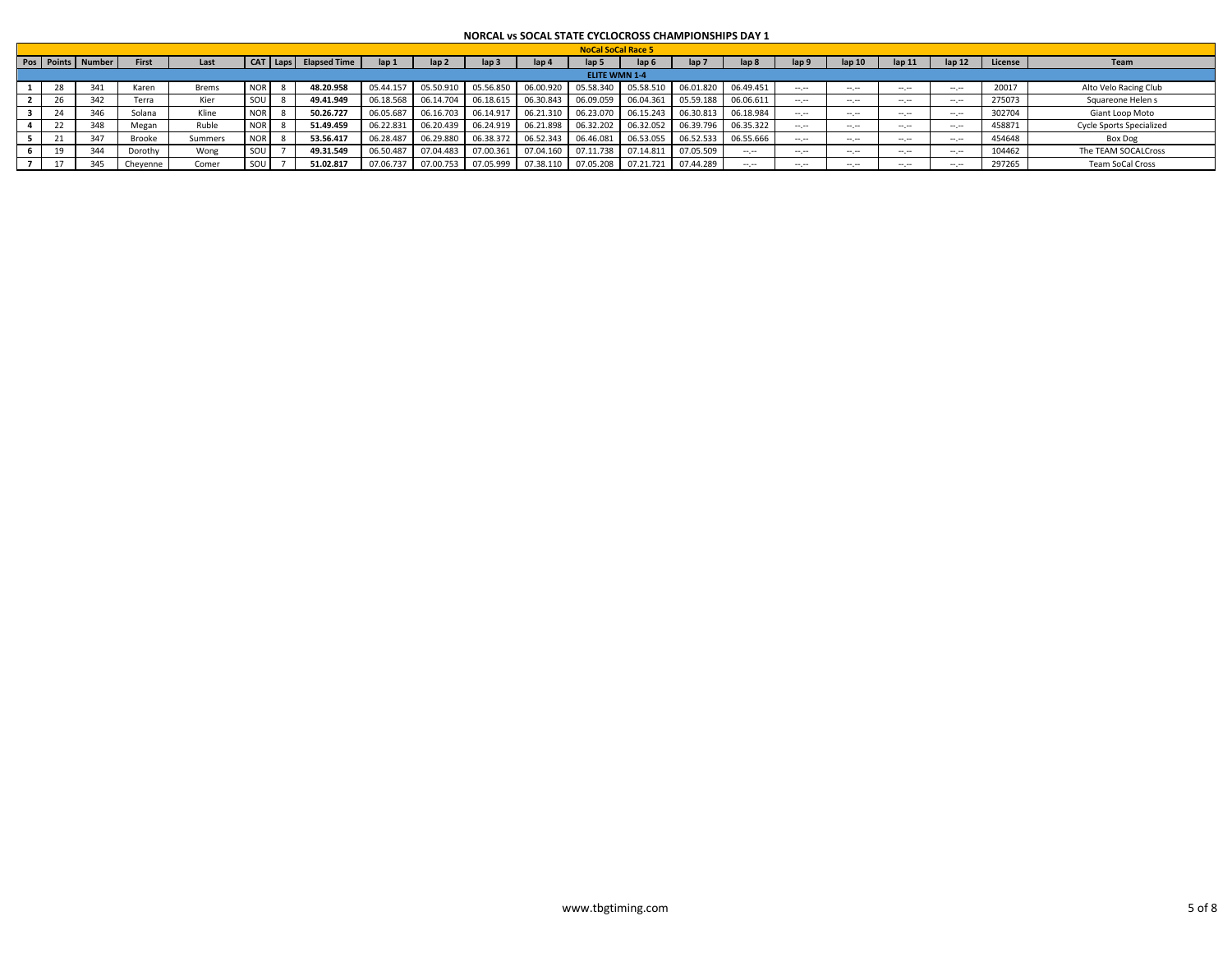|                         |                   |          |         |          |                     |           |                  |                  |           | <b>NoCal SoCal Race 5</b> |                  |                     |           |                  |        |                  |                   |         |                                 |
|-------------------------|-------------------|----------|---------|----------|---------------------|-----------|------------------|------------------|-----------|---------------------------|------------------|---------------------|-----------|------------------|--------|------------------|-------------------|---------|---------------------------------|
|                         | Pos Points Number | First    | Last    | T Laps I | <b>Elapsed Time</b> | $\ln 1$   | lap <sub>2</sub> | lap <sub>3</sub> | lap 4     | lap <sub>5</sub>          | lap <sub>6</sub> | lap <sub>7</sub>    | lap 8     | lap <sub>9</sub> | lap 10 | $\ln 11$         | lan <sub>12</sub> | License | Team                            |
|                         |                   |          |         |          |                     |           |                  |                  |           | <b>ELITE WMN 1-4</b>      |                  |                     |           |                  |        |                  |                   |         |                                 |
| 28                      | 341               | Karen    | Brems   |          | 48.20.958           | 05.44.157 | 05.50.910        | 05.56.850        | 06.00.920 | 05.58.340                 | 05.58.510        | 06.01.820 06.49.451 |           |                  | $-1$   | ---              |                   | 20017   | Alto Velo Racing Club           |
| $\sim$                  | 342               | Terra    | Kier    |          | 49.41.949           | 06.18.568 | 06.14.704        | 06.18.615        | 06.30.843 | 06.09.059                 | 06.04.361        | 05.59.188           | 06.06.611 |                  | $-1$   | $-1 - 1 - 1 = 0$ | $-1.1$            | 275073  | Squareone Helen s               |
| $\mathbf{a}$<br>$^{24}$ | 346               | Solana   | Kline   |          | 50.26.727           | 06.05.687 | 06.16.703        | 06.14.917        | 06.21.310 | 06.23.070                 | 06.15.243        | 06.30.813           | 06.18.984 | $- - - -$        | $-1$   | ---              | $-1$              | 302704  | Giant Loop Moto                 |
| 22                      | 348               | Megan    | Ruble   |          | 51.49.459           | 06.22.831 | 06.20.439        | 06.24.919        | 06.21.898 | 06.32.202                 | 06.32.052        | 06.39.796           | 06.35.322 | $- - - -$        | $-1$   | ---              | $-1$              | 458871  | <b>Cycle Sports Specialized</b> |
|                         | 347               | Brooke   | Summers |          | 53.56.417           | 06.28.487 | 06.29.880        | 06.38.372        | 06.52.343 | 06.46.081                 | 06.53.055        | 06.52.533           | 06.55.666 | $-1$             | $-1$   | $\cdots$         | $-1$              | 454648  | <b>Box Dog</b>                  |
|                         | 344               | Dorothy  | Wong    |          | 49.31.549           | 06.50.487 | 07.04.483        | 07.00.361        | 07.04.160 | 07.11.738                 | 07.14.811        | 07.05.509           | $-1.1$    | ---              | $-1$   | ---              | $-1.1$            | 104462  | The TEAM SOCALCross             |
|                         | 345               | Cheyenne | Comer   |          | 51.02.817           | 07.06.737 | 07.00.753        | 07.05.999        | 07.38.110 | 07.05.208                 | 07.21.721        | 07.44.289           | $\cdots$  | ---              | -- --  | ---              |                   | 297265  | <b>Team SoCal Cross</b>         |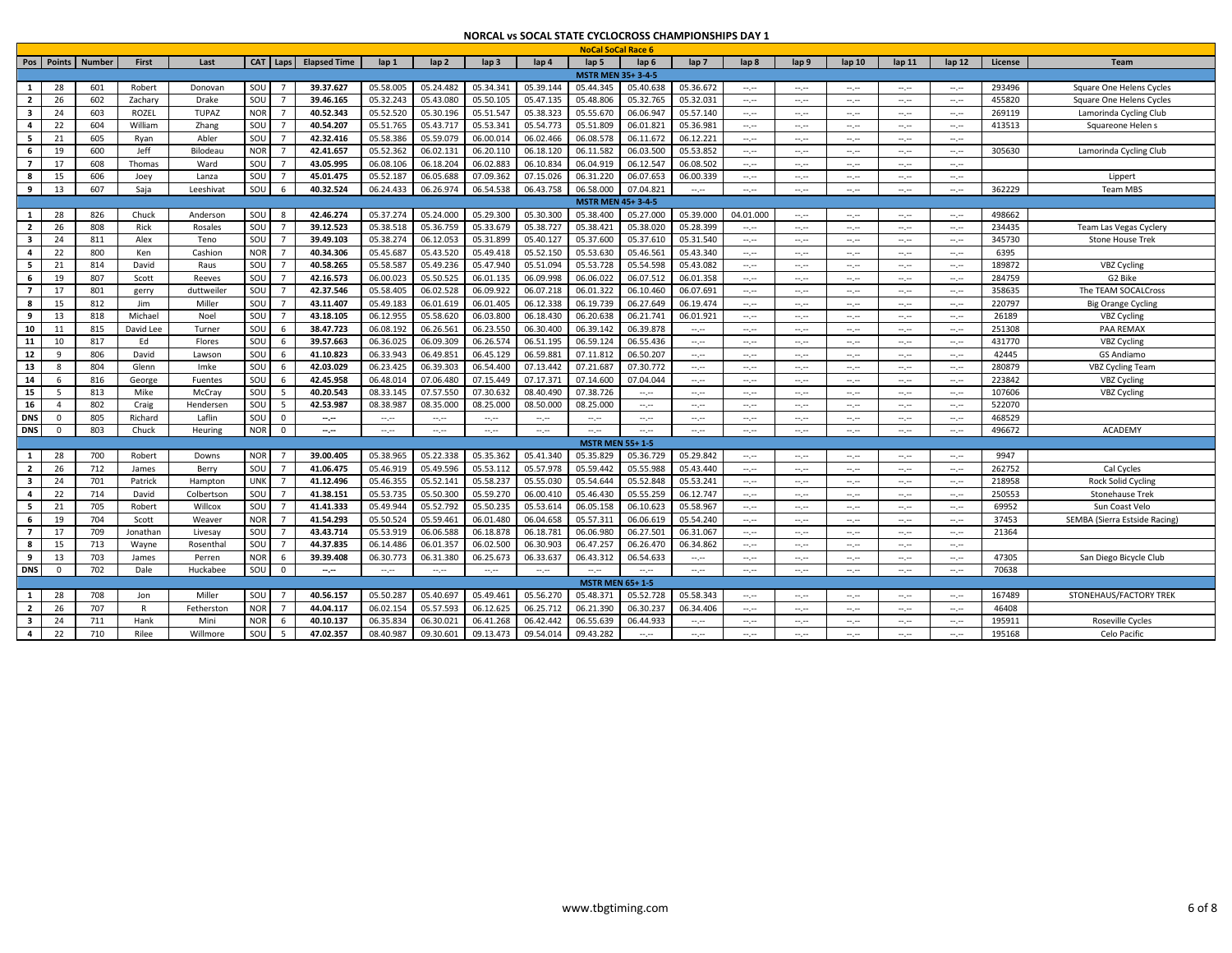| Pos Points<br><b>Number</b><br>First<br>CAT Laps<br><b>Elapsed Time</b><br>lap <sub>2</sub><br>lap <sub>3</sub><br>lap 4<br>lap <sub>5</sub><br>Last<br>lap 1<br>lap <sub>6</sub><br>lap <sub>7</sub><br>lap <sub>8</sub><br>lap 9<br>lap <sub>10</sub><br>lap <sub>11</sub><br>lap <sub>12</sub><br>License<br>Team<br><b>MSTR MEN 35+ 3-4-5</b><br>28<br>SOU<br>05.58.005<br>05.34.341<br>$\mathbf{1}$<br>601<br>39.37.627<br>05.24.482<br>05.39.144<br>05.44.345<br>05.40.638<br>05.36.672<br>293496<br>Robert<br>Donovan<br>Square One Helens Cycles<br>$-1.1$<br>$\frac{1}{2} \left( \frac{1}{2} \right) \left( \frac{1}{2} \right) \left( \frac{1}{2} \right)$<br>$\sim$ , $\sim$<br>$\frac{1}{2} \left( \frac{1}{2} \right) \left( \frac{1}{2} \right) \left( \frac{1}{2} \right) \left( \frac{1}{2} \right)$<br>$-1.1$<br>SOU<br>26<br>602<br>Zachary<br>39.46.165<br>05.32.243<br>05.43.080<br>05.50.105<br>05.47.135<br>05.48.806<br>05.32.765<br>05.32.031<br>455820<br>$\overline{2}$<br>Drake<br>$\overline{7}$<br>Square One Helens Cycles<br>$\sim$ , $\sim$<br>$-1$<br>$\sim$ , $\sim$<br>$\sim$ , $\sim$<br>$\sim$ , $\sim$<br>ROZEL<br><b>NOR</b><br>40.52.343<br>05.52.520<br>05.30.196<br>05.51.547<br>06.06.947<br>05.57.140<br>$\overline{\mathbf{3}}$<br>24<br>603<br><b>TUPAZ</b><br>05.38.323<br>05.55.670<br>269119<br>$\overline{7}$<br>Lamorinda Cycling Club<br>$-1.1$<br>$-1.1$<br>$-1$<br>$-1.1$<br>$-1$<br>SOU<br>40.54.207<br>$\overline{a}$<br>22<br>604<br>William<br>$\overline{7}$<br>05.51.765<br>05.43.717<br>05.53.341<br>05.54.773<br>05.51.809<br>06.01.821<br>05.36.981<br>413513<br>Zhang<br>Squareone Helen s<br>$-1$<br>$\frac{1}{2} \left( \frac{1}{2} \right) \left( \frac{1}{2} \right) \left( \frac{1}{2} \right)$<br>$\frac{1}{2} \left( \frac{1}{2} \right) \left( \frac{1}{2} \right) \left( \frac{1}{2} \right) \left( \frac{1}{2} \right)$<br>$\sim$<br>$\sim$<br>SOU<br>42.32.416<br>- 5<br>21<br>605<br>Rvan<br>Abler<br>05.58.386<br>05.59.079<br>06.00.014<br>06.02.466<br>06.08.578<br>06.11.672<br>06.12.221<br>$\overline{7}$<br>$-1.1$<br>$-1.1 - 1.0$<br>$-1$<br>$-1$<br>$-1.1$<br>42.41.657<br>6<br>19<br>600<br><b>NOR</b><br>05.52.362<br>06.02.13<br>06.20.110<br>06.18.120<br>06.11.582<br>06.03.50<br>05.53.852<br>305630<br>Jeff<br>Bilodeau<br>$\overline{7}$<br>Lamorinda Cycling Club<br>$-1$<br>$-1.1$<br>$\sim$ , $\sim$<br>$\sim$ , $\sim$<br>$\sim$ , $\sim$<br>17<br>608<br>SOU<br>43.05.995<br>06.08.106<br>06.18.204<br>06.02.883<br>06.10.834<br>06.04.919<br>06.12.54<br>06.08.502<br>-7<br>Thomas<br>Ward<br>$\overline{7}$<br>$\sim$ , $\sim$<br>$-1$<br>$\sim$ , $\sim$<br>$\sim$ , $\sim$<br>$\sim$ , $\sim$<br>SOU<br>45.01.475<br>05.52.187<br>06.05.688<br>07.09.362<br>07.15.026<br>06.31.220<br>06.07.653<br>06.00.339<br>15<br>606<br>- 8<br>Joey<br>Lanza<br>Lippert<br>-7<br>$\sim$<br>$-1.1 - 1.0$<br>$-1$<br>$-1$<br>$-1$<br>13<br>607<br>SOU<br>40.32.524<br>06.54.538<br>06.58.000<br>07.04.821<br>9<br>Saja<br>Leeshivat<br>06.24.433<br>06.26.974<br>06.43.758<br>362229<br><b>Team MBS</b><br>$\sim$ , $\sim$<br>$-1$<br>$-1$<br>$\sim$ , $\sim$<br>$\sim$ , $\sim$<br>$\sim$<br><b>MSTR MEN 45+3-4-5</b><br>42.46.274<br>05.37.274<br>05.24.000<br>05.29.300<br>05.30.300<br>1<br>28<br>826<br>SOU<br>05.38.400<br>05.27.000<br>05.39.000<br>498662<br>Chuck<br>Anderson<br>04.01.000<br>---<br>---<br>$\sim$ , $\sim$<br>$\sim$ , $\sim$<br>SOU<br>05.38.518<br>05.38.421<br>26<br>808<br>Rick<br>$\overline{7}$<br>39.12.523<br>05.36.759<br>05.33.679<br>05.38.727<br>05.38.020<br>05.28.399<br>234435<br>$\overline{2}$<br>Rosales<br>Team Las Vegas Cyclery<br>$\frac{1}{2} \left( \frac{1}{2} \right) \left( \frac{1}{2} \right) \left( \frac{1}{2} \right)$<br>$\frac{1}{2} \left( \frac{1}{2} \right) \left( \frac{1}{2} \right) \left( \frac{1}{2} \right)$<br>$-1.1$<br>$-1.1$<br>$\sim$<br>24<br>SOU<br>39.49.103<br>05.38.274<br>06.12.053<br>05.31.899<br>05.40.127<br>05.37.600<br>05.37.610<br>05.31.540<br>$\overline{\mathbf{3}}$<br>811<br>Alex<br>345730<br>Teno<br>$\overline{7}$<br><b>Stone House Trek</b><br>$\sim$<br>$-1$<br>$-1$<br>$-1$<br>$-1.1$<br>$\overline{4}$<br>22<br>800<br><b>NOR</b><br>40.34.306<br>05.45.687<br>05.43.520<br>05.49.418<br>05.52.150<br>05.53.630<br>05.46.561<br>05.43.340<br>6395<br>Ken<br>Cashion<br>$\overline{7}$<br>$-1$<br>$-1$<br>$\sim$ , $\sim$<br>$\sim$ , $\sim$<br>$\sim$ , $\sim$<br>40.58.265<br>5<br>814<br>David<br>SOU<br>05.58.587<br>05.49.236<br>05.47.940<br>05.51.094<br>05.53.728<br>05.54.598<br>05.43.082<br>189872<br>VBZ Cycling<br>21<br>Raus<br>$\overline{7}$<br>$-1$<br>$-1$<br>$-1$<br>$\sim$ , $\sim$<br>$\sim$ , $\sim$<br>6<br>SOU<br>42.16.573<br>05.50.525<br>19<br>807<br>06.00.023<br>06.01.135<br>06.09.998<br>06.06.022<br>06.07.51<br>06.01.358<br>284759<br>G2 Bike<br>Scott<br>$\overline{7}$<br>Reeves<br>$-1$<br>$-1.1$<br>$\sim$ , $\sim$<br>$\sim$ , $\sim$<br>$\sim$ , $\sim$<br>SOU<br>$\overline{7}$<br>42.37.546<br>05.58.405<br>06.09.922<br>06.01.322<br>17<br>801<br>$\overline{7}$<br>06.02.528<br>06.07.218<br>06.10.460<br>06.07.691<br>358635<br>The TEAM SOCALCross<br>duttweile<br>gerry<br>$\frac{1}{2} \left( \frac{1}{2} \right) \left( \frac{1}{2} \right) \left( \frac{1}{2} \right)$<br>$\frac{1}{2} \left( \frac{1}{2} \right) \left( \frac{1}{2} \right) \left( \frac{1}{2} \right) \left( \frac{1}{2} \right)$<br>$\frac{1}{2} \left( \frac{1}{2} \right) \left( \frac{1}{2} \right) \left( \frac{1}{2} \right) \left( \frac{1}{2} \right)$<br>$-1.1$<br>$\sim$<br>15<br>812<br>SOU<br>43.11.407<br>05.49.183<br>06.01.619<br>06.01.405<br>06.12.338<br>06.19.739<br>06.27.649<br>06.19.474<br>- 8<br>Jim<br>Miller<br>220797<br><b>Big Orange Cycling</b><br>$\overline{7}$<br>$-1$<br>$-1$<br>$-1$<br>$-1$<br>$-1$<br>SOU<br>13<br>818<br>Michael<br>43.18.105<br>06.12.955<br>05.58.620<br>06.03.800<br>06.18.430<br>06.20.638<br>06.21.741<br>06.01.921<br>26189<br>9<br>Noel<br>$\overline{7}$<br><b>VBZ Cycling</b><br>$-1$<br>$-1.1$<br>$-1.1$<br>---<br>---<br>SOU<br>10<br>David Lee<br>38.47.723<br>06.08.192<br>06.26.561<br>06.23.550<br>06.30.400<br>06.39.142<br>06.39.878<br>251308<br>PAA REMAX<br>11<br>815<br>Turner<br>6<br>$\sim$ , $\sim$<br>$-1$<br>$-1$<br>$-1$<br>$\sim$ , $\sim$<br>$\sim$ , $\sim$<br>11<br>SOU<br>39.57.663<br>06.36.025<br>06.09.309<br>06.59.124<br>06.55.436<br>10<br>817<br>Ed<br>06.26.574<br>06.51.195<br>431770<br><b>VBZ Cycling</b><br>Flores<br>6<br>$-1.1 - 1.0$<br>$-1$<br>$-1.1$<br>$\sim$ , $\sim$<br>$-1.1$<br>$\frac{1}{2} \left( \frac{1}{2} \right) \left( \frac{1}{2} \right) \left( \frac{1}{2} \right) \left( \frac{1}{2} \right)$<br>SOU<br>12<br>806<br>David<br>41.10.823<br>06.33.943<br>06.59.881<br>07.11.812<br>06.50.207<br>42445<br>q<br>06.49.85<br>06.45.129<br><b>GS Andiamo</b><br>6<br>Lawsor<br>$\cdots \cdots$<br>$\frac{1}{2} \left( \frac{1}{2} \right) \left( \frac{1}{2} \right) \left( \frac{1}{2} \right) \left( \frac{1}{2} \right)$<br>$\frac{1}{2} \left( \frac{1}{2} \right) \left( \frac{1}{2} \right) \left( \frac{1}{2} \right) \left( \frac{1}{2} \right)$<br>$\frac{1}{2} \left( \frac{1}{2} \right) \left( \frac{1}{2} \right) \left( \frac{1}{2} \right) \left( \frac{1}{2} \right)$<br>$-1.1$<br>-- 10<br>SOU<br>13<br>804<br>Glenn<br>42.03.029<br>06.23.425<br>06.39.303<br>06.54.400<br>07.13.442<br>07.21.687<br>07.30.772<br>280879<br><b>VBZ Cycling Team</b><br>8<br>Imke<br>6<br>$\sim$ , $\sim$<br>$\sim$ , $\sim$<br>$-1$<br>$\sim$ , $\sim$<br>$\sim$ , $\sim$<br>$\sim$ , $\sim$<br>SOU<br>42.45.958<br>07.06.480<br>07.14.600<br>14<br>816<br>6<br>06.48.014<br>07.15.449<br>07.17.371<br>07.04.044<br>223842<br><b>VBZ Cycling</b><br>George<br>6<br>Fuentes<br>$-1.1 - 1.0$<br>$-1.1 - 1.0$<br>$-1.1$<br>$-1$<br>$-1.1$<br>---<br>SOU<br>15<br>813<br>Mike<br>40.20.543<br>08.33.145<br>07.57.550<br>07.30.632<br>08.40.490<br>07.38.726<br>107606<br><b>VBZ Cycling</b><br>- 5<br>McCray<br>.5<br>$-1$<br>$\sim$ , $\sim$<br>$\sim$<br>--.--<br>$\frac{1}{2} \left( \frac{1}{2} \right) \left( \frac{1}{2} \right) \left( \frac{1}{2} \right)$<br>$-1.1$<br>$\sim$<br>16<br>802<br>SOU<br>42.53.987<br>08.38.98<br>08.35.000<br>08.25.000<br>522070<br>$\overline{4}$<br>Craig<br>5<br>08.50.000<br>08.25.000<br>Henderser<br>$-1$<br>$-1.1 - 1.0$<br>$-1.1$<br>$-1.1 - 1.0$<br>$-1.1$<br>$-1$<br>$-1.1$<br>SOU<br>468529<br>DNS<br>805<br>Richard<br>$\Omega$<br>Laflin<br>$^{\circ}$<br>$\sim$ , $\sim$<br>$\sim$ , $\sim$<br>$\sim$ , $\sim$<br>$\sim$ , $\sim$<br>$\sim$ , $\sim$<br>$\sim$ , $\sim$<br>$-1$<br>$-1$<br>$\sim$ , $\sim$<br>$-1$<br>$\frac{1}{2} \left( \frac{1}{2} \right) \left( \frac{1}{2} \right) \left( \frac{1}{2} \right) \left( \frac{1}{2} \right)$<br>$-1.1$<br>$-1.1$<br>803<br><b>DNS</b><br><b>NOR</b><br>496672<br>ACADEMY<br>$\mathbf 0$<br>Chuck<br>Heuring<br>$\Omega$<br>$\sim$<br>$\sim$<br>$\sim$ , $\sim$<br>$\sim$ , $\sim$<br>$\sim$ , $\sim$<br>$-1$<br>$\overline{\phantom{a}}$<br>$\sim$ , $\sim$<br>$\sim$ , $\sim$<br>$\sim$ , $\sim$<br>$\sim$ , $\sim$<br>$\sim$ , $\sim$<br>$\sim$ , $\sim$<br><b>MSTR MEN 55+1-5</b><br><b>NOR</b><br>05.41.340<br>28<br>700<br>39.00.405<br>05.38.965<br>05.22.338<br>05.35.362<br>05.35.829<br>05.36.729<br>05.29.842<br>9947<br>- 1<br>Robert<br>Downs<br>$\frac{1}{2} \left( \frac{1}{2} \right) \left( \frac{1}{2} \right) \left( \frac{1}{2} \right)$<br>$\frac{1}{2} \left( \frac{1}{2} \right) \left( \frac{1}{2} \right) \left( \frac{1}{2} \right) \left( \frac{1}{2} \right)$<br>$-1.1$<br>$-1.1$<br>-- 10<br>$\overline{2}$<br>26<br>712<br>SOU<br>41.06.475<br>05.46.919<br>05.49.596<br>05.53.112<br>05.57.978<br>05.59.442<br>05.55.988<br>05.43.440<br>262752<br>$\overline{7}$<br>Cal Cycles<br>James<br>Berry<br>$-1$<br>$-1$<br>$-1$<br>$-1$<br>$\sim$ , $\sim$<br>$\overline{\mathbf{3}}$<br>41.12.496<br>05.52.141<br>05.58.237<br>05.55.030<br>05.54.644<br>05.52.848<br>24<br>701<br><b>UNK</b><br>05.46.355<br>05.53.241<br>218958<br><b>Rock Solid Cycling</b><br>Patrick<br>$\overline{7}$<br>Hamptor<br>$-1$<br>$-1$<br>$-1.1$<br>$-1.1$<br>$-1.1$<br>22<br>714<br>SOU<br>41.38.151<br>05.53.735<br>05.50.300<br>05.59.270<br>06.00.410<br>05.46.430<br>05.55.259<br>06.12.747<br>250553<br>$\overline{a}$<br>David<br>Colbertson<br>$\overline{7}$<br><b>Stonehause Trek</b><br>$\sim$ , $\sim$<br>$-1$<br>$\sim$ , $\sim$<br>$\sim$ , $\sim$<br>$\sim$ , $\sim$<br>21<br>705<br>SOU<br>41.41.333<br>05.49.944<br>05.52.792<br>05.50.235<br>05.53.614<br>06.05.158<br>06.10.623<br>69952<br>5<br>Robert<br>Willcox<br>$\overline{7}$<br>05.58.967<br>Sun Coast Velo<br>$\sim$<br>$-1.1 - 1.0$<br>$-1$<br>$-1$<br>$-1$<br>704<br><b>NOR</b><br>41.54.293<br>05.50.524<br>05.59.461<br>06.01.480<br>06.04.658<br>05.57.311<br>06.06.619<br>05.54.240<br>6<br>19<br>Scott<br>$\overline{7}$<br>37453<br>SEMBA (Sierra Estside Racing)<br>Weaver<br>$-1.1$<br>$-1.1 - 1.0$<br>$-1$<br>$-1.1$<br>$\frac{1}{2} \left( \frac{1}{2} \right) \left( \frac{1}{2} \right) \left( \frac{1}{2} \right) \left( \frac{1}{2} \right)$<br>$\overline{7}$<br>SOU<br>43.43.714<br>05.53.919<br>06.06.588<br>06.18.878<br>06.18.781<br>06.06.980<br>06.27.50<br>06.31.067<br>17<br>709<br>Jonathan<br>$\overline{7}$<br>21364<br>Livesay<br>$-1$<br>$-1$<br>$-1$<br>$\sim$ , $\sim$<br>$\sim$ , $\sim$<br>SOU<br>44.37.835<br>8<br>15<br>713<br>06.14.486<br>06.01.357<br>06.02.500<br>06.30.903<br>06.47.257<br>06.26.470<br>06.34.862<br>Wayne<br>Rosentha<br>$\mathcal{I}$<br>$-1.1 - 1.0$<br>---<br>---<br>$\sim$ , $\sim$<br>$\sim$ , $\sim$<br>9<br>13<br>703<br><b>NOR</b><br>39.39.408<br>06.30.773<br>06.31.380<br>06.25.673<br>06.43.312<br>06.54.633<br>47305<br>James<br>Perren<br>06.33.637<br>San Diego Bicycle Club<br>-6<br>$\cdots \cdots$<br>$\frac{1}{2} \left( \frac{1}{2} \right) \left( \frac{1}{2} \right) \left( \frac{1}{2} \right) \left( \frac{1}{2} \right)$<br>$\sim$ , $\sim$<br>$-1$<br>$\sim$<br>$\cdots \cdots$<br>702<br>SOU<br>70638<br><b>DNS</b><br>$\Omega$<br>Dale<br>Huckabee<br>$\Omega$<br>$-1.1$<br>$-1$<br>$-1.1$<br>$-1.1 - 1.0$<br>$-1$<br>$\sim$ , $\sim$<br>$\sim$ , $\sim$<br>$-1$<br>$\sim$<br>$-1.1 - 1.0$<br>$-1.1$<br>$-1$<br>$-1.1$<br><b>MSTR MEN 65+1-5</b><br>SOU<br>40.56.157<br>05.40.697<br>05.49.461<br>05.48.371<br>05.52.728<br>05.58.343<br>1<br>-28<br>708<br>Miller<br>$\overline{7}$<br>05.50.287<br>05.56.270<br>167489<br>STONEHAUS/FACTORY TREK<br>Jon<br>$\sim$ , $\sim$<br>$-1.1$<br>$-1.1$<br>$-1.1$<br>$-1.1$<br>707<br><b>NOR</b><br>44.04.117<br>06.02.154<br>05.57.593<br>06.12.625<br>$\overline{2}$<br>26<br>06.25.712<br>06.21.390<br>06.30.237<br>06.34.406<br>46408<br>R<br>Fetherstor<br>$\overline{7}$<br>$-1.1 - 1.0$<br>$-1.1$<br>$-1.1$<br>$\frac{1}{2} \left( \frac{1}{2} \right) \left( \frac{1}{2} \right) \left( \frac{1}{2} \right) \left( \frac{1}{2} \right)$<br>$\frac{1}{2} \left( \frac{1}{2} \right) \left( \frac{1}{2} \right) \left( \frac{1}{2} \right) \left( \frac{1}{2} \right)$ |   |    |     |      |      |            |           |           |           |           |           | <b>NoCal SoCal Race 6</b> |           |  |  |  |        |                  |
|---------------------------------------------------------------------------------------------------------------------------------------------------------------------------------------------------------------------------------------------------------------------------------------------------------------------------------------------------------------------------------------------------------------------------------------------------------------------------------------------------------------------------------------------------------------------------------------------------------------------------------------------------------------------------------------------------------------------------------------------------------------------------------------------------------------------------------------------------------------------------------------------------------------------------------------------------------------------------------------------------------------------------------------------------------------------------------------------------------------------------------------------------------------------------------------------------------------------------------------------------------------------------------------------------------------------------------------------------------------------------------------------------------------------------------------------------------------------------------------------------------------------------------------------------------------------------------------------------------------------------------------------------------------------------------------------------------------------------------------------------------------------------------------------------------------------------------------------------------------------------------------------------------------------------------------------------------------------------------------------------------------------------------------------------------------------------------------------------------------------------------------------------------------------------------------------------------------------------------------------------------------------------------------------------------------------------------------------------------------------------------------------------------------------------------------------------------------------------------------------------------------------------------------------------------------------------------------------------------------------------------------------------------------------------------------------------------------------------------------------------------------------------------------------------------------------------------------------------------------------------------------------------------------------------------------------------------------------------------------------------------------------------------------------------------------------------------------------------------------------------------------------------------------------------------------------------------------------------------------------------------------------------------------------------------------------------------------------------------------------------------------------------------------------------------------------------------------------------------------------------------------------------------------------------------------------------------------------------------------------------------------------------------------------------------------------------------------------------------------------------------------------------------------------------------------------------------------------------------------------------------------------------------------------------------------------------------------------------------------------------------------------------------------------------------------------------------------------------------------------------------------------------------------------------------------------------------------------------------------------------------------------------------------------------------------------------------------------------------------------------------------------------------------------------------------------------------------------------------------------------------------------------------------------------------------------------------------------------------------------------------------------------------------------------------------------------------------------------------------------------------------------------------------------------------------------------------------------------------------------------------------------------------------------------------------------------------------------------------------------------------------------------------------------------------------------------------------------------------------------------------------------------------------------------------------------------------------------------------------------------------------------------------------------------------------------------------------------------------------------------------------------------------------------------------------------------------------------------------------------------------------------------------------------------------------------------------------------------------------------------------------------------------------------------------------------------------------------------------------------------------------------------------------------------------------------------------------------------------------------------------------------------------------------------------------------------------------------------------------------------------------------------------------------------------------------------------------------------------------------------------------------------------------------------------------------------------------------------------------------------------------------------------------------------------------------------------------------------------------------------------------------------------------------------------------------------------------------------------------------------------------------------------------------------------------------------------------------------------------------------------------------------------------------------------------------------------------------------------------------------------------------------------------------------------------------------------------------------------------------------------------------------------------------------------------------------------------------------------------------------------------------------------------------------------------------------------------------------------------------------------------------------------------------------------------------------------------------------------------------------------------------------------------------------------------------------------------------------------------------------------------------------------------------------------------------------------------------------------------------------------------------------------------------------------------------------------------------------------------------------------------------------------------------------------------------------------------------------------------------------------------------------------------------------------------------------------------------------------------------------------------------------------------------------------------------------------------------------------------------------------------------------------------------------------------------------------------------------------------------------------------------------------------------------------------------------------------------------------------------------------------------------------------------------------------------------------------------------------------------------------------------------------------------------------------------------------------------------------------------------------------------------------------------------------------------------------------------------------------------------------------------------------------------------------------------------------------------------------------------------------------------------------------------------------------------------------------------------------------------------------------------------------------------------------------------------------------------------------------------------------------------------------------------------------------------------------------------------------------------------------------------------------------------------------------------------------------------------------------------------------------------------------------------------------------------------------------------------------------------------------------------------------------------------------------------------------------------------------------------------------------------------------------------------------------------------------------------------------------------------------------------------------------------------------------------------------------------------------------------------------------------------------------------------------------------------------------------------------------------------------------------------------------------------------------------------------------------------------------------------------------------------------------------------------------------------------------------------------------------------------------------------------------------------------------------------------------------------------------------------------------------------------------------------------------------------------------------------------------------------------------------------------------------------------------------------------------------------------------------------------------------------------------------------------------------------------------------------------------------------------------------------------------------------------------------------------------------------------------------------------------------------------------------------------------------------------------------------------------------------------------------------------------------------------------------------------------------------------------------------------------------------------------------------------------------------------------------------------------------------------------------------------------------------------------------------------------------------------------------------------------------------------------------------------------------------------------------------------------------------------------------------------------------------------------------------------------------------------------------------------------------------------------------------------------------------------------------------------------------------------------------------------------------------------------------------------------------------------------------------------------------------------------------------------------------------------------------------------------------------------------------------------------------------------------------------------------------------------------------------------------------------------------------------------------------------------------------------------------------------------------------------------------------------------------------------------------------------------------------------------------------------------------------------------------------------------------------------------------------------------------------------------------------------------------------------------------------------------------------------------------------------------------------------------------------------------------------------------------------------------------------------------------------------------------------------------------------------------------------------------------------------------------------------------------------------------------------------------------------------------------------------------------------------------------------------------------------------------------------------------------------------------------------------------------------------------------------------------------------------------------------|---|----|-----|------|------|------------|-----------|-----------|-----------|-----------|-----------|---------------------------|-----------|--|--|--|--------|------------------|
|                                                                                                                                                                                                                                                                                                                                                                                                                                                                                                                                                                                                                                                                                                                                                                                                                                                                                                                                                                                                                                                                                                                                                                                                                                                                                                                                                                                                                                                                                                                                                                                                                                                                                                                                                                                                                                                                                                                                                                                                                                                                                                                                                                                                                                                                                                                                                                                                                                                                                                                                                                                                                                                                                                                                                                                                                                                                                                                                                                                                                                                                                                                                                                                                                                                                                                                                                                                                                                                                                                                                                                                                                                                                                                                                                                                                                                                                                                                                                                                                                                                                                                                                                                                                                                                                                                                                                                                                                                                                                                                                                                                                                                                                                                                                                                                                                                                                                                                                                                                                                                                                                                                                                                                                                                                                                                                                                                                                                                                                                                                                                                                                                                                                                                                                                                                                                                                                                                                                                                                                                                                                                                                                                                                                                                                                                                                                                                                                                                                                                                                                                                                                                                                                                                                                                                                                                                                                                                                                                                                                                                                                                                                                                                                                                                                                                                                                                                                                                                                                                                                                                                                                                                                                                                                                                                                                                                                                                                                                                                                                                                                                                                                                                                                                                                                                                                                                                                                                                                                                                                                                                                                                                                                                                                                                                                                                                                                                                                                                                                                                                                                                                                                                                                                                                                                                                                                                                                                                                                                                                                                                                                                                                                                                                                                                                                                                                                                                                                                                                                                                                                                                                                                                                                                                                                                                                                                                                                                                                                                                                                                                                                                                                                                                                                                                                                                                                                                                                                                                                                                                                                                                                                                                                                                                                                                                                                                                                                                                                                                                                                                                                                                                                                                                                                                                                                                                                                                                                                                                                                                                                                                                                                                                                                                                                                                                                                                                                                                                                                                                                                                                                                                                                                                                                                                                                                                                                                                                                                                                                                                                                                                                                                                                             |   |    |     |      |      |            |           |           |           |           |           |                           |           |  |  |  |        |                  |
|                                                                                                                                                                                                                                                                                                                                                                                                                                                                                                                                                                                                                                                                                                                                                                                                                                                                                                                                                                                                                                                                                                                                                                                                                                                                                                                                                                                                                                                                                                                                                                                                                                                                                                                                                                                                                                                                                                                                                                                                                                                                                                                                                                                                                                                                                                                                                                                                                                                                                                                                                                                                                                                                                                                                                                                                                                                                                                                                                                                                                                                                                                                                                                                                                                                                                                                                                                                                                                                                                                                                                                                                                                                                                                                                                                                                                                                                                                                                                                                                                                                                                                                                                                                                                                                                                                                                                                                                                                                                                                                                                                                                                                                                                                                                                                                                                                                                                                                                                                                                                                                                                                                                                                                                                                                                                                                                                                                                                                                                                                                                                                                                                                                                                                                                                                                                                                                                                                                                                                                                                                                                                                                                                                                                                                                                                                                                                                                                                                                                                                                                                                                                                                                                                                                                                                                                                                                                                                                                                                                                                                                                                                                                                                                                                                                                                                                                                                                                                                                                                                                                                                                                                                                                                                                                                                                                                                                                                                                                                                                                                                                                                                                                                                                                                                                                                                                                                                                                                                                                                                                                                                                                                                                                                                                                                                                                                                                                                                                                                                                                                                                                                                                                                                                                                                                                                                                                                                                                                                                                                                                                                                                                                                                                                                                                                                                                                                                                                                                                                                                                                                                                                                                                                                                                                                                                                                                                                                                                                                                                                                                                                                                                                                                                                                                                                                                                                                                                                                                                                                                                                                                                                                                                                                                                                                                                                                                                                                                                                                                                                                                                                                                                                                                                                                                                                                                                                                                                                                                                                                                                                                                                                                                                                                                                                                                                                                                                                                                                                                                                                                                                                                                                                                                                                                                                                                                                                                                                                                                                                                                                                                                                                                                                             |   |    |     |      |      |            |           |           |           |           |           |                           |           |  |  |  |        |                  |
|                                                                                                                                                                                                                                                                                                                                                                                                                                                                                                                                                                                                                                                                                                                                                                                                                                                                                                                                                                                                                                                                                                                                                                                                                                                                                                                                                                                                                                                                                                                                                                                                                                                                                                                                                                                                                                                                                                                                                                                                                                                                                                                                                                                                                                                                                                                                                                                                                                                                                                                                                                                                                                                                                                                                                                                                                                                                                                                                                                                                                                                                                                                                                                                                                                                                                                                                                                                                                                                                                                                                                                                                                                                                                                                                                                                                                                                                                                                                                                                                                                                                                                                                                                                                                                                                                                                                                                                                                                                                                                                                                                                                                                                                                                                                                                                                                                                                                                                                                                                                                                                                                                                                                                                                                                                                                                                                                                                                                                                                                                                                                                                                                                                                                                                                                                                                                                                                                                                                                                                                                                                                                                                                                                                                                                                                                                                                                                                                                                                                                                                                                                                                                                                                                                                                                                                                                                                                                                                                                                                                                                                                                                                                                                                                                                                                                                                                                                                                                                                                                                                                                                                                                                                                                                                                                                                                                                                                                                                                                                                                                                                                                                                                                                                                                                                                                                                                                                                                                                                                                                                                                                                                                                                                                                                                                                                                                                                                                                                                                                                                                                                                                                                                                                                                                                                                                                                                                                                                                                                                                                                                                                                                                                                                                                                                                                                                                                                                                                                                                                                                                                                                                                                                                                                                                                                                                                                                                                                                                                                                                                                                                                                                                                                                                                                                                                                                                                                                                                                                                                                                                                                                                                                                                                                                                                                                                                                                                                                                                                                                                                                                                                                                                                                                                                                                                                                                                                                                                                                                                                                                                                                                                                                                                                                                                                                                                                                                                                                                                                                                                                                                                                                                                                                                                                                                                                                                                                                                                                                                                                                                                                                                                                                                             |   |    |     |      |      |            |           |           |           |           |           |                           |           |  |  |  |        |                  |
|                                                                                                                                                                                                                                                                                                                                                                                                                                                                                                                                                                                                                                                                                                                                                                                                                                                                                                                                                                                                                                                                                                                                                                                                                                                                                                                                                                                                                                                                                                                                                                                                                                                                                                                                                                                                                                                                                                                                                                                                                                                                                                                                                                                                                                                                                                                                                                                                                                                                                                                                                                                                                                                                                                                                                                                                                                                                                                                                                                                                                                                                                                                                                                                                                                                                                                                                                                                                                                                                                                                                                                                                                                                                                                                                                                                                                                                                                                                                                                                                                                                                                                                                                                                                                                                                                                                                                                                                                                                                                                                                                                                                                                                                                                                                                                                                                                                                                                                                                                                                                                                                                                                                                                                                                                                                                                                                                                                                                                                                                                                                                                                                                                                                                                                                                                                                                                                                                                                                                                                                                                                                                                                                                                                                                                                                                                                                                                                                                                                                                                                                                                                                                                                                                                                                                                                                                                                                                                                                                                                                                                                                                                                                                                                                                                                                                                                                                                                                                                                                                                                                                                                                                                                                                                                                                                                                                                                                                                                                                                                                                                                                                                                                                                                                                                                                                                                                                                                                                                                                                                                                                                                                                                                                                                                                                                                                                                                                                                                                                                                                                                                                                                                                                                                                                                                                                                                                                                                                                                                                                                                                                                                                                                                                                                                                                                                                                                                                                                                                                                                                                                                                                                                                                                                                                                                                                                                                                                                                                                                                                                                                                                                                                                                                                                                                                                                                                                                                                                                                                                                                                                                                                                                                                                                                                                                                                                                                                                                                                                                                                                                                                                                                                                                                                                                                                                                                                                                                                                                                                                                                                                                                                                                                                                                                                                                                                                                                                                                                                                                                                                                                                                                                                                                                                                                                                                                                                                                                                                                                                                                                                                                                                                                                             |   |    |     |      |      |            |           |           |           |           |           |                           |           |  |  |  |        |                  |
|                                                                                                                                                                                                                                                                                                                                                                                                                                                                                                                                                                                                                                                                                                                                                                                                                                                                                                                                                                                                                                                                                                                                                                                                                                                                                                                                                                                                                                                                                                                                                                                                                                                                                                                                                                                                                                                                                                                                                                                                                                                                                                                                                                                                                                                                                                                                                                                                                                                                                                                                                                                                                                                                                                                                                                                                                                                                                                                                                                                                                                                                                                                                                                                                                                                                                                                                                                                                                                                                                                                                                                                                                                                                                                                                                                                                                                                                                                                                                                                                                                                                                                                                                                                                                                                                                                                                                                                                                                                                                                                                                                                                                                                                                                                                                                                                                                                                                                                                                                                                                                                                                                                                                                                                                                                                                                                                                                                                                                                                                                                                                                                                                                                                                                                                                                                                                                                                                                                                                                                                                                                                                                                                                                                                                                                                                                                                                                                                                                                                                                                                                                                                                                                                                                                                                                                                                                                                                                                                                                                                                                                                                                                                                                                                                                                                                                                                                                                                                                                                                                                                                                                                                                                                                                                                                                                                                                                                                                                                                                                                                                                                                                                                                                                                                                                                                                                                                                                                                                                                                                                                                                                                                                                                                                                                                                                                                                                                                                                                                                                                                                                                                                                                                                                                                                                                                                                                                                                                                                                                                                                                                                                                                                                                                                                                                                                                                                                                                                                                                                                                                                                                                                                                                                                                                                                                                                                                                                                                                                                                                                                                                                                                                                                                                                                                                                                                                                                                                                                                                                                                                                                                                                                                                                                                                                                                                                                                                                                                                                                                                                                                                                                                                                                                                                                                                                                                                                                                                                                                                                                                                                                                                                                                                                                                                                                                                                                                                                                                                                                                                                                                                                                                                                                                                                                                                                                                                                                                                                                                                                                                                                                                                                                                             |   |    |     |      |      |            |           |           |           |           |           |                           |           |  |  |  |        |                  |
|                                                                                                                                                                                                                                                                                                                                                                                                                                                                                                                                                                                                                                                                                                                                                                                                                                                                                                                                                                                                                                                                                                                                                                                                                                                                                                                                                                                                                                                                                                                                                                                                                                                                                                                                                                                                                                                                                                                                                                                                                                                                                                                                                                                                                                                                                                                                                                                                                                                                                                                                                                                                                                                                                                                                                                                                                                                                                                                                                                                                                                                                                                                                                                                                                                                                                                                                                                                                                                                                                                                                                                                                                                                                                                                                                                                                                                                                                                                                                                                                                                                                                                                                                                                                                                                                                                                                                                                                                                                                                                                                                                                                                                                                                                                                                                                                                                                                                                                                                                                                                                                                                                                                                                                                                                                                                                                                                                                                                                                                                                                                                                                                                                                                                                                                                                                                                                                                                                                                                                                                                                                                                                                                                                                                                                                                                                                                                                                                                                                                                                                                                                                                                                                                                                                                                                                                                                                                                                                                                                                                                                                                                                                                                                                                                                                                                                                                                                                                                                                                                                                                                                                                                                                                                                                                                                                                                                                                                                                                                                                                                                                                                                                                                                                                                                                                                                                                                                                                                                                                                                                                                                                                                                                                                                                                                                                                                                                                                                                                                                                                                                                                                                                                                                                                                                                                                                                                                                                                                                                                                                                                                                                                                                                                                                                                                                                                                                                                                                                                                                                                                                                                                                                                                                                                                                                                                                                                                                                                                                                                                                                                                                                                                                                                                                                                                                                                                                                                                                                                                                                                                                                                                                                                                                                                                                                                                                                                                                                                                                                                                                                                                                                                                                                                                                                                                                                                                                                                                                                                                                                                                                                                                                                                                                                                                                                                                                                                                                                                                                                                                                                                                                                                                                                                                                                                                                                                                                                                                                                                                                                                                                                                                                                                             |   |    |     |      |      |            |           |           |           |           |           |                           |           |  |  |  |        |                  |
|                                                                                                                                                                                                                                                                                                                                                                                                                                                                                                                                                                                                                                                                                                                                                                                                                                                                                                                                                                                                                                                                                                                                                                                                                                                                                                                                                                                                                                                                                                                                                                                                                                                                                                                                                                                                                                                                                                                                                                                                                                                                                                                                                                                                                                                                                                                                                                                                                                                                                                                                                                                                                                                                                                                                                                                                                                                                                                                                                                                                                                                                                                                                                                                                                                                                                                                                                                                                                                                                                                                                                                                                                                                                                                                                                                                                                                                                                                                                                                                                                                                                                                                                                                                                                                                                                                                                                                                                                                                                                                                                                                                                                                                                                                                                                                                                                                                                                                                                                                                                                                                                                                                                                                                                                                                                                                                                                                                                                                                                                                                                                                                                                                                                                                                                                                                                                                                                                                                                                                                                                                                                                                                                                                                                                                                                                                                                                                                                                                                                                                                                                                                                                                                                                                                                                                                                                                                                                                                                                                                                                                                                                                                                                                                                                                                                                                                                                                                                                                                                                                                                                                                                                                                                                                                                                                                                                                                                                                                                                                                                                                                                                                                                                                                                                                                                                                                                                                                                                                                                                                                                                                                                                                                                                                                                                                                                                                                                                                                                                                                                                                                                                                                                                                                                                                                                                                                                                                                                                                                                                                                                                                                                                                                                                                                                                                                                                                                                                                                                                                                                                                                                                                                                                                                                                                                                                                                                                                                                                                                                                                                                                                                                                                                                                                                                                                                                                                                                                                                                                                                                                                                                                                                                                                                                                                                                                                                                                                                                                                                                                                                                                                                                                                                                                                                                                                                                                                                                                                                                                                                                                                                                                                                                                                                                                                                                                                                                                                                                                                                                                                                                                                                                                                                                                                                                                                                                                                                                                                                                                                                                                                                                                                                                             |   |    |     |      |      |            |           |           |           |           |           |                           |           |  |  |  |        |                  |
|                                                                                                                                                                                                                                                                                                                                                                                                                                                                                                                                                                                                                                                                                                                                                                                                                                                                                                                                                                                                                                                                                                                                                                                                                                                                                                                                                                                                                                                                                                                                                                                                                                                                                                                                                                                                                                                                                                                                                                                                                                                                                                                                                                                                                                                                                                                                                                                                                                                                                                                                                                                                                                                                                                                                                                                                                                                                                                                                                                                                                                                                                                                                                                                                                                                                                                                                                                                                                                                                                                                                                                                                                                                                                                                                                                                                                                                                                                                                                                                                                                                                                                                                                                                                                                                                                                                                                                                                                                                                                                                                                                                                                                                                                                                                                                                                                                                                                                                                                                                                                                                                                                                                                                                                                                                                                                                                                                                                                                                                                                                                                                                                                                                                                                                                                                                                                                                                                                                                                                                                                                                                                                                                                                                                                                                                                                                                                                                                                                                                                                                                                                                                                                                                                                                                                                                                                                                                                                                                                                                                                                                                                                                                                                                                                                                                                                                                                                                                                                                                                                                                                                                                                                                                                                                                                                                                                                                                                                                                                                                                                                                                                                                                                                                                                                                                                                                                                                                                                                                                                                                                                                                                                                                                                                                                                                                                                                                                                                                                                                                                                                                                                                                                                                                                                                                                                                                                                                                                                                                                                                                                                                                                                                                                                                                                                                                                                                                                                                                                                                                                                                                                                                                                                                                                                                                                                                                                                                                                                                                                                                                                                                                                                                                                                                                                                                                                                                                                                                                                                                                                                                                                                                                                                                                                                                                                                                                                                                                                                                                                                                                                                                                                                                                                                                                                                                                                                                                                                                                                                                                                                                                                                                                                                                                                                                                                                                                                                                                                                                                                                                                                                                                                                                                                                                                                                                                                                                                                                                                                                                                                                                                                                                                                             |   |    |     |      |      |            |           |           |           |           |           |                           |           |  |  |  |        |                  |
|                                                                                                                                                                                                                                                                                                                                                                                                                                                                                                                                                                                                                                                                                                                                                                                                                                                                                                                                                                                                                                                                                                                                                                                                                                                                                                                                                                                                                                                                                                                                                                                                                                                                                                                                                                                                                                                                                                                                                                                                                                                                                                                                                                                                                                                                                                                                                                                                                                                                                                                                                                                                                                                                                                                                                                                                                                                                                                                                                                                                                                                                                                                                                                                                                                                                                                                                                                                                                                                                                                                                                                                                                                                                                                                                                                                                                                                                                                                                                                                                                                                                                                                                                                                                                                                                                                                                                                                                                                                                                                                                                                                                                                                                                                                                                                                                                                                                                                                                                                                                                                                                                                                                                                                                                                                                                                                                                                                                                                                                                                                                                                                                                                                                                                                                                                                                                                                                                                                                                                                                                                                                                                                                                                                                                                                                                                                                                                                                                                                                                                                                                                                                                                                                                                                                                                                                                                                                                                                                                                                                                                                                                                                                                                                                                                                                                                                                                                                                                                                                                                                                                                                                                                                                                                                                                                                                                                                                                                                                                                                                                                                                                                                                                                                                                                                                                                                                                                                                                                                                                                                                                                                                                                                                                                                                                                                                                                                                                                                                                                                                                                                                                                                                                                                                                                                                                                                                                                                                                                                                                                                                                                                                                                                                                                                                                                                                                                                                                                                                                                                                                                                                                                                                                                                                                                                                                                                                                                                                                                                                                                                                                                                                                                                                                                                                                                                                                                                                                                                                                                                                                                                                                                                                                                                                                                                                                                                                                                                                                                                                                                                                                                                                                                                                                                                                                                                                                                                                                                                                                                                                                                                                                                                                                                                                                                                                                                                                                                                                                                                                                                                                                                                                                                                                                                                                                                                                                                                                                                                                                                                                                                                                                                                                             |   |    |     |      |      |            |           |           |           |           |           |                           |           |  |  |  |        |                  |
|                                                                                                                                                                                                                                                                                                                                                                                                                                                                                                                                                                                                                                                                                                                                                                                                                                                                                                                                                                                                                                                                                                                                                                                                                                                                                                                                                                                                                                                                                                                                                                                                                                                                                                                                                                                                                                                                                                                                                                                                                                                                                                                                                                                                                                                                                                                                                                                                                                                                                                                                                                                                                                                                                                                                                                                                                                                                                                                                                                                                                                                                                                                                                                                                                                                                                                                                                                                                                                                                                                                                                                                                                                                                                                                                                                                                                                                                                                                                                                                                                                                                                                                                                                                                                                                                                                                                                                                                                                                                                                                                                                                                                                                                                                                                                                                                                                                                                                                                                                                                                                                                                                                                                                                                                                                                                                                                                                                                                                                                                                                                                                                                                                                                                                                                                                                                                                                                                                                                                                                                                                                                                                                                                                                                                                                                                                                                                                                                                                                                                                                                                                                                                                                                                                                                                                                                                                                                                                                                                                                                                                                                                                                                                                                                                                                                                                                                                                                                                                                                                                                                                                                                                                                                                                                                                                                                                                                                                                                                                                                                                                                                                                                                                                                                                                                                                                                                                                                                                                                                                                                                                                                                                                                                                                                                                                                                                                                                                                                                                                                                                                                                                                                                                                                                                                                                                                                                                                                                                                                                                                                                                                                                                                                                                                                                                                                                                                                                                                                                                                                                                                                                                                                                                                                                                                                                                                                                                                                                                                                                                                                                                                                                                                                                                                                                                                                                                                                                                                                                                                                                                                                                                                                                                                                                                                                                                                                                                                                                                                                                                                                                                                                                                                                                                                                                                                                                                                                                                                                                                                                                                                                                                                                                                                                                                                                                                                                                                                                                                                                                                                                                                                                                                                                                                                                                                                                                                                                                                                                                                                                                                                                                                                                                             |   |    |     |      |      |            |           |           |           |           |           |                           |           |  |  |  |        |                  |
|                                                                                                                                                                                                                                                                                                                                                                                                                                                                                                                                                                                                                                                                                                                                                                                                                                                                                                                                                                                                                                                                                                                                                                                                                                                                                                                                                                                                                                                                                                                                                                                                                                                                                                                                                                                                                                                                                                                                                                                                                                                                                                                                                                                                                                                                                                                                                                                                                                                                                                                                                                                                                                                                                                                                                                                                                                                                                                                                                                                                                                                                                                                                                                                                                                                                                                                                                                                                                                                                                                                                                                                                                                                                                                                                                                                                                                                                                                                                                                                                                                                                                                                                                                                                                                                                                                                                                                                                                                                                                                                                                                                                                                                                                                                                                                                                                                                                                                                                                                                                                                                                                                                                                                                                                                                                                                                                                                                                                                                                                                                                                                                                                                                                                                                                                                                                                                                                                                                                                                                                                                                                                                                                                                                                                                                                                                                                                                                                                                                                                                                                                                                                                                                                                                                                                                                                                                                                                                                                                                                                                                                                                                                                                                                                                                                                                                                                                                                                                                                                                                                                                                                                                                                                                                                                                                                                                                                                                                                                                                                                                                                                                                                                                                                                                                                                                                                                                                                                                                                                                                                                                                                                                                                                                                                                                                                                                                                                                                                                                                                                                                                                                                                                                                                                                                                                                                                                                                                                                                                                                                                                                                                                                                                                                                                                                                                                                                                                                                                                                                                                                                                                                                                                                                                                                                                                                                                                                                                                                                                                                                                                                                                                                                                                                                                                                                                                                                                                                                                                                                                                                                                                                                                                                                                                                                                                                                                                                                                                                                                                                                                                                                                                                                                                                                                                                                                                                                                                                                                                                                                                                                                                                                                                                                                                                                                                                                                                                                                                                                                                                                                                                                                                                                                                                                                                                                                                                                                                                                                                                                                                                                                                                                                                             |   |    |     |      |      |            |           |           |           |           |           |                           |           |  |  |  |        |                  |
|                                                                                                                                                                                                                                                                                                                                                                                                                                                                                                                                                                                                                                                                                                                                                                                                                                                                                                                                                                                                                                                                                                                                                                                                                                                                                                                                                                                                                                                                                                                                                                                                                                                                                                                                                                                                                                                                                                                                                                                                                                                                                                                                                                                                                                                                                                                                                                                                                                                                                                                                                                                                                                                                                                                                                                                                                                                                                                                                                                                                                                                                                                                                                                                                                                                                                                                                                                                                                                                                                                                                                                                                                                                                                                                                                                                                                                                                                                                                                                                                                                                                                                                                                                                                                                                                                                                                                                                                                                                                                                                                                                                                                                                                                                                                                                                                                                                                                                                                                                                                                                                                                                                                                                                                                                                                                                                                                                                                                                                                                                                                                                                                                                                                                                                                                                                                                                                                                                                                                                                                                                                                                                                                                                                                                                                                                                                                                                                                                                                                                                                                                                                                                                                                                                                                                                                                                                                                                                                                                                                                                                                                                                                                                                                                                                                                                                                                                                                                                                                                                                                                                                                                                                                                                                                                                                                                                                                                                                                                                                                                                                                                                                                                                                                                                                                                                                                                                                                                                                                                                                                                                                                                                                                                                                                                                                                                                                                                                                                                                                                                                                                                                                                                                                                                                                                                                                                                                                                                                                                                                                                                                                                                                                                                                                                                                                                                                                                                                                                                                                                                                                                                                                                                                                                                                                                                                                                                                                                                                                                                                                                                                                                                                                                                                                                                                                                                                                                                                                                                                                                                                                                                                                                                                                                                                                                                                                                                                                                                                                                                                                                                                                                                                                                                                                                                                                                                                                                                                                                                                                                                                                                                                                                                                                                                                                                                                                                                                                                                                                                                                                                                                                                                                                                                                                                                                                                                                                                                                                                                                                                                                                                                                                                                             |   |    |     |      |      |            |           |           |           |           |           |                           |           |  |  |  |        |                  |
|                                                                                                                                                                                                                                                                                                                                                                                                                                                                                                                                                                                                                                                                                                                                                                                                                                                                                                                                                                                                                                                                                                                                                                                                                                                                                                                                                                                                                                                                                                                                                                                                                                                                                                                                                                                                                                                                                                                                                                                                                                                                                                                                                                                                                                                                                                                                                                                                                                                                                                                                                                                                                                                                                                                                                                                                                                                                                                                                                                                                                                                                                                                                                                                                                                                                                                                                                                                                                                                                                                                                                                                                                                                                                                                                                                                                                                                                                                                                                                                                                                                                                                                                                                                                                                                                                                                                                                                                                                                                                                                                                                                                                                                                                                                                                                                                                                                                                                                                                                                                                                                                                                                                                                                                                                                                                                                                                                                                                                                                                                                                                                                                                                                                                                                                                                                                                                                                                                                                                                                                                                                                                                                                                                                                                                                                                                                                                                                                                                                                                                                                                                                                                                                                                                                                                                                                                                                                                                                                                                                                                                                                                                                                                                                                                                                                                                                                                                                                                                                                                                                                                                                                                                                                                                                                                                                                                                                                                                                                                                                                                                                                                                                                                                                                                                                                                                                                                                                                                                                                                                                                                                                                                                                                                                                                                                                                                                                                                                                                                                                                                                                                                                                                                                                                                                                                                                                                                                                                                                                                                                                                                                                                                                                                                                                                                                                                                                                                                                                                                                                                                                                                                                                                                                                                                                                                                                                                                                                                                                                                                                                                                                                                                                                                                                                                                                                                                                                                                                                                                                                                                                                                                                                                                                                                                                                                                                                                                                                                                                                                                                                                                                                                                                                                                                                                                                                                                                                                                                                                                                                                                                                                                                                                                                                                                                                                                                                                                                                                                                                                                                                                                                                                                                                                                                                                                                                                                                                                                                                                                                                                                                                                                                                                             |   |    |     |      |      |            |           |           |           |           |           |                           |           |  |  |  |        |                  |
|                                                                                                                                                                                                                                                                                                                                                                                                                                                                                                                                                                                                                                                                                                                                                                                                                                                                                                                                                                                                                                                                                                                                                                                                                                                                                                                                                                                                                                                                                                                                                                                                                                                                                                                                                                                                                                                                                                                                                                                                                                                                                                                                                                                                                                                                                                                                                                                                                                                                                                                                                                                                                                                                                                                                                                                                                                                                                                                                                                                                                                                                                                                                                                                                                                                                                                                                                                                                                                                                                                                                                                                                                                                                                                                                                                                                                                                                                                                                                                                                                                                                                                                                                                                                                                                                                                                                                                                                                                                                                                                                                                                                                                                                                                                                                                                                                                                                                                                                                                                                                                                                                                                                                                                                                                                                                                                                                                                                                                                                                                                                                                                                                                                                                                                                                                                                                                                                                                                                                                                                                                                                                                                                                                                                                                                                                                                                                                                                                                                                                                                                                                                                                                                                                                                                                                                                                                                                                                                                                                                                                                                                                                                                                                                                                                                                                                                                                                                                                                                                                                                                                                                                                                                                                                                                                                                                                                                                                                                                                                                                                                                                                                                                                                                                                                                                                                                                                                                                                                                                                                                                                                                                                                                                                                                                                                                                                                                                                                                                                                                                                                                                                                                                                                                                                                                                                                                                                                                                                                                                                                                                                                                                                                                                                                                                                                                                                                                                                                                                                                                                                                                                                                                                                                                                                                                                                                                                                                                                                                                                                                                                                                                                                                                                                                                                                                                                                                                                                                                                                                                                                                                                                                                                                                                                                                                                                                                                                                                                                                                                                                                                                                                                                                                                                                                                                                                                                                                                                                                                                                                                                                                                                                                                                                                                                                                                                                                                                                                                                                                                                                                                                                                                                                                                                                                                                                                                                                                                                                                                                                                                                                                                                                                                             |   |    |     |      |      |            |           |           |           |           |           |                           |           |  |  |  |        |                  |
|                                                                                                                                                                                                                                                                                                                                                                                                                                                                                                                                                                                                                                                                                                                                                                                                                                                                                                                                                                                                                                                                                                                                                                                                                                                                                                                                                                                                                                                                                                                                                                                                                                                                                                                                                                                                                                                                                                                                                                                                                                                                                                                                                                                                                                                                                                                                                                                                                                                                                                                                                                                                                                                                                                                                                                                                                                                                                                                                                                                                                                                                                                                                                                                                                                                                                                                                                                                                                                                                                                                                                                                                                                                                                                                                                                                                                                                                                                                                                                                                                                                                                                                                                                                                                                                                                                                                                                                                                                                                                                                                                                                                                                                                                                                                                                                                                                                                                                                                                                                                                                                                                                                                                                                                                                                                                                                                                                                                                                                                                                                                                                                                                                                                                                                                                                                                                                                                                                                                                                                                                                                                                                                                                                                                                                                                                                                                                                                                                                                                                                                                                                                                                                                                                                                                                                                                                                                                                                                                                                                                                                                                                                                                                                                                                                                                                                                                                                                                                                                                                                                                                                                                                                                                                                                                                                                                                                                                                                                                                                                                                                                                                                                                                                                                                                                                                                                                                                                                                                                                                                                                                                                                                                                                                                                                                                                                                                                                                                                                                                                                                                                                                                                                                                                                                                                                                                                                                                                                                                                                                                                                                                                                                                                                                                                                                                                                                                                                                                                                                                                                                                                                                                                                                                                                                                                                                                                                                                                                                                                                                                                                                                                                                                                                                                                                                                                                                                                                                                                                                                                                                                                                                                                                                                                                                                                                                                                                                                                                                                                                                                                                                                                                                                                                                                                                                                                                                                                                                                                                                                                                                                                                                                                                                                                                                                                                                                                                                                                                                                                                                                                                                                                                                                                                                                                                                                                                                                                                                                                                                                                                                                                                                                                                             |   |    |     |      |      |            |           |           |           |           |           |                           |           |  |  |  |        |                  |
|                                                                                                                                                                                                                                                                                                                                                                                                                                                                                                                                                                                                                                                                                                                                                                                                                                                                                                                                                                                                                                                                                                                                                                                                                                                                                                                                                                                                                                                                                                                                                                                                                                                                                                                                                                                                                                                                                                                                                                                                                                                                                                                                                                                                                                                                                                                                                                                                                                                                                                                                                                                                                                                                                                                                                                                                                                                                                                                                                                                                                                                                                                                                                                                                                                                                                                                                                                                                                                                                                                                                                                                                                                                                                                                                                                                                                                                                                                                                                                                                                                                                                                                                                                                                                                                                                                                                                                                                                                                                                                                                                                                                                                                                                                                                                                                                                                                                                                                                                                                                                                                                                                                                                                                                                                                                                                                                                                                                                                                                                                                                                                                                                                                                                                                                                                                                                                                                                                                                                                                                                                                                                                                                                                                                                                                                                                                                                                                                                                                                                                                                                                                                                                                                                                                                                                                                                                                                                                                                                                                                                                                                                                                                                                                                                                                                                                                                                                                                                                                                                                                                                                                                                                                                                                                                                                                                                                                                                                                                                                                                                                                                                                                                                                                                                                                                                                                                                                                                                                                                                                                                                                                                                                                                                                                                                                                                                                                                                                                                                                                                                                                                                                                                                                                                                                                                                                                                                                                                                                                                                                                                                                                                                                                                                                                                                                                                                                                                                                                                                                                                                                                                                                                                                                                                                                                                                                                                                                                                                                                                                                                                                                                                                                                                                                                                                                                                                                                                                                                                                                                                                                                                                                                                                                                                                                                                                                                                                                                                                                                                                                                                                                                                                                                                                                                                                                                                                                                                                                                                                                                                                                                                                                                                                                                                                                                                                                                                                                                                                                                                                                                                                                                                                                                                                                                                                                                                                                                                                                                                                                                                                                                                                                                                             |   |    |     |      |      |            |           |           |           |           |           |                           |           |  |  |  |        |                  |
|                                                                                                                                                                                                                                                                                                                                                                                                                                                                                                                                                                                                                                                                                                                                                                                                                                                                                                                                                                                                                                                                                                                                                                                                                                                                                                                                                                                                                                                                                                                                                                                                                                                                                                                                                                                                                                                                                                                                                                                                                                                                                                                                                                                                                                                                                                                                                                                                                                                                                                                                                                                                                                                                                                                                                                                                                                                                                                                                                                                                                                                                                                                                                                                                                                                                                                                                                                                                                                                                                                                                                                                                                                                                                                                                                                                                                                                                                                                                                                                                                                                                                                                                                                                                                                                                                                                                                                                                                                                                                                                                                                                                                                                                                                                                                                                                                                                                                                                                                                                                                                                                                                                                                                                                                                                                                                                                                                                                                                                                                                                                                                                                                                                                                                                                                                                                                                                                                                                                                                                                                                                                                                                                                                                                                                                                                                                                                                                                                                                                                                                                                                                                                                                                                                                                                                                                                                                                                                                                                                                                                                                                                                                                                                                                                                                                                                                                                                                                                                                                                                                                                                                                                                                                                                                                                                                                                                                                                                                                                                                                                                                                                                                                                                                                                                                                                                                                                                                                                                                                                                                                                                                                                                                                                                                                                                                                                                                                                                                                                                                                                                                                                                                                                                                                                                                                                                                                                                                                                                                                                                                                                                                                                                                                                                                                                                                                                                                                                                                                                                                                                                                                                                                                                                                                                                                                                                                                                                                                                                                                                                                                                                                                                                                                                                                                                                                                                                                                                                                                                                                                                                                                                                                                                                                                                                                                                                                                                                                                                                                                                                                                                                                                                                                                                                                                                                                                                                                                                                                                                                                                                                                                                                                                                                                                                                                                                                                                                                                                                                                                                                                                                                                                                                                                                                                                                                                                                                                                                                                                                                                                                                                                                                                                             |   |    |     |      |      |            |           |           |           |           |           |                           |           |  |  |  |        |                  |
|                                                                                                                                                                                                                                                                                                                                                                                                                                                                                                                                                                                                                                                                                                                                                                                                                                                                                                                                                                                                                                                                                                                                                                                                                                                                                                                                                                                                                                                                                                                                                                                                                                                                                                                                                                                                                                                                                                                                                                                                                                                                                                                                                                                                                                                                                                                                                                                                                                                                                                                                                                                                                                                                                                                                                                                                                                                                                                                                                                                                                                                                                                                                                                                                                                                                                                                                                                                                                                                                                                                                                                                                                                                                                                                                                                                                                                                                                                                                                                                                                                                                                                                                                                                                                                                                                                                                                                                                                                                                                                                                                                                                                                                                                                                                                                                                                                                                                                                                                                                                                                                                                                                                                                                                                                                                                                                                                                                                                                                                                                                                                                                                                                                                                                                                                                                                                                                                                                                                                                                                                                                                                                                                                                                                                                                                                                                                                                                                                                                                                                                                                                                                                                                                                                                                                                                                                                                                                                                                                                                                                                                                                                                                                                                                                                                                                                                                                                                                                                                                                                                                                                                                                                                                                                                                                                                                                                                                                                                                                                                                                                                                                                                                                                                                                                                                                                                                                                                                                                                                                                                                                                                                                                                                                                                                                                                                                                                                                                                                                                                                                                                                                                                                                                                                                                                                                                                                                                                                                                                                                                                                                                                                                                                                                                                                                                                                                                                                                                                                                                                                                                                                                                                                                                                                                                                                                                                                                                                                                                                                                                                                                                                                                                                                                                                                                                                                                                                                                                                                                                                                                                                                                                                                                                                                                                                                                                                                                                                                                                                                                                                                                                                                                                                                                                                                                                                                                                                                                                                                                                                                                                                                                                                                                                                                                                                                                                                                                                                                                                                                                                                                                                                                                                                                                                                                                                                                                                                                                                                                                                                                                                                                                                                                             |   |    |     |      |      |            |           |           |           |           |           |                           |           |  |  |  |        |                  |
|                                                                                                                                                                                                                                                                                                                                                                                                                                                                                                                                                                                                                                                                                                                                                                                                                                                                                                                                                                                                                                                                                                                                                                                                                                                                                                                                                                                                                                                                                                                                                                                                                                                                                                                                                                                                                                                                                                                                                                                                                                                                                                                                                                                                                                                                                                                                                                                                                                                                                                                                                                                                                                                                                                                                                                                                                                                                                                                                                                                                                                                                                                                                                                                                                                                                                                                                                                                                                                                                                                                                                                                                                                                                                                                                                                                                                                                                                                                                                                                                                                                                                                                                                                                                                                                                                                                                                                                                                                                                                                                                                                                                                                                                                                                                                                                                                                                                                                                                                                                                                                                                                                                                                                                                                                                                                                                                                                                                                                                                                                                                                                                                                                                                                                                                                                                                                                                                                                                                                                                                                                                                                                                                                                                                                                                                                                                                                                                                                                                                                                                                                                                                                                                                                                                                                                                                                                                                                                                                                                                                                                                                                                                                                                                                                                                                                                                                                                                                                                                                                                                                                                                                                                                                                                                                                                                                                                                                                                                                                                                                                                                                                                                                                                                                                                                                                                                                                                                                                                                                                                                                                                                                                                                                                                                                                                                                                                                                                                                                                                                                                                                                                                                                                                                                                                                                                                                                                                                                                                                                                                                                                                                                                                                                                                                                                                                                                                                                                                                                                                                                                                                                                                                                                                                                                                                                                                                                                                                                                                                                                                                                                                                                                                                                                                                                                                                                                                                                                                                                                                                                                                                                                                                                                                                                                                                                                                                                                                                                                                                                                                                                                                                                                                                                                                                                                                                                                                                                                                                                                                                                                                                                                                                                                                                                                                                                                                                                                                                                                                                                                                                                                                                                                                                                                                                                                                                                                                                                                                                                                                                                                                                                                                                                             |   |    |     |      |      |            |           |           |           |           |           |                           |           |  |  |  |        |                  |
|                                                                                                                                                                                                                                                                                                                                                                                                                                                                                                                                                                                                                                                                                                                                                                                                                                                                                                                                                                                                                                                                                                                                                                                                                                                                                                                                                                                                                                                                                                                                                                                                                                                                                                                                                                                                                                                                                                                                                                                                                                                                                                                                                                                                                                                                                                                                                                                                                                                                                                                                                                                                                                                                                                                                                                                                                                                                                                                                                                                                                                                                                                                                                                                                                                                                                                                                                                                                                                                                                                                                                                                                                                                                                                                                                                                                                                                                                                                                                                                                                                                                                                                                                                                                                                                                                                                                                                                                                                                                                                                                                                                                                                                                                                                                                                                                                                                                                                                                                                                                                                                                                                                                                                                                                                                                                                                                                                                                                                                                                                                                                                                                                                                                                                                                                                                                                                                                                                                                                                                                                                                                                                                                                                                                                                                                                                                                                                                                                                                                                                                                                                                                                                                                                                                                                                                                                                                                                                                                                                                                                                                                                                                                                                                                                                                                                                                                                                                                                                                                                                                                                                                                                                                                                                                                                                                                                                                                                                                                                                                                                                                                                                                                                                                                                                                                                                                                                                                                                                                                                                                                                                                                                                                                                                                                                                                                                                                                                                                                                                                                                                                                                                                                                                                                                                                                                                                                                                                                                                                                                                                                                                                                                                                                                                                                                                                                                                                                                                                                                                                                                                                                                                                                                                                                                                                                                                                                                                                                                                                                                                                                                                                                                                                                                                                                                                                                                                                                                                                                                                                                                                                                                                                                                                                                                                                                                                                                                                                                                                                                                                                                                                                                                                                                                                                                                                                                                                                                                                                                                                                                                                                                                                                                                                                                                                                                                                                                                                                                                                                                                                                                                                                                                                                                                                                                                                                                                                                                                                                                                                                                                                                                                                                                             |   |    |     |      |      |            |           |           |           |           |           |                           |           |  |  |  |        |                  |
|                                                                                                                                                                                                                                                                                                                                                                                                                                                                                                                                                                                                                                                                                                                                                                                                                                                                                                                                                                                                                                                                                                                                                                                                                                                                                                                                                                                                                                                                                                                                                                                                                                                                                                                                                                                                                                                                                                                                                                                                                                                                                                                                                                                                                                                                                                                                                                                                                                                                                                                                                                                                                                                                                                                                                                                                                                                                                                                                                                                                                                                                                                                                                                                                                                                                                                                                                                                                                                                                                                                                                                                                                                                                                                                                                                                                                                                                                                                                                                                                                                                                                                                                                                                                                                                                                                                                                                                                                                                                                                                                                                                                                                                                                                                                                                                                                                                                                                                                                                                                                                                                                                                                                                                                                                                                                                                                                                                                                                                                                                                                                                                                                                                                                                                                                                                                                                                                                                                                                                                                                                                                                                                                                                                                                                                                                                                                                                                                                                                                                                                                                                                                                                                                                                                                                                                                                                                                                                                                                                                                                                                                                                                                                                                                                                                                                                                                                                                                                                                                                                                                                                                                                                                                                                                                                                                                                                                                                                                                                                                                                                                                                                                                                                                                                                                                                                                                                                                                                                                                                                                                                                                                                                                                                                                                                                                                                                                                                                                                                                                                                                                                                                                                                                                                                                                                                                                                                                                                                                                                                                                                                                                                                                                                                                                                                                                                                                                                                                                                                                                                                                                                                                                                                                                                                                                                                                                                                                                                                                                                                                                                                                                                                                                                                                                                                                                                                                                                                                                                                                                                                                                                                                                                                                                                                                                                                                                                                                                                                                                                                                                                                                                                                                                                                                                                                                                                                                                                                                                                                                                                                                                                                                                                                                                                                                                                                                                                                                                                                                                                                                                                                                                                                                                                                                                                                                                                                                                                                                                                                                                                                                                                                                                                             |   |    |     |      |      |            |           |           |           |           |           |                           |           |  |  |  |        |                  |
|                                                                                                                                                                                                                                                                                                                                                                                                                                                                                                                                                                                                                                                                                                                                                                                                                                                                                                                                                                                                                                                                                                                                                                                                                                                                                                                                                                                                                                                                                                                                                                                                                                                                                                                                                                                                                                                                                                                                                                                                                                                                                                                                                                                                                                                                                                                                                                                                                                                                                                                                                                                                                                                                                                                                                                                                                                                                                                                                                                                                                                                                                                                                                                                                                                                                                                                                                                                                                                                                                                                                                                                                                                                                                                                                                                                                                                                                                                                                                                                                                                                                                                                                                                                                                                                                                                                                                                                                                                                                                                                                                                                                                                                                                                                                                                                                                                                                                                                                                                                                                                                                                                                                                                                                                                                                                                                                                                                                                                                                                                                                                                                                                                                                                                                                                                                                                                                                                                                                                                                                                                                                                                                                                                                                                                                                                                                                                                                                                                                                                                                                                                                                                                                                                                                                                                                                                                                                                                                                                                                                                                                                                                                                                                                                                                                                                                                                                                                                                                                                                                                                                                                                                                                                                                                                                                                                                                                                                                                                                                                                                                                                                                                                                                                                                                                                                                                                                                                                                                                                                                                                                                                                                                                                                                                                                                                                                                                                                                                                                                                                                                                                                                                                                                                                                                                                                                                                                                                                                                                                                                                                                                                                                                                                                                                                                                                                                                                                                                                                                                                                                                                                                                                                                                                                                                                                                                                                                                                                                                                                                                                                                                                                                                                                                                                                                                                                                                                                                                                                                                                                                                                                                                                                                                                                                                                                                                                                                                                                                                                                                                                                                                                                                                                                                                                                                                                                                                                                                                                                                                                                                                                                                                                                                                                                                                                                                                                                                                                                                                                                                                                                                                                                                                                                                                                                                                                                                                                                                                                                                                                                                                                                                                                                             |   |    |     |      |      |            |           |           |           |           |           |                           |           |  |  |  |        |                  |
|                                                                                                                                                                                                                                                                                                                                                                                                                                                                                                                                                                                                                                                                                                                                                                                                                                                                                                                                                                                                                                                                                                                                                                                                                                                                                                                                                                                                                                                                                                                                                                                                                                                                                                                                                                                                                                                                                                                                                                                                                                                                                                                                                                                                                                                                                                                                                                                                                                                                                                                                                                                                                                                                                                                                                                                                                                                                                                                                                                                                                                                                                                                                                                                                                                                                                                                                                                                                                                                                                                                                                                                                                                                                                                                                                                                                                                                                                                                                                                                                                                                                                                                                                                                                                                                                                                                                                                                                                                                                                                                                                                                                                                                                                                                                                                                                                                                                                                                                                                                                                                                                                                                                                                                                                                                                                                                                                                                                                                                                                                                                                                                                                                                                                                                                                                                                                                                                                                                                                                                                                                                                                                                                                                                                                                                                                                                                                                                                                                                                                                                                                                                                                                                                                                                                                                                                                                                                                                                                                                                                                                                                                                                                                                                                                                                                                                                                                                                                                                                                                                                                                                                                                                                                                                                                                                                                                                                                                                                                                                                                                                                                                                                                                                                                                                                                                                                                                                                                                                                                                                                                                                                                                                                                                                                                                                                                                                                                                                                                                                                                                                                                                                                                                                                                                                                                                                                                                                                                                                                                                                                                                                                                                                                                                                                                                                                                                                                                                                                                                                                                                                                                                                                                                                                                                                                                                                                                                                                                                                                                                                                                                                                                                                                                                                                                                                                                                                                                                                                                                                                                                                                                                                                                                                                                                                                                                                                                                                                                                                                                                                                                                                                                                                                                                                                                                                                                                                                                                                                                                                                                                                                                                                                                                                                                                                                                                                                                                                                                                                                                                                                                                                                                                                                                                                                                                                                                                                                                                                                                                                                                                                                                                                                                             |   |    |     |      |      |            |           |           |           |           |           |                           |           |  |  |  |        |                  |
|                                                                                                                                                                                                                                                                                                                                                                                                                                                                                                                                                                                                                                                                                                                                                                                                                                                                                                                                                                                                                                                                                                                                                                                                                                                                                                                                                                                                                                                                                                                                                                                                                                                                                                                                                                                                                                                                                                                                                                                                                                                                                                                                                                                                                                                                                                                                                                                                                                                                                                                                                                                                                                                                                                                                                                                                                                                                                                                                                                                                                                                                                                                                                                                                                                                                                                                                                                                                                                                                                                                                                                                                                                                                                                                                                                                                                                                                                                                                                                                                                                                                                                                                                                                                                                                                                                                                                                                                                                                                                                                                                                                                                                                                                                                                                                                                                                                                                                                                                                                                                                                                                                                                                                                                                                                                                                                                                                                                                                                                                                                                                                                                                                                                                                                                                                                                                                                                                                                                                                                                                                                                                                                                                                                                                                                                                                                                                                                                                                                                                                                                                                                                                                                                                                                                                                                                                                                                                                                                                                                                                                                                                                                                                                                                                                                                                                                                                                                                                                                                                                                                                                                                                                                                                                                                                                                                                                                                                                                                                                                                                                                                                                                                                                                                                                                                                                                                                                                                                                                                                                                                                                                                                                                                                                                                                                                                                                                                                                                                                                                                                                                                                                                                                                                                                                                                                                                                                                                                                                                                                                                                                                                                                                                                                                                                                                                                                                                                                                                                                                                                                                                                                                                                                                                                                                                                                                                                                                                                                                                                                                                                                                                                                                                                                                                                                                                                                                                                                                                                                                                                                                                                                                                                                                                                                                                                                                                                                                                                                                                                                                                                                                                                                                                                                                                                                                                                                                                                                                                                                                                                                                                                                                                                                                                                                                                                                                                                                                                                                                                                                                                                                                                                                                                                                                                                                                                                                                                                                                                                                                                                                                                                                                                                             |   |    |     |      |      |            |           |           |           |           |           |                           |           |  |  |  |        |                  |
|                                                                                                                                                                                                                                                                                                                                                                                                                                                                                                                                                                                                                                                                                                                                                                                                                                                                                                                                                                                                                                                                                                                                                                                                                                                                                                                                                                                                                                                                                                                                                                                                                                                                                                                                                                                                                                                                                                                                                                                                                                                                                                                                                                                                                                                                                                                                                                                                                                                                                                                                                                                                                                                                                                                                                                                                                                                                                                                                                                                                                                                                                                                                                                                                                                                                                                                                                                                                                                                                                                                                                                                                                                                                                                                                                                                                                                                                                                                                                                                                                                                                                                                                                                                                                                                                                                                                                                                                                                                                                                                                                                                                                                                                                                                                                                                                                                                                                                                                                                                                                                                                                                                                                                                                                                                                                                                                                                                                                                                                                                                                                                                                                                                                                                                                                                                                                                                                                                                                                                                                                                                                                                                                                                                                                                                                                                                                                                                                                                                                                                                                                                                                                                                                                                                                                                                                                                                                                                                                                                                                                                                                                                                                                                                                                                                                                                                                                                                                                                                                                                                                                                                                                                                                                                                                                                                                                                                                                                                                                                                                                                                                                                                                                                                                                                                                                                                                                                                                                                                                                                                                                                                                                                                                                                                                                                                                                                                                                                                                                                                                                                                                                                                                                                                                                                                                                                                                                                                                                                                                                                                                                                                                                                                                                                                                                                                                                                                                                                                                                                                                                                                                                                                                                                                                                                                                                                                                                                                                                                                                                                                                                                                                                                                                                                                                                                                                                                                                                                                                                                                                                                                                                                                                                                                                                                                                                                                                                                                                                                                                                                                                                                                                                                                                                                                                                                                                                                                                                                                                                                                                                                                                                                                                                                                                                                                                                                                                                                                                                                                                                                                                                                                                                                                                                                                                                                                                                                                                                                                                                                                                                                                                                                                                             |   |    |     |      |      |            |           |           |           |           |           |                           |           |  |  |  |        |                  |
|                                                                                                                                                                                                                                                                                                                                                                                                                                                                                                                                                                                                                                                                                                                                                                                                                                                                                                                                                                                                                                                                                                                                                                                                                                                                                                                                                                                                                                                                                                                                                                                                                                                                                                                                                                                                                                                                                                                                                                                                                                                                                                                                                                                                                                                                                                                                                                                                                                                                                                                                                                                                                                                                                                                                                                                                                                                                                                                                                                                                                                                                                                                                                                                                                                                                                                                                                                                                                                                                                                                                                                                                                                                                                                                                                                                                                                                                                                                                                                                                                                                                                                                                                                                                                                                                                                                                                                                                                                                                                                                                                                                                                                                                                                                                                                                                                                                                                                                                                                                                                                                                                                                                                                                                                                                                                                                                                                                                                                                                                                                                                                                                                                                                                                                                                                                                                                                                                                                                                                                                                                                                                                                                                                                                                                                                                                                                                                                                                                                                                                                                                                                                                                                                                                                                                                                                                                                                                                                                                                                                                                                                                                                                                                                                                                                                                                                                                                                                                                                                                                                                                                                                                                                                                                                                                                                                                                                                                                                                                                                                                                                                                                                                                                                                                                                                                                                                                                                                                                                                                                                                                                                                                                                                                                                                                                                                                                                                                                                                                                                                                                                                                                                                                                                                                                                                                                                                                                                                                                                                                                                                                                                                                                                                                                                                                                                                                                                                                                                                                                                                                                                                                                                                                                                                                                                                                                                                                                                                                                                                                                                                                                                                                                                                                                                                                                                                                                                                                                                                                                                                                                                                                                                                                                                                                                                                                                                                                                                                                                                                                                                                                                                                                                                                                                                                                                                                                                                                                                                                                                                                                                                                                                                                                                                                                                                                                                                                                                                                                                                                                                                                                                                                                                                                                                                                                                                                                                                                                                                                                                                                                                                                                                                                             |   |    |     |      |      |            |           |           |           |           |           |                           |           |  |  |  |        |                  |
|                                                                                                                                                                                                                                                                                                                                                                                                                                                                                                                                                                                                                                                                                                                                                                                                                                                                                                                                                                                                                                                                                                                                                                                                                                                                                                                                                                                                                                                                                                                                                                                                                                                                                                                                                                                                                                                                                                                                                                                                                                                                                                                                                                                                                                                                                                                                                                                                                                                                                                                                                                                                                                                                                                                                                                                                                                                                                                                                                                                                                                                                                                                                                                                                                                                                                                                                                                                                                                                                                                                                                                                                                                                                                                                                                                                                                                                                                                                                                                                                                                                                                                                                                                                                                                                                                                                                                                                                                                                                                                                                                                                                                                                                                                                                                                                                                                                                                                                                                                                                                                                                                                                                                                                                                                                                                                                                                                                                                                                                                                                                                                                                                                                                                                                                                                                                                                                                                                                                                                                                                                                                                                                                                                                                                                                                                                                                                                                                                                                                                                                                                                                                                                                                                                                                                                                                                                                                                                                                                                                                                                                                                                                                                                                                                                                                                                                                                                                                                                                                                                                                                                                                                                                                                                                                                                                                                                                                                                                                                                                                                                                                                                                                                                                                                                                                                                                                                                                                                                                                                                                                                                                                                                                                                                                                                                                                                                                                                                                                                                                                                                                                                                                                                                                                                                                                                                                                                                                                                                                                                                                                                                                                                                                                                                                                                                                                                                                                                                                                                                                                                                                                                                                                                                                                                                                                                                                                                                                                                                                                                                                                                                                                                                                                                                                                                                                                                                                                                                                                                                                                                                                                                                                                                                                                                                                                                                                                                                                                                                                                                                                                                                                                                                                                                                                                                                                                                                                                                                                                                                                                                                                                                                                                                                                                                                                                                                                                                                                                                                                                                                                                                                                                                                                                                                                                                                                                                                                                                                                                                                                                                                                                                                                                             |   |    |     |      |      |            |           |           |           |           |           |                           |           |  |  |  |        |                  |
|                                                                                                                                                                                                                                                                                                                                                                                                                                                                                                                                                                                                                                                                                                                                                                                                                                                                                                                                                                                                                                                                                                                                                                                                                                                                                                                                                                                                                                                                                                                                                                                                                                                                                                                                                                                                                                                                                                                                                                                                                                                                                                                                                                                                                                                                                                                                                                                                                                                                                                                                                                                                                                                                                                                                                                                                                                                                                                                                                                                                                                                                                                                                                                                                                                                                                                                                                                                                                                                                                                                                                                                                                                                                                                                                                                                                                                                                                                                                                                                                                                                                                                                                                                                                                                                                                                                                                                                                                                                                                                                                                                                                                                                                                                                                                                                                                                                                                                                                                                                                                                                                                                                                                                                                                                                                                                                                                                                                                                                                                                                                                                                                                                                                                                                                                                                                                                                                                                                                                                                                                                                                                                                                                                                                                                                                                                                                                                                                                                                                                                                                                                                                                                                                                                                                                                                                                                                                                                                                                                                                                                                                                                                                                                                                                                                                                                                                                                                                                                                                                                                                                                                                                                                                                                                                                                                                                                                                                                                                                                                                                                                                                                                                                                                                                                                                                                                                                                                                                                                                                                                                                                                                                                                                                                                                                                                                                                                                                                                                                                                                                                                                                                                                                                                                                                                                                                                                                                                                                                                                                                                                                                                                                                                                                                                                                                                                                                                                                                                                                                                                                                                                                                                                                                                                                                                                                                                                                                                                                                                                                                                                                                                                                                                                                                                                                                                                                                                                                                                                                                                                                                                                                                                                                                                                                                                                                                                                                                                                                                                                                                                                                                                                                                                                                                                                                                                                                                                                                                                                                                                                                                                                                                                                                                                                                                                                                                                                                                                                                                                                                                                                                                                                                                                                                                                                                                                                                                                                                                                                                                                                                                                                                                                                             |   |    |     |      |      |            |           |           |           |           |           |                           |           |  |  |  |        |                  |
|                                                                                                                                                                                                                                                                                                                                                                                                                                                                                                                                                                                                                                                                                                                                                                                                                                                                                                                                                                                                                                                                                                                                                                                                                                                                                                                                                                                                                                                                                                                                                                                                                                                                                                                                                                                                                                                                                                                                                                                                                                                                                                                                                                                                                                                                                                                                                                                                                                                                                                                                                                                                                                                                                                                                                                                                                                                                                                                                                                                                                                                                                                                                                                                                                                                                                                                                                                                                                                                                                                                                                                                                                                                                                                                                                                                                                                                                                                                                                                                                                                                                                                                                                                                                                                                                                                                                                                                                                                                                                                                                                                                                                                                                                                                                                                                                                                                                                                                                                                                                                                                                                                                                                                                                                                                                                                                                                                                                                                                                                                                                                                                                                                                                                                                                                                                                                                                                                                                                                                                                                                                                                                                                                                                                                                                                                                                                                                                                                                                                                                                                                                                                                                                                                                                                                                                                                                                                                                                                                                                                                                                                                                                                                                                                                                                                                                                                                                                                                                                                                                                                                                                                                                                                                                                                                                                                                                                                                                                                                                                                                                                                                                                                                                                                                                                                                                                                                                                                                                                                                                                                                                                                                                                                                                                                                                                                                                                                                                                                                                                                                                                                                                                                                                                                                                                                                                                                                                                                                                                                                                                                                                                                                                                                                                                                                                                                                                                                                                                                                                                                                                                                                                                                                                                                                                                                                                                                                                                                                                                                                                                                                                                                                                                                                                                                                                                                                                                                                                                                                                                                                                                                                                                                                                                                                                                                                                                                                                                                                                                                                                                                                                                                                                                                                                                                                                                                                                                                                                                                                                                                                                                                                                                                                                                                                                                                                                                                                                                                                                                                                                                                                                                                                                                                                                                                                                                                                                                                                                                                                                                                                                                                                                                                             |   |    |     |      |      |            |           |           |           |           |           |                           |           |  |  |  |        |                  |
|                                                                                                                                                                                                                                                                                                                                                                                                                                                                                                                                                                                                                                                                                                                                                                                                                                                                                                                                                                                                                                                                                                                                                                                                                                                                                                                                                                                                                                                                                                                                                                                                                                                                                                                                                                                                                                                                                                                                                                                                                                                                                                                                                                                                                                                                                                                                                                                                                                                                                                                                                                                                                                                                                                                                                                                                                                                                                                                                                                                                                                                                                                                                                                                                                                                                                                                                                                                                                                                                                                                                                                                                                                                                                                                                                                                                                                                                                                                                                                                                                                                                                                                                                                                                                                                                                                                                                                                                                                                                                                                                                                                                                                                                                                                                                                                                                                                                                                                                                                                                                                                                                                                                                                                                                                                                                                                                                                                                                                                                                                                                                                                                                                                                                                                                                                                                                                                                                                                                                                                                                                                                                                                                                                                                                                                                                                                                                                                                                                                                                                                                                                                                                                                                                                                                                                                                                                                                                                                                                                                                                                                                                                                                                                                                                                                                                                                                                                                                                                                                                                                                                                                                                                                                                                                                                                                                                                                                                                                                                                                                                                                                                                                                                                                                                                                                                                                                                                                                                                                                                                                                                                                                                                                                                                                                                                                                                                                                                                                                                                                                                                                                                                                                                                                                                                                                                                                                                                                                                                                                                                                                                                                                                                                                                                                                                                                                                                                                                                                                                                                                                                                                                                                                                                                                                                                                                                                                                                                                                                                                                                                                                                                                                                                                                                                                                                                                                                                                                                                                                                                                                                                                                                                                                                                                                                                                                                                                                                                                                                                                                                                                                                                                                                                                                                                                                                                                                                                                                                                                                                                                                                                                                                                                                                                                                                                                                                                                                                                                                                                                                                                                                                                                                                                                                                                                                                                                                                                                                                                                                                                                                                                                                                                                             |   |    |     |      |      |            |           |           |           |           |           |                           |           |  |  |  |        |                  |
|                                                                                                                                                                                                                                                                                                                                                                                                                                                                                                                                                                                                                                                                                                                                                                                                                                                                                                                                                                                                                                                                                                                                                                                                                                                                                                                                                                                                                                                                                                                                                                                                                                                                                                                                                                                                                                                                                                                                                                                                                                                                                                                                                                                                                                                                                                                                                                                                                                                                                                                                                                                                                                                                                                                                                                                                                                                                                                                                                                                                                                                                                                                                                                                                                                                                                                                                                                                                                                                                                                                                                                                                                                                                                                                                                                                                                                                                                                                                                                                                                                                                                                                                                                                                                                                                                                                                                                                                                                                                                                                                                                                                                                                                                                                                                                                                                                                                                                                                                                                                                                                                                                                                                                                                                                                                                                                                                                                                                                                                                                                                                                                                                                                                                                                                                                                                                                                                                                                                                                                                                                                                                                                                                                                                                                                                                                                                                                                                                                                                                                                                                                                                                                                                                                                                                                                                                                                                                                                                                                                                                                                                                                                                                                                                                                                                                                                                                                                                                                                                                                                                                                                                                                                                                                                                                                                                                                                                                                                                                                                                                                                                                                                                                                                                                                                                                                                                                                                                                                                                                                                                                                                                                                                                                                                                                                                                                                                                                                                                                                                                                                                                                                                                                                                                                                                                                                                                                                                                                                                                                                                                                                                                                                                                                                                                                                                                                                                                                                                                                                                                                                                                                                                                                                                                                                                                                                                                                                                                                                                                                                                                                                                                                                                                                                                                                                                                                                                                                                                                                                                                                                                                                                                                                                                                                                                                                                                                                                                                                                                                                                                                                                                                                                                                                                                                                                                                                                                                                                                                                                                                                                                                                                                                                                                                                                                                                                                                                                                                                                                                                                                                                                                                                                                                                                                                                                                                                                                                                                                                                                                                                                                                                                                                             |   |    |     |      |      |            |           |           |           |           |           |                           |           |  |  |  |        |                  |
|                                                                                                                                                                                                                                                                                                                                                                                                                                                                                                                                                                                                                                                                                                                                                                                                                                                                                                                                                                                                                                                                                                                                                                                                                                                                                                                                                                                                                                                                                                                                                                                                                                                                                                                                                                                                                                                                                                                                                                                                                                                                                                                                                                                                                                                                                                                                                                                                                                                                                                                                                                                                                                                                                                                                                                                                                                                                                                                                                                                                                                                                                                                                                                                                                                                                                                                                                                                                                                                                                                                                                                                                                                                                                                                                                                                                                                                                                                                                                                                                                                                                                                                                                                                                                                                                                                                                                                                                                                                                                                                                                                                                                                                                                                                                                                                                                                                                                                                                                                                                                                                                                                                                                                                                                                                                                                                                                                                                                                                                                                                                                                                                                                                                                                                                                                                                                                                                                                                                                                                                                                                                                                                                                                                                                                                                                                                                                                                                                                                                                                                                                                                                                                                                                                                                                                                                                                                                                                                                                                                                                                                                                                                                                                                                                                                                                                                                                                                                                                                                                                                                                                                                                                                                                                                                                                                                                                                                                                                                                                                                                                                                                                                                                                                                                                                                                                                                                                                                                                                                                                                                                                                                                                                                                                                                                                                                                                                                                                                                                                                                                                                                                                                                                                                                                                                                                                                                                                                                                                                                                                                                                                                                                                                                                                                                                                                                                                                                                                                                                                                                                                                                                                                                                                                                                                                                                                                                                                                                                                                                                                                                                                                                                                                                                                                                                                                                                                                                                                                                                                                                                                                                                                                                                                                                                                                                                                                                                                                                                                                                                                                                                                                                                                                                                                                                                                                                                                                                                                                                                                                                                                                                                                                                                                                                                                                                                                                                                                                                                                                                                                                                                                                                                                                                                                                                                                                                                                                                                                                                                                                                                                                                                                                                             |   |    |     |      |      |            |           |           |           |           |           |                           |           |  |  |  |        |                  |
|                                                                                                                                                                                                                                                                                                                                                                                                                                                                                                                                                                                                                                                                                                                                                                                                                                                                                                                                                                                                                                                                                                                                                                                                                                                                                                                                                                                                                                                                                                                                                                                                                                                                                                                                                                                                                                                                                                                                                                                                                                                                                                                                                                                                                                                                                                                                                                                                                                                                                                                                                                                                                                                                                                                                                                                                                                                                                                                                                                                                                                                                                                                                                                                                                                                                                                                                                                                                                                                                                                                                                                                                                                                                                                                                                                                                                                                                                                                                                                                                                                                                                                                                                                                                                                                                                                                                                                                                                                                                                                                                                                                                                                                                                                                                                                                                                                                                                                                                                                                                                                                                                                                                                                                                                                                                                                                                                                                                                                                                                                                                                                                                                                                                                                                                                                                                                                                                                                                                                                                                                                                                                                                                                                                                                                                                                                                                                                                                                                                                                                                                                                                                                                                                                                                                                                                                                                                                                                                                                                                                                                                                                                                                                                                                                                                                                                                                                                                                                                                                                                                                                                                                                                                                                                                                                                                                                                                                                                                                                                                                                                                                                                                                                                                                                                                                                                                                                                                                                                                                                                                                                                                                                                                                                                                                                                                                                                                                                                                                                                                                                                                                                                                                                                                                                                                                                                                                                                                                                                                                                                                                                                                                                                                                                                                                                                                                                                                                                                                                                                                                                                                                                                                                                                                                                                                                                                                                                                                                                                                                                                                                                                                                                                                                                                                                                                                                                                                                                                                                                                                                                                                                                                                                                                                                                                                                                                                                                                                                                                                                                                                                                                                                                                                                                                                                                                                                                                                                                                                                                                                                                                                                                                                                                                                                                                                                                                                                                                                                                                                                                                                                                                                                                                                                                                                                                                                                                                                                                                                                                                                                                                                                                                                                             |   |    |     |      |      |            |           |           |           |           |           |                           |           |  |  |  |        |                  |
|                                                                                                                                                                                                                                                                                                                                                                                                                                                                                                                                                                                                                                                                                                                                                                                                                                                                                                                                                                                                                                                                                                                                                                                                                                                                                                                                                                                                                                                                                                                                                                                                                                                                                                                                                                                                                                                                                                                                                                                                                                                                                                                                                                                                                                                                                                                                                                                                                                                                                                                                                                                                                                                                                                                                                                                                                                                                                                                                                                                                                                                                                                                                                                                                                                                                                                                                                                                                                                                                                                                                                                                                                                                                                                                                                                                                                                                                                                                                                                                                                                                                                                                                                                                                                                                                                                                                                                                                                                                                                                                                                                                                                                                                                                                                                                                                                                                                                                                                                                                                                                                                                                                                                                                                                                                                                                                                                                                                                                                                                                                                                                                                                                                                                                                                                                                                                                                                                                                                                                                                                                                                                                                                                                                                                                                                                                                                                                                                                                                                                                                                                                                                                                                                                                                                                                                                                                                                                                                                                                                                                                                                                                                                                                                                                                                                                                                                                                                                                                                                                                                                                                                                                                                                                                                                                                                                                                                                                                                                                                                                                                                                                                                                                                                                                                                                                                                                                                                                                                                                                                                                                                                                                                                                                                                                                                                                                                                                                                                                                                                                                                                                                                                                                                                                                                                                                                                                                                                                                                                                                                                                                                                                                                                                                                                                                                                                                                                                                                                                                                                                                                                                                                                                                                                                                                                                                                                                                                                                                                                                                                                                                                                                                                                                                                                                                                                                                                                                                                                                                                                                                                                                                                                                                                                                                                                                                                                                                                                                                                                                                                                                                                                                                                                                                                                                                                                                                                                                                                                                                                                                                                                                                                                                                                                                                                                                                                                                                                                                                                                                                                                                                                                                                                                                                                                                                                                                                                                                                                                                                                                                                                                                                                                                             |   |    |     |      |      |            |           |           |           |           |           |                           |           |  |  |  |        |                  |
|                                                                                                                                                                                                                                                                                                                                                                                                                                                                                                                                                                                                                                                                                                                                                                                                                                                                                                                                                                                                                                                                                                                                                                                                                                                                                                                                                                                                                                                                                                                                                                                                                                                                                                                                                                                                                                                                                                                                                                                                                                                                                                                                                                                                                                                                                                                                                                                                                                                                                                                                                                                                                                                                                                                                                                                                                                                                                                                                                                                                                                                                                                                                                                                                                                                                                                                                                                                                                                                                                                                                                                                                                                                                                                                                                                                                                                                                                                                                                                                                                                                                                                                                                                                                                                                                                                                                                                                                                                                                                                                                                                                                                                                                                                                                                                                                                                                                                                                                                                                                                                                                                                                                                                                                                                                                                                                                                                                                                                                                                                                                                                                                                                                                                                                                                                                                                                                                                                                                                                                                                                                                                                                                                                                                                                                                                                                                                                                                                                                                                                                                                                                                                                                                                                                                                                                                                                                                                                                                                                                                                                                                                                                                                                                                                                                                                                                                                                                                                                                                                                                                                                                                                                                                                                                                                                                                                                                                                                                                                                                                                                                                                                                                                                                                                                                                                                                                                                                                                                                                                                                                                                                                                                                                                                                                                                                                                                                                                                                                                                                                                                                                                                                                                                                                                                                                                                                                                                                                                                                                                                                                                                                                                                                                                                                                                                                                                                                                                                                                                                                                                                                                                                                                                                                                                                                                                                                                                                                                                                                                                                                                                                                                                                                                                                                                                                                                                                                                                                                                                                                                                                                                                                                                                                                                                                                                                                                                                                                                                                                                                                                                                                                                                                                                                                                                                                                                                                                                                                                                                                                                                                                                                                                                                                                                                                                                                                                                                                                                                                                                                                                                                                                                                                                                                                                                                                                                                                                                                                                                                                                                                                                                                                                                             |   |    |     |      |      |            |           |           |           |           |           |                           |           |  |  |  |        |                  |
|                                                                                                                                                                                                                                                                                                                                                                                                                                                                                                                                                                                                                                                                                                                                                                                                                                                                                                                                                                                                                                                                                                                                                                                                                                                                                                                                                                                                                                                                                                                                                                                                                                                                                                                                                                                                                                                                                                                                                                                                                                                                                                                                                                                                                                                                                                                                                                                                                                                                                                                                                                                                                                                                                                                                                                                                                                                                                                                                                                                                                                                                                                                                                                                                                                                                                                                                                                                                                                                                                                                                                                                                                                                                                                                                                                                                                                                                                                                                                                                                                                                                                                                                                                                                                                                                                                                                                                                                                                                                                                                                                                                                                                                                                                                                                                                                                                                                                                                                                                                                                                                                                                                                                                                                                                                                                                                                                                                                                                                                                                                                                                                                                                                                                                                                                                                                                                                                                                                                                                                                                                                                                                                                                                                                                                                                                                                                                                                                                                                                                                                                                                                                                                                                                                                                                                                                                                                                                                                                                                                                                                                                                                                                                                                                                                                                                                                                                                                                                                                                                                                                                                                                                                                                                                                                                                                                                                                                                                                                                                                                                                                                                                                                                                                                                                                                                                                                                                                                                                                                                                                                                                                                                                                                                                                                                                                                                                                                                                                                                                                                                                                                                                                                                                                                                                                                                                                                                                                                                                                                                                                                                                                                                                                                                                                                                                                                                                                                                                                                                                                                                                                                                                                                                                                                                                                                                                                                                                                                                                                                                                                                                                                                                                                                                                                                                                                                                                                                                                                                                                                                                                                                                                                                                                                                                                                                                                                                                                                                                                                                                                                                                                                                                                                                                                                                                                                                                                                                                                                                                                                                                                                                                                                                                                                                                                                                                                                                                                                                                                                                                                                                                                                                                                                                                                                                                                                                                                                                                                                                                                                                                                                                                                                                             |   |    |     |      |      |            |           |           |           |           |           |                           |           |  |  |  |        |                  |
|                                                                                                                                                                                                                                                                                                                                                                                                                                                                                                                                                                                                                                                                                                                                                                                                                                                                                                                                                                                                                                                                                                                                                                                                                                                                                                                                                                                                                                                                                                                                                                                                                                                                                                                                                                                                                                                                                                                                                                                                                                                                                                                                                                                                                                                                                                                                                                                                                                                                                                                                                                                                                                                                                                                                                                                                                                                                                                                                                                                                                                                                                                                                                                                                                                                                                                                                                                                                                                                                                                                                                                                                                                                                                                                                                                                                                                                                                                                                                                                                                                                                                                                                                                                                                                                                                                                                                                                                                                                                                                                                                                                                                                                                                                                                                                                                                                                                                                                                                                                                                                                                                                                                                                                                                                                                                                                                                                                                                                                                                                                                                                                                                                                                                                                                                                                                                                                                                                                                                                                                                                                                                                                                                                                                                                                                                                                                                                                                                                                                                                                                                                                                                                                                                                                                                                                                                                                                                                                                                                                                                                                                                                                                                                                                                                                                                                                                                                                                                                                                                                                                                                                                                                                                                                                                                                                                                                                                                                                                                                                                                                                                                                                                                                                                                                                                                                                                                                                                                                                                                                                                                                                                                                                                                                                                                                                                                                                                                                                                                                                                                                                                                                                                                                                                                                                                                                                                                                                                                                                                                                                                                                                                                                                                                                                                                                                                                                                                                                                                                                                                                                                                                                                                                                                                                                                                                                                                                                                                                                                                                                                                                                                                                                                                                                                                                                                                                                                                                                                                                                                                                                                                                                                                                                                                                                                                                                                                                                                                                                                                                                                                                                                                                                                                                                                                                                                                                                                                                                                                                                                                                                                                                                                                                                                                                                                                                                                                                                                                                                                                                                                                                                                                                                                                                                                                                                                                                                                                                                                                                                                                                                                                                                                                             |   |    |     |      |      |            |           |           |           |           |           |                           |           |  |  |  |        |                  |
|                                                                                                                                                                                                                                                                                                                                                                                                                                                                                                                                                                                                                                                                                                                                                                                                                                                                                                                                                                                                                                                                                                                                                                                                                                                                                                                                                                                                                                                                                                                                                                                                                                                                                                                                                                                                                                                                                                                                                                                                                                                                                                                                                                                                                                                                                                                                                                                                                                                                                                                                                                                                                                                                                                                                                                                                                                                                                                                                                                                                                                                                                                                                                                                                                                                                                                                                                                                                                                                                                                                                                                                                                                                                                                                                                                                                                                                                                                                                                                                                                                                                                                                                                                                                                                                                                                                                                                                                                                                                                                                                                                                                                                                                                                                                                                                                                                                                                                                                                                                                                                                                                                                                                                                                                                                                                                                                                                                                                                                                                                                                                                                                                                                                                                                                                                                                                                                                                                                                                                                                                                                                                                                                                                                                                                                                                                                                                                                                                                                                                                                                                                                                                                                                                                                                                                                                                                                                                                                                                                                                                                                                                                                                                                                                                                                                                                                                                                                                                                                                                                                                                                                                                                                                                                                                                                                                                                                                                                                                                                                                                                                                                                                                                                                                                                                                                                                                                                                                                                                                                                                                                                                                                                                                                                                                                                                                                                                                                                                                                                                                                                                                                                                                                                                                                                                                                                                                                                                                                                                                                                                                                                                                                                                                                                                                                                                                                                                                                                                                                                                                                                                                                                                                                                                                                                                                                                                                                                                                                                                                                                                                                                                                                                                                                                                                                                                                                                                                                                                                                                                                                                                                                                                                                                                                                                                                                                                                                                                                                                                                                                                                                                                                                                                                                                                                                                                                                                                                                                                                                                                                                                                                                                                                                                                                                                                                                                                                                                                                                                                                                                                                                                                                                                                                                                                                                                                                                                                                                                                                                                                                                                                                                                                                             |   |    |     |      |      |            |           |           |           |           |           |                           |           |  |  |  |        |                  |
|                                                                                                                                                                                                                                                                                                                                                                                                                                                                                                                                                                                                                                                                                                                                                                                                                                                                                                                                                                                                                                                                                                                                                                                                                                                                                                                                                                                                                                                                                                                                                                                                                                                                                                                                                                                                                                                                                                                                                                                                                                                                                                                                                                                                                                                                                                                                                                                                                                                                                                                                                                                                                                                                                                                                                                                                                                                                                                                                                                                                                                                                                                                                                                                                                                                                                                                                                                                                                                                                                                                                                                                                                                                                                                                                                                                                                                                                                                                                                                                                                                                                                                                                                                                                                                                                                                                                                                                                                                                                                                                                                                                                                                                                                                                                                                                                                                                                                                                                                                                                                                                                                                                                                                                                                                                                                                                                                                                                                                                                                                                                                                                                                                                                                                                                                                                                                                                                                                                                                                                                                                                                                                                                                                                                                                                                                                                                                                                                                                                                                                                                                                                                                                                                                                                                                                                                                                                                                                                                                                                                                                                                                                                                                                                                                                                                                                                                                                                                                                                                                                                                                                                                                                                                                                                                                                                                                                                                                                                                                                                                                                                                                                                                                                                                                                                                                                                                                                                                                                                                                                                                                                                                                                                                                                                                                                                                                                                                                                                                                                                                                                                                                                                                                                                                                                                                                                                                                                                                                                                                                                                                                                                                                                                                                                                                                                                                                                                                                                                                                                                                                                                                                                                                                                                                                                                                                                                                                                                                                                                                                                                                                                                                                                                                                                                                                                                                                                                                                                                                                                                                                                                                                                                                                                                                                                                                                                                                                                                                                                                                                                                                                                                                                                                                                                                                                                                                                                                                                                                                                                                                                                                                                                                                                                                                                                                                                                                                                                                                                                                                                                                                                                                                                                                                                                                                                                                                                                                                                                                                                                                                                                                                                                                                             |   |    |     |      |      |            |           |           |           |           |           |                           |           |  |  |  |        |                  |
|                                                                                                                                                                                                                                                                                                                                                                                                                                                                                                                                                                                                                                                                                                                                                                                                                                                                                                                                                                                                                                                                                                                                                                                                                                                                                                                                                                                                                                                                                                                                                                                                                                                                                                                                                                                                                                                                                                                                                                                                                                                                                                                                                                                                                                                                                                                                                                                                                                                                                                                                                                                                                                                                                                                                                                                                                                                                                                                                                                                                                                                                                                                                                                                                                                                                                                                                                                                                                                                                                                                                                                                                                                                                                                                                                                                                                                                                                                                                                                                                                                                                                                                                                                                                                                                                                                                                                                                                                                                                                                                                                                                                                                                                                                                                                                                                                                                                                                                                                                                                                                                                                                                                                                                                                                                                                                                                                                                                                                                                                                                                                                                                                                                                                                                                                                                                                                                                                                                                                                                                                                                                                                                                                                                                                                                                                                                                                                                                                                                                                                                                                                                                                                                                                                                                                                                                                                                                                                                                                                                                                                                                                                                                                                                                                                                                                                                                                                                                                                                                                                                                                                                                                                                                                                                                                                                                                                                                                                                                                                                                                                                                                                                                                                                                                                                                                                                                                                                                                                                                                                                                                                                                                                                                                                                                                                                                                                                                                                                                                                                                                                                                                                                                                                                                                                                                                                                                                                                                                                                                                                                                                                                                                                                                                                                                                                                                                                                                                                                                                                                                                                                                                                                                                                                                                                                                                                                                                                                                                                                                                                                                                                                                                                                                                                                                                                                                                                                                                                                                                                                                                                                                                                                                                                                                                                                                                                                                                                                                                                                                                                                                                                                                                                                                                                                                                                                                                                                                                                                                                                                                                                                                                                                                                                                                                                                                                                                                                                                                                                                                                                                                                                                                                                                                                                                                                                                                                                                                                                                                                                                                                                                                                                                                             |   |    |     |      |      |            |           |           |           |           |           |                           |           |  |  |  |        |                  |
|                                                                                                                                                                                                                                                                                                                                                                                                                                                                                                                                                                                                                                                                                                                                                                                                                                                                                                                                                                                                                                                                                                                                                                                                                                                                                                                                                                                                                                                                                                                                                                                                                                                                                                                                                                                                                                                                                                                                                                                                                                                                                                                                                                                                                                                                                                                                                                                                                                                                                                                                                                                                                                                                                                                                                                                                                                                                                                                                                                                                                                                                                                                                                                                                                                                                                                                                                                                                                                                                                                                                                                                                                                                                                                                                                                                                                                                                                                                                                                                                                                                                                                                                                                                                                                                                                                                                                                                                                                                                                                                                                                                                                                                                                                                                                                                                                                                                                                                                                                                                                                                                                                                                                                                                                                                                                                                                                                                                                                                                                                                                                                                                                                                                                                                                                                                                                                                                                                                                                                                                                                                                                                                                                                                                                                                                                                                                                                                                                                                                                                                                                                                                                                                                                                                                                                                                                                                                                                                                                                                                                                                                                                                                                                                                                                                                                                                                                                                                                                                                                                                                                                                                                                                                                                                                                                                                                                                                                                                                                                                                                                                                                                                                                                                                                                                                                                                                                                                                                                                                                                                                                                                                                                                                                                                                                                                                                                                                                                                                                                                                                                                                                                                                                                                                                                                                                                                                                                                                                                                                                                                                                                                                                                                                                                                                                                                                                                                                                                                                                                                                                                                                                                                                                                                                                                                                                                                                                                                                                                                                                                                                                                                                                                                                                                                                                                                                                                                                                                                                                                                                                                                                                                                                                                                                                                                                                                                                                                                                                                                                                                                                                                                                                                                                                                                                                                                                                                                                                                                                                                                                                                                                                                                                                                                                                                                                                                                                                                                                                                                                                                                                                                                                                                                                                                                                                                                                                                                                                                                                                                                                                                                                                                                                             |   |    |     |      |      |            |           |           |           |           |           |                           |           |  |  |  |        |                  |
|                                                                                                                                                                                                                                                                                                                                                                                                                                                                                                                                                                                                                                                                                                                                                                                                                                                                                                                                                                                                                                                                                                                                                                                                                                                                                                                                                                                                                                                                                                                                                                                                                                                                                                                                                                                                                                                                                                                                                                                                                                                                                                                                                                                                                                                                                                                                                                                                                                                                                                                                                                                                                                                                                                                                                                                                                                                                                                                                                                                                                                                                                                                                                                                                                                                                                                                                                                                                                                                                                                                                                                                                                                                                                                                                                                                                                                                                                                                                                                                                                                                                                                                                                                                                                                                                                                                                                                                                                                                                                                                                                                                                                                                                                                                                                                                                                                                                                                                                                                                                                                                                                                                                                                                                                                                                                                                                                                                                                                                                                                                                                                                                                                                                                                                                                                                                                                                                                                                                                                                                                                                                                                                                                                                                                                                                                                                                                                                                                                                                                                                                                                                                                                                                                                                                                                                                                                                                                                                                                                                                                                                                                                                                                                                                                                                                                                                                                                                                                                                                                                                                                                                                                                                                                                                                                                                                                                                                                                                                                                                                                                                                                                                                                                                                                                                                                                                                                                                                                                                                                                                                                                                                                                                                                                                                                                                                                                                                                                                                                                                                                                                                                                                                                                                                                                                                                                                                                                                                                                                                                                                                                                                                                                                                                                                                                                                                                                                                                                                                                                                                                                                                                                                                                                                                                                                                                                                                                                                                                                                                                                                                                                                                                                                                                                                                                                                                                                                                                                                                                                                                                                                                                                                                                                                                                                                                                                                                                                                                                                                                                                                                                                                                                                                                                                                                                                                                                                                                                                                                                                                                                                                                                                                                                                                                                                                                                                                                                                                                                                                                                                                                                                                                                                                                                                                                                                                                                                                                                                                                                                                                                                                                                                                                             |   |    |     |      |      |            |           |           |           |           |           |                           |           |  |  |  |        |                  |
|                                                                                                                                                                                                                                                                                                                                                                                                                                                                                                                                                                                                                                                                                                                                                                                                                                                                                                                                                                                                                                                                                                                                                                                                                                                                                                                                                                                                                                                                                                                                                                                                                                                                                                                                                                                                                                                                                                                                                                                                                                                                                                                                                                                                                                                                                                                                                                                                                                                                                                                                                                                                                                                                                                                                                                                                                                                                                                                                                                                                                                                                                                                                                                                                                                                                                                                                                                                                                                                                                                                                                                                                                                                                                                                                                                                                                                                                                                                                                                                                                                                                                                                                                                                                                                                                                                                                                                                                                                                                                                                                                                                                                                                                                                                                                                                                                                                                                                                                                                                                                                                                                                                                                                                                                                                                                                                                                                                                                                                                                                                                                                                                                                                                                                                                                                                                                                                                                                                                                                                                                                                                                                                                                                                                                                                                                                                                                                                                                                                                                                                                                                                                                                                                                                                                                                                                                                                                                                                                                                                                                                                                                                                                                                                                                                                                                                                                                                                                                                                                                                                                                                                                                                                                                                                                                                                                                                                                                                                                                                                                                                                                                                                                                                                                                                                                                                                                                                                                                                                                                                                                                                                                                                                                                                                                                                                                                                                                                                                                                                                                                                                                                                                                                                                                                                                                                                                                                                                                                                                                                                                                                                                                                                                                                                                                                                                                                                                                                                                                                                                                                                                                                                                                                                                                                                                                                                                                                                                                                                                                                                                                                                                                                                                                                                                                                                                                                                                                                                                                                                                                                                                                                                                                                                                                                                                                                                                                                                                                                                                                                                                                                                                                                                                                                                                                                                                                                                                                                                                                                                                                                                                                                                                                                                                                                                                                                                                                                                                                                                                                                                                                                                                                                                                                                                                                                                                                                                                                                                                                                                                                                                                                                                                                             |   |    |     |      |      |            |           |           |           |           |           |                           |           |  |  |  |        |                  |
| -6<br>$\frac{1}{2} \left( \frac{1}{2} \right) \left( \frac{1}{2} \right) \left( \frac{1}{2} \right) \left( \frac{1}{2} \right)$<br>$\frac{1}{2} \left( \frac{1}{2} \right) \left( \frac{1}{2} \right) \left( \frac{1}{2} \right) \left( \frac{1}{2} \right)$<br>$\sim$ , $\sim$<br>$-1$<br>$\sim$<br>$\sim$                                                                                                                                                                                                                                                                                                                                                                                                                                                                                                                                                                                                                                                                                                                                                                                                                                                                                                                                                                                                                                                                                                                                                                                                                                                                                                                                                                                                                                                                                                                                                                                                                                                                                                                                                                                                                                                                                                                                                                                                                                                                                                                                                                                                                                                                                                                                                                                                                                                                                                                                                                                                                                                                                                                                                                                                                                                                                                                                                                                                                                                                                                                                                                                                                                                                                                                                                                                                                                                                                                                                                                                                                                                                                                                                                                                                                                                                                                                                                                                                                                                                                                                                                                                                                                                                                                                                                                                                                                                                                                                                                                                                                                                                                                                                                                                                                                                                                                                                                                                                                                                                                                                                                                                                                                                                                                                                                                                                                                                                                                                                                                                                                                                                                                                                                                                                                                                                                                                                                                                                                                                                                                                                                                                                                                                                                                                                                                                                                                                                                                                                                                                                                                                                                                                                                                                                                                                                                                                                                                                                                                                                                                                                                                                                                                                                                                                                                                                                                                                                                                                                                                                                                                                                                                                                                                                                                                                                                                                                                                                                                                                                                                                                                                                                                                                                                                                                                                                                                                                                                                                                                                                                                                                                                                                                                                                                                                                                                                                                                                                                                                                                                                                                                                                                                                                                                                                                                                                                                                                                                                                                                                                                                                                                                                                                                                                                                                                                                                                                                                                                                                                                                                                                                                                                                                                                                                                                                                                                                                                                                                                                                                                                                                                                                                                                                                                                                                                                                                                                                                                                                                                                                                                                                                                                                                                                                                                                                                                                                                                                                                                                                                                                                                                                                                                                                                                                                                                                                                                                                                                                                                                                                                                                                                                                                                                                                                                                                                                                                                                                                                                                                                                                                                                                                                                                                                                                                                 | 3 | 24 | 711 | Hank | Mini | <b>NOR</b> | 40.10.137 | 06.35.834 | 06.30.021 | 06.41.268 | 06.42.442 | 06.55.639                 | 06.44.933 |  |  |  | 195911 | Roseville Cycles |
| 22<br>710<br>Rilee<br>SOU<br>47.02.357<br>08.40.987<br>09.30.601<br>09.13.473<br>09.54.014<br>09.43.282<br>195168<br>Celo Pacific<br>$\overline{a}$<br>Willmore<br>- 5<br>$\sim$ , $\sim$<br>$\sim$ , $\sim$<br>$-1$<br>$-1$<br>$\sim$ , $\sim$<br>$\sim$ , $\sim$<br>$\sim$ , $\sim$                                                                                                                                                                                                                                                                                                                                                                                                                                                                                                                                                                                                                                                                                                                                                                                                                                                                                                                                                                                                                                                                                                                                                                                                                                                                                                                                                                                                                                                                                                                                                                                                                                                                                                                                                                                                                                                                                                                                                                                                                                                                                                                                                                                                                                                                                                                                                                                                                                                                                                                                                                                                                                                                                                                                                                                                                                                                                                                                                                                                                                                                                                                                                                                                                                                                                                                                                                                                                                                                                                                                                                                                                                                                                                                                                                                                                                                                                                                                                                                                                                                                                                                                                                                                                                                                                                                                                                                                                                                                                                                                                                                                                                                                                                                                                                                                                                                                                                                                                                                                                                                                                                                                                                                                                                                                                                                                                                                                                                                                                                                                                                                                                                                                                                                                                                                                                                                                                                                                                                                                                                                                                                                                                                                                                                                                                                                                                                                                                                                                                                                                                                                                                                                                                                                                                                                                                                                                                                                                                                                                                                                                                                                                                                                                                                                                                                                                                                                                                                                                                                                                                                                                                                                                                                                                                                                                                                                                                                                                                                                                                                                                                                                                                                                                                                                                                                                                                                                                                                                                                                                                                                                                                                                                                                                                                                                                                                                                                                                                                                                                                                                                                                                                                                                                                                                                                                                                                                                                                                                                                                                                                                                                                                                                                                                                                                                                                                                                                                                                                                                                                                                                                                                                                                                                                                                                                                                                                                                                                                                                                                                                                                                                                                                                                                                                                                                                                                                                                                                                                                                                                                                                                                                                                                                                                                                                                                                                                                                                                                                                                                                                                                                                                                                                                                                                                                                                                                                                                                                                                                                                                                                                                                                                                                                                                                                                                                                                                                                                                                                                                                                                                                                                                                                                                                                                                                                                                                                       |   |    |     |      |      |            |           |           |           |           |           |                           |           |  |  |  |        |                  |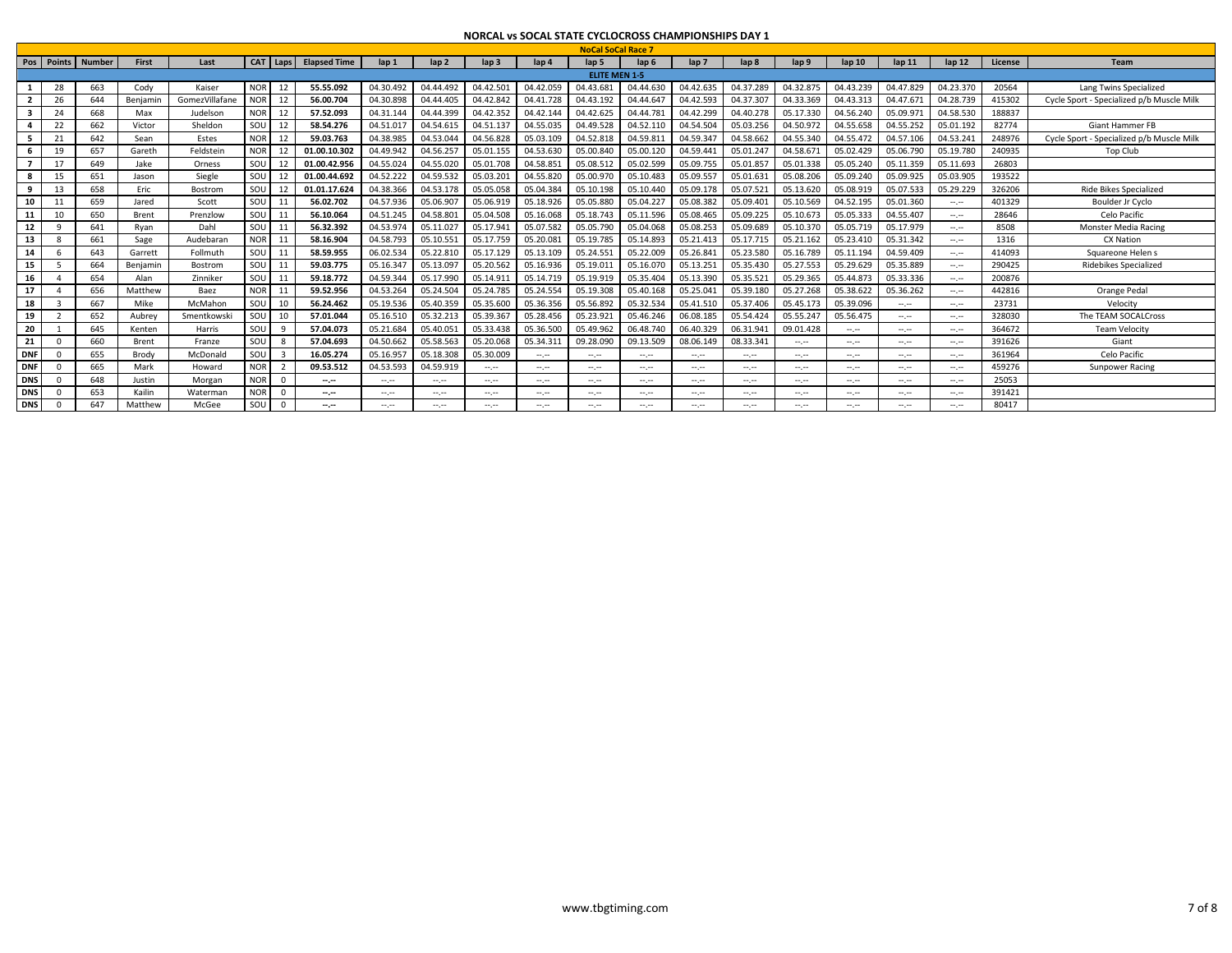|                |            |               |          |                |                  |                |                     |                                                                                                                           |             |                 |                  | <b>NoCal SoCal Race 7</b>   |                  |                  |                             |                             |                             |                             |                             |         |                                           |
|----------------|------------|---------------|----------|----------------|------------------|----------------|---------------------|---------------------------------------------------------------------------------------------------------------------------|-------------|-----------------|------------------|-----------------------------|------------------|------------------|-----------------------------|-----------------------------|-----------------------------|-----------------------------|-----------------------------|---------|-------------------------------------------|
|                | Pos Points | <b>Number</b> | First    | Last           |                  | CAT Laps       | <b>Elapsed Time</b> | $\ln 1$                                                                                                                   | $\ln 2$     | $\ln 3$         | lap <sub>4</sub> | $\ln 5$                     | lap <sub>6</sub> | lap <sub>7</sub> | lap <sub>8</sub>            | lap 9                       | lap 10                      | $\ln 11$                    | $\ln 12$                    | License | Team                                      |
|                |            |               |          |                |                  |                |                     |                                                                                                                           |             |                 |                  | <b>ELITE MEN 1-5</b>        |                  |                  |                             |                             |                             |                             |                             |         |                                           |
|                | 28         | 663           | Cody     | Kaiser         | <b>NOR</b>       | 12             | 55.55.092           | 04.30.492                                                                                                                 | 04.44.492   | 04.42.501       | 04.42.059        | 04.43.681                   | 04.44.630        | 04.42.635        | 04.37.289                   | 04.32.875                   | 04.43.239                   | 04.47.829                   | 04.23.370                   | 20564   | Lang Twins Specialized                    |
| $\overline{2}$ |            | 644           | Benjamir | GomezVillafane | <b>NOR</b>       | 12             | 56.00.704           | 04.30.898                                                                                                                 | 04.44.405   | 04.42.842       | 04.41.728        | 04.43.192                   | 04.44.647        | 04.42.593        | 04.37.307                   | 04.33.369                   | 04.43.31                    | 04.47.671                   | 04.28.739                   | 415302  | Cycle Sport - Specialized p/b Muscle Milk |
| 3              | 24         | 668           | Max      | Judelsor       | NOR <sup>1</sup> | 12             | 57.52.093           | 04.31.144                                                                                                                 | 04.44.399   | 04.42.352       | 04.42.144        | 04.42.625                   | 04.44.781        | 04.42.299        | 04.40.278                   | 05.17.330                   | 04.56.240                   | 05.09.97                    | 04.58.530                   | 188837  |                                           |
| 4              | 22         | 662           | Victor   | Sheldon        | SOU              | 12             | 58.54.276           | 04.51.017                                                                                                                 | 04.54.615   | 04.51.137       | 04.55.035        | 04.49.528                   | 04.52.110        | 04.54.504        | 05.03.256                   | 04.50.97                    | 04.55.658                   | 04.55.252                   | 05.01.192                   | 82774   | <b>Giant Hammer FB</b>                    |
| -5             | 21         | 642           | Sean     | Estes          | <b>NOR</b>       | 12             | 59.03.763           | 04.38.985                                                                                                                 | 04.53.044   | 04.56.828       | 05.03.109        | 04.52.81                    | 04.59.811        | 04.59.347        | 04.58.662                   | 04.55.340                   | 04.55.47                    | 04.57.106                   | 04.53.241                   | 248976  | Cycle Sport - Specialized p/b Muscle Milk |
| 6              | 19         | 657           | Gareth   | Feldsteir      | <b>NOR</b>       | 12             | 01.00.10.302        | 04.49.942                                                                                                                 | 04.56.257   | 05.01.155       | 04.53.630        | 05.00.840                   | 05.00.120        | 04.59.441        | 05.01.247                   | 04.58.67                    | 05.02.42                    | 05.06.790                   | 05.19.780                   | 240935  | Top Club                                  |
|                | 17         | 649           | Jake     | Orness         | SOU              | 12             | 01.00.42.956        | 04.55.024                                                                                                                 | 04.55.020   | 05.01.708       | 04.58.851        | 05.08.512                   | 05.02.599        | 05.09.755        | 05.01.857                   | 05.01.338                   | 05.05.240                   | 05.11.359                   | 05.11.693                   | 26803   |                                           |
| 8              | 15         | 651           | Jason    | Siegle         | SOU              | 12             | 01.00.44.692        | 04.52.222                                                                                                                 | 04.59.532   | 05.03.201       | 04.55.820        | 05.00.97                    | 05.10.483        | 05.09.557        | 05.01.63                    | 05.08.206                   | 05.09.240                   | 05.09.925                   | 05.03.905                   | 193522  |                                           |
| 9              | 13         | 658           | Eric     | Bostrom        | SOU              | 12             | 01.01.17.624        | 04.38.366                                                                                                                 | 04.53.178   | 05.05.058       | 05.04.384        | 05.10.198                   | 05.10.440        | 05.09.178        | 05.07.521                   | 05.13.620                   | 05.08.919                   | 05.07.533                   | 05.29.229                   | 326206  | <b>Ride Bikes Specialized</b>             |
| 10             | 11         | 659           | Jared    | Scott          | SOU              | 11             | 56.02.702           | 04.57.936                                                                                                                 | 05.06.907   | 05.06.919       | 05.18.926        | 05.05.880                   | 05.04.227        | 05.08.382        | 05.09.401                   | 05.10.569                   | 04.52.195                   | 05.01.360                   | $\mathcal{L}^{\mathcal{L}}$ | 401329  | Boulder Jr Cyclo                          |
| 11             | 10         | 650           | Brent    | Prenzlow       | SOU              | 11             | 56.10.064           | 04.51.245                                                                                                                 | 04.58.801   | 05.04.508       | 05.16.068        | 05.18.743                   | 05.11.596        | 05.08.465        | 05.09.225                   | 05.10.67                    | 05.05.333                   | 04.55.407                   | $\sim$                      | 28646   | Celo Pacific                              |
| 12             | ٠Q         | 641           | Ryan     | Dahl           | SOU              | 11             | 56.32.392           | 04.53.974                                                                                                                 | 05.11.027   | 05.17.941       | 05.07.582        | 05.05.79                    | 05.04.068        | 05.08.253        | 05.09.689                   | 05.10.370                   | 05.05.719                   | 05.17.979                   | $\sim$                      | 8508    | <b>Monster Media Racing</b>               |
| 13             |            | 661           | Sage     | Audebarar      | <b>NOR</b>       | 11             | 58.16.904           | 04.58.793                                                                                                                 | 05.10.551   | 05.17.759       | 05.20.08         | 05.19.785                   | 05.14.893        | 05.21.413        | 05.17.715                   | 05.21.162                   | 05.23.41                    | 05.31.342                   | $\mathcal{L}^{\mathcal{L}}$ | 1316    | <b>CX Nation</b>                          |
| 14             | 6          | 643           | Garrett  | Follmuth       | SOU              | -11            | 58.59.955           | 06.02.534                                                                                                                 | 05.22.810   | 05.17.129       | 05.13.109        | 05.24.55                    | 05.22.009        | 05.26.841        | 05.23.580                   | 05.16.789                   | 05.11.194                   | 04.59.409                   | $\mathcal{L}^{\mathcal{L}}$ | 414093  | Squareone Helen s                         |
| 15             |            | 664           | Benjamin | Bostrom        | SOU              | 11             | 59.03.775           | 05.16.347                                                                                                                 | 05.13.097   | 05.20.562       | 05.16.936        | 05.19.01                    | 05.16.070        | 05.13.251        | 05.35.430                   | 05.27.553                   | 05.29.629                   | 05.35.889                   | $\sim$                      | 290425  | Ridebikes Specialized                     |
| 16             |            | 654           | Alan     | Zinniker       | SOU              | 11             | 59.18.772           | 04.59.344                                                                                                                 | 05.17.990   | 05.14.911       | 05.14.719        | 05.19.919                   | 05.35.404        | 05.13.390        | 05.35.521                   | 05.29.365                   | 05.44.87                    | 05.33.336                   | $\mathcal{L}^{\mathcal{L}}$ | 200876  |                                           |
| 17             |            | 656           | Matthew  | Baez           | <b>NOR</b>       | 11             | 59.52.956           | 04.53.264                                                                                                                 | 05.24.504   | 05.24.785       | 05.24.554        | 05.19.308                   | 05.40.168        | 05.25.041        | 05.39.180                   | 05.27.268                   | 05.38.622                   | 05.36.262                   | and your                    | 442816  | Orange Pedal                              |
| 18             |            | 667           | Mike     | McMahon        | SOU              | 10             | 56.24.462           | 05.19.536                                                                                                                 | 05.40.359   | 05.35.600       | 05.36.356        | 05.56.892                   | 05.32.534        | 05.41.510        | 05.37.406                   | 05.45.173                   | 05.39.096                   | $\mathcal{L}^{\mathcal{L}}$ | $\mathcal{L}^{\mathcal{L}}$ | 23731   | Velocity                                  |
| 19             |            | 652           | Aubrey   | Smentkowski    | SOU              | 10             | 57.01.044           | 05.16.510                                                                                                                 | 05.32.213   | 05.39.367       | 05.28.456        | 05.23.921                   | 05.46.246        | 06.08.185        | 05.54.424                   | 05.55.24                    | 05.56.475                   | $\mathcal{L}^{\mathcal{L}}$ | $\mathcal{L}^{\mathcal{L}}$ | 328030  | The TEAM SOCALCross                       |
| 20             |            | 645           | Kenten   | Harris         | SOU              | - 9            | 57.04.073           | 05.21.684                                                                                                                 | 05.40.051   | 05.33.438       | 05.36.500        | 05.49.962                   | 06.48.740        | 06.40.329        | 06.31.94                    | 09.01.428                   | $\mathcal{L}^{\mathcal{L}}$ | $-1.1$                      | $\mathcal{L}^{\mathcal{L}}$ | 364672  | <b>Team Velocity</b>                      |
| 21             | $\Omega$   | 660           | Brent    | Franze         | SOU              | - 8            | 57.04.693           | 04.50.662                                                                                                                 | 05.58.563   | 05.20.068       | 05.34.311        | 09.28.090                   | 09.13.509        | 08.06.149        | 08.33.34                    | $\sim$ , $\sim$             | $\sim$                      | $\sim$                      | $\sim$ , $\sim$             | 391626  | Giant                                     |
| <b>DNF</b>     |            | 655           | Brody    | McDonald       | SOU              | $\overline{3}$ | 16.05.274           | 05.16.957                                                                                                                 | 05.18.308   | 05.30.009       | $\sim$ , $\sim$  | $\mathcal{L}^{\mathcal{L}}$ | $\sim$ , $\sim$  | $\sim$ , $\sim$  | $\mathcal{L}^{\mathcal{L}}$ | $\mathcal{L}^{\mathcal{L}}$ | $\mathcal{L}^{\mathcal{L}}$ | $\mathcal{L}^{\mathcal{L}}$ | $\mathcal{L}^{\mathcal{L}}$ | 361964  | Celo Pacific                              |
| <b>DNF</b>     | $\cap$     | 665           | Mark     | Howard         | <b>NOR</b>       | $\overline{2}$ | 09.53.512           | 04.53.593                                                                                                                 | 04.59.919   | $\sim$ , $\sim$ | $\sim$           | $-1.1$                      | $-1.1$           | $\sim$ , $\sim$  | $\mathcal{L}^{\mathcal{L}}$ | $\sim$                      | $\mathcal{L}^{\mathcal{L}}$ | $\sim$ , $\sim$             | and your                    | 459276  | Sunpower Racing                           |
| <b>DNS</b>     |            | 648           | Justin   | Morgan         | <b>NOR</b>       | $\sqrt{ }$     | $-1$                | $\frac{1}{2} \left( \frac{1}{2} \right) \left( \frac{1}{2} \right) \left( \frac{1}{2} \right) \left( \frac{1}{2} \right)$ | $100 - 100$ | $\sim$ , $\sim$ | $\sim$ , $\sim$  | $\mathcal{L}^{\mathcal{L}}$ | $\sim$ , $\sim$  | $\sim$ , $\sim$  | $\mathcal{L}^{\mathcal{L}}$ | $\sim$ , $\sim$             | $\mathcal{L}^{\mathcal{L}}$ | $-1.1$                      | $\mathcal{L}^{\mathcal{L}}$ | 25053   |                                           |
| <b>DNS</b>     |            | 653           | Kailin   | Watermar       | <b>NOR</b>       |                | $-1$                | $-1$                                                                                                                      | --.--       | $-1.1 - 1.0$    | $\sim$           | $\sim$ , $\sim$             | $-1.1$           | $-1.1 - 1.0$     | $-1$                        | $-1$                        | $-1$                        | $-1.1$                      | $-1$                        | 391421  |                                           |
| <b>DNS</b>     |            | 647           | Matthew  | McGee          | SOU              |                | $-1$                | $\sim$                                                                                                                    | --.--       | $\sim$ , $\sim$ | $\sim$ , and     | $-1.1$                      | $\sim$ , $\sim$  | $\sim$ , $\sim$  | $\sim$                      | $-1$                        | $-1.1$                      | $\sim$ . $\sim$             | $\sim$ , $\sim$             | 80417   |                                           |
|                |            |               |          |                |                  |                |                     |                                                                                                                           |             |                 |                  |                             |                  |                  |                             |                             |                             |                             |                             |         |                                           |